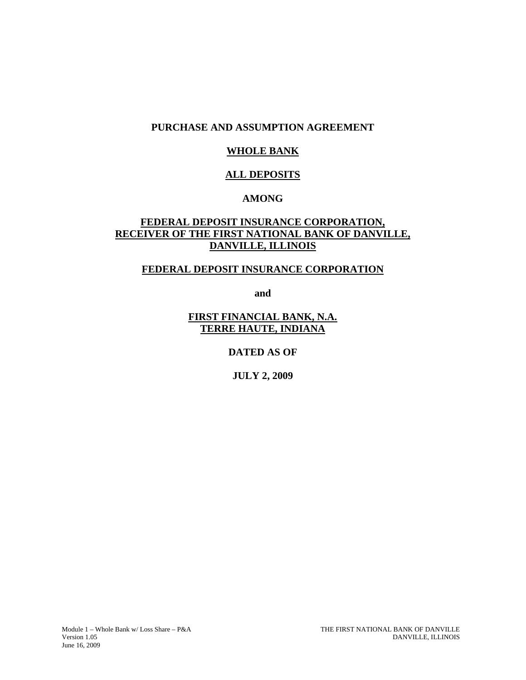### **PURCHASE AND ASSUMPTION AGREEMENT**

### **WHOLE BANK**

# **ALL DEPOSITS**

### **AMONG**

### **FEDERAL DEPOSIT INSURANCE CORPORATION, RECEIVER OF THE FIRST NATIONAL BANK OF DANVILLE, DANVILLE, ILLINOIS**

### **FEDERAL DEPOSIT INSURANCE CORPORATION**

**and** 

**FIRST FINANCIAL BANK, N.A. TERRE HAUTE, INDIANA**

**DATED AS OF**

**JULY 2, 2009**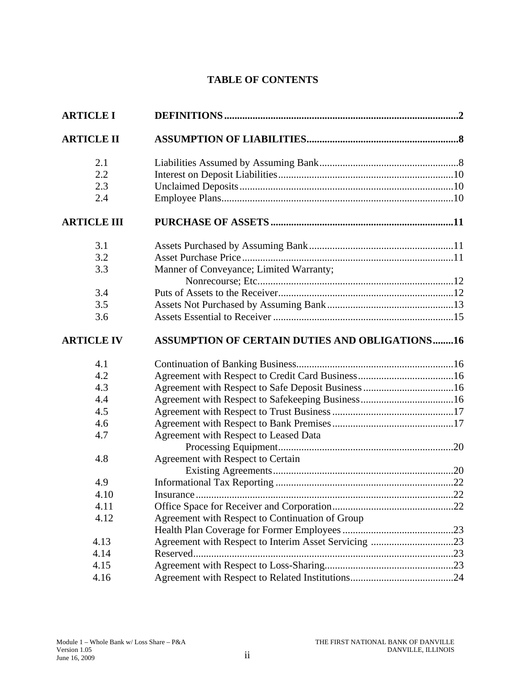# **TABLE OF CONTENTS**

| <b>ARTICLE I</b>   |                                                       |  |
|--------------------|-------------------------------------------------------|--|
| <b>ARTICLE II</b>  |                                                       |  |
| 2.1                |                                                       |  |
| 2.2                |                                                       |  |
| 2.3                |                                                       |  |
| 2.4                |                                                       |  |
| <b>ARTICLE III</b> |                                                       |  |
| 3.1                |                                                       |  |
| 3.2                |                                                       |  |
| 3.3                | Manner of Conveyance; Limited Warranty;               |  |
|                    |                                                       |  |
| 3.4                |                                                       |  |
| 3.5                |                                                       |  |
| 3.6                |                                                       |  |
| <b>ARTICLE IV</b>  | <b>ASSUMPTION OF CERTAIN DUTIES AND OBLIGATIONS16</b> |  |
| 4.1                |                                                       |  |
| 4.2                |                                                       |  |
| 4.3                |                                                       |  |
| 4.4                |                                                       |  |
| 4.5                |                                                       |  |
| 4.6                |                                                       |  |
| 4.7                | Agreement with Respect to Leased Data                 |  |
|                    |                                                       |  |
| 4.8                | Agreement with Respect to Certain                     |  |
|                    |                                                       |  |
| 4.9                |                                                       |  |
| 4.10               |                                                       |  |
| 4.11               |                                                       |  |
| 4.12               | Agreement with Respect to Continuation of Group       |  |
|                    |                                                       |  |
| 4.13               |                                                       |  |
| 4.14               |                                                       |  |
| 4.15               |                                                       |  |
| 4.16               |                                                       |  |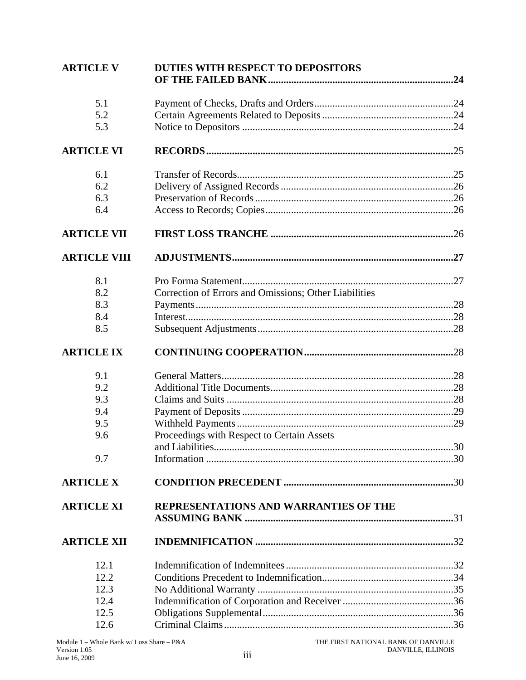| <b>ARTICLE V</b>    | <b>DUTIES WITH RESPECT TO DEPOSITORS</b>              |     |
|---------------------|-------------------------------------------------------|-----|
|                     |                                                       |     |
|                     |                                                       |     |
| 5.1                 |                                                       |     |
| 5.2                 |                                                       |     |
| 5.3                 |                                                       |     |
| <b>ARTICLE VI</b>   |                                                       |     |
| 6.1                 |                                                       |     |
| 6.2                 |                                                       |     |
| 6.3                 |                                                       |     |
| 6.4                 |                                                       |     |
| <b>ARTICLE VII</b>  |                                                       |     |
| <b>ARTICLE VIII</b> |                                                       |     |
| 8.1                 |                                                       |     |
| 8.2                 | Correction of Errors and Omissions; Other Liabilities |     |
| 8.3                 |                                                       |     |
| 8.4                 |                                                       |     |
| 8.5                 |                                                       |     |
| <b>ARTICLE IX</b>   |                                                       |     |
| 9.1                 |                                                       |     |
| 9.2                 |                                                       |     |
| 9.3                 |                                                       |     |
| 9.4                 |                                                       |     |
| 9.5                 |                                                       |     |
| 9.6                 | Proceedings with Respect to Certain Assets            |     |
|                     |                                                       | .30 |
| 9.7                 |                                                       |     |
| <b>ARTICLE X</b>    |                                                       |     |
| <b>ARTICLE XI</b>   | REPRESENTATIONS AND WARRANTIES OF THE                 |     |
|                     |                                                       |     |
| <b>ARTICLE XII</b>  |                                                       |     |
| 12.1                |                                                       |     |
| 12.2                |                                                       |     |
| 12.3                |                                                       |     |
| 12.4                |                                                       |     |
| 12.5                |                                                       |     |
| 12.6                |                                                       |     |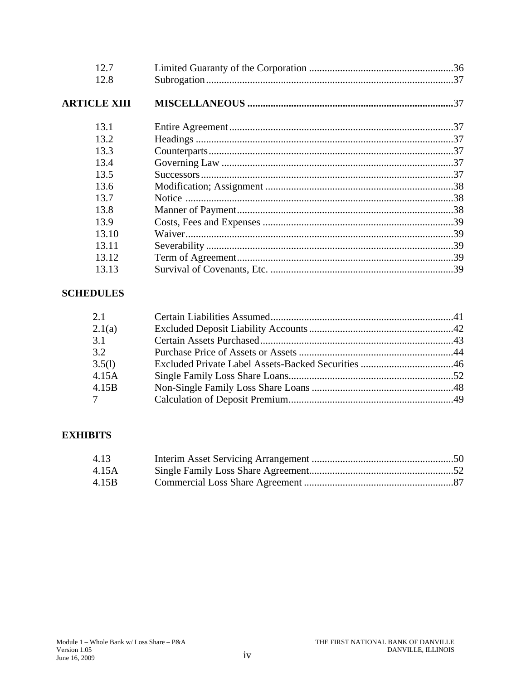| 12.7<br>12.8        |  |
|---------------------|--|
| <b>ARTICLE XIII</b> |  |
| 13.1                |  |
| 13.2                |  |
| 13.3                |  |
| 13.4                |  |
| 13.5                |  |
| 13.6                |  |
| 13.7                |  |
| 13.8                |  |
| 13.9                |  |
| 13.10               |  |
| 13.11               |  |
| 13.12               |  |
| 13.13               |  |

# **SCHEDULES**

| 2.1             |  |
|-----------------|--|
| 2.1(a)          |  |
| 3.1             |  |
| 3.2             |  |
| 3.5(l)          |  |
| 4.15A           |  |
| 4.15B           |  |
| $7\overline{ }$ |  |

# **EXHIBITS**

| 4.13  |  |
|-------|--|
| 4.15A |  |
| 4.15B |  |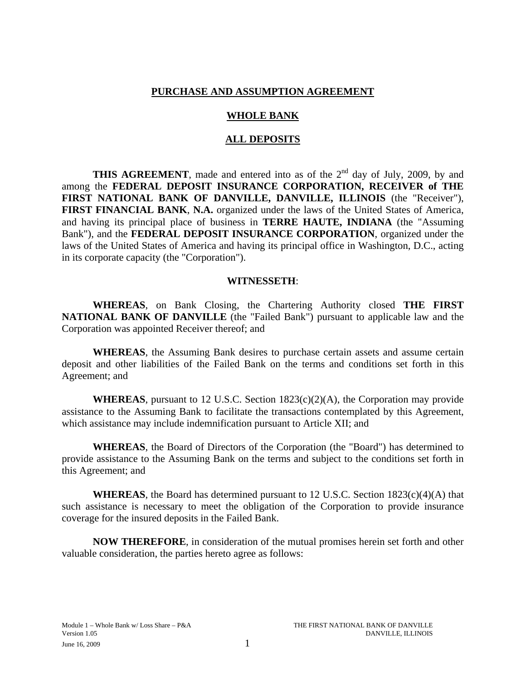### **PURCHASE AND ASSUMPTION AGREEMENT**

### **WHOLE BANK**

### **ALL DEPOSITS**

**THIS AGREEMENT**, made and entered into as of the 2<sup>nd</sup> day of July, 2009, by and among the **FEDERAL DEPOSIT INSURANCE CORPORATION, RECEIVER of THE FIRST NATIONAL BANK OF DANVILLE, DANVILLE, ILLINOIS** (the "Receiver"), **FIRST FINANCIAL BANK**, **N.A.** organized under the laws of the United States of America, and having its principal place of business in **TERRE HAUTE, INDIANA** (the "Assuming Bank"), and the **FEDERAL DEPOSIT INSURANCE CORPORATION**, organized under the laws of the United States of America and having its principal office in Washington, D.C., acting in its corporate capacity (the "Corporation").

#### **WITNESSETH**:

**WHEREAS**, on Bank Closing, the Chartering Authority closed **THE FIRST NATIONAL BANK OF DANVILLE** (the "Failed Bank") pursuant to applicable law and the Corporation was appointed Receiver thereof; and

 **WHEREAS**, the Assuming Bank desires to purchase certain assets and assume certain deposit and other liabilities of the Failed Bank on the terms and conditions set forth in this Agreement; and

**WHEREAS**, pursuant to 12 U.S.C. Section 1823(c)(2)(A), the Corporation may provide assistance to the Assuming Bank to facilitate the transactions contemplated by this Agreement, which assistance may include indemnification pursuant to Article XII; and

**WHEREAS**, the Board of Directors of the Corporation (the "Board") has determined to provide assistance to the Assuming Bank on the terms and subject to the conditions set forth in this Agreement; and

**WHEREAS**, the Board has determined pursuant to 12 U.S.C. Section 1823(c)(4)(A) that such assistance is necessary to meet the obligation of the Corporation to provide insurance coverage for the insured deposits in the Failed Bank.

 **NOW THEREFORE**, in consideration of the mutual promises herein set forth and other valuable consideration, the parties hereto agree as follows: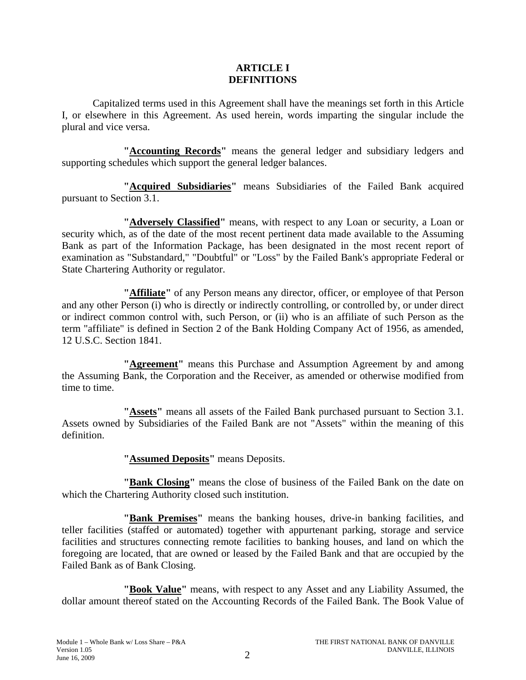#### **ARTICLE I DEFINITIONS**

<span id="page-5-0"></span>Capitalized terms used in this Agreement shall have the meanings set forth in this Article I, or elsewhere in this Agreement. As used herein, words imparting the singular include the plural and vice versa.

**"Accounting Records"** means the general ledger and subsidiary ledgers and supporting schedules which support the general ledger balances.

**"Acquired Subsidiaries"** means Subsidiaries of the Failed Bank acquired pursuant to Section 3.1.

**"Adversely Classified"** means, with respect to any Loan or security, a Loan or security which, as of the date of the most recent pertinent data made available to the Assuming Bank as part of the Information Package, has been designated in the most recent report of examination as "Substandard," "Doubtful" or "Loss" by the Failed Bank's appropriate Federal or State Chartering Authority or regulator.

**"Affiliate"** of any Person means any director, officer, or employee of that Person and any other Person (i) who is directly or indirectly controlling, or controlled by, or under direct or indirect common control with, such Person, or (ii) who is an affiliate of such Person as the term "affiliate" is defined in Section 2 of the Bank Holding Company Act of 1956, as amended, 12 U.S.C. Section 1841.

**"Agreement"** means this Purchase and Assumption Agreement by and among the Assuming Bank, the Corporation and the Receiver, as amended or otherwise modified from time to time.

**"Assets"** means all assets of the Failed Bank purchased pursuant to Section 3.1. Assets owned by Subsidiaries of the Failed Bank are not "Assets" within the meaning of this definition.

**"Assumed Deposits"** means Deposits.

**"Bank Closing"** means the close of business of the Failed Bank on the date on which the Chartering Authority closed such institution.

**"Bank Premises"** means the banking houses, drive-in banking facilities, and teller facilities (staffed or automated) together with appurtenant parking, storage and service facilities and structures connecting remote facilities to banking houses, and land on which the foregoing are located, that are owned or leased by the Failed Bank and that are occupied by the Failed Bank as of Bank Closing.

**"Book Value"** means, with respect to any Asset and any Liability Assumed, the dollar amount thereof stated on the Accounting Records of the Failed Bank. The Book Value of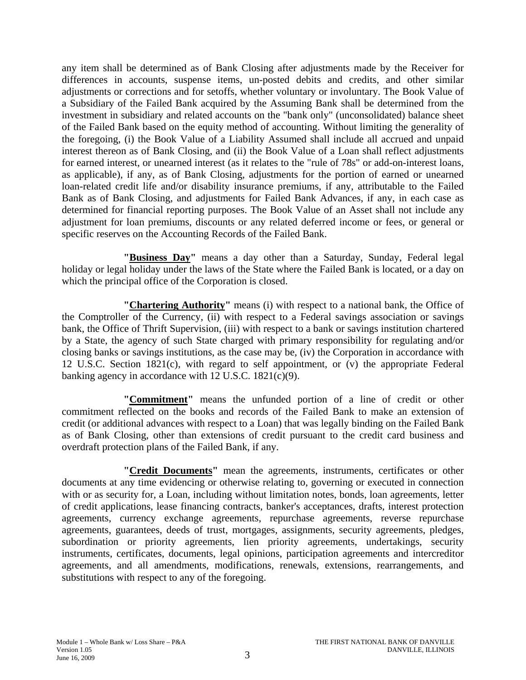<span id="page-6-0"></span>any item shall be determined as of Bank Closing after adjustments made by the Receiver for differences in accounts, suspense items, un-posted debits and credits, and other similar adjustments or corrections and for setoffs, whether voluntary or involuntary. The Book Value of a Subsidiary of the Failed Bank acquired by the Assuming Bank shall be determined from the investment in subsidiary and related accounts on the "bank only" (unconsolidated) balance sheet of the Failed Bank based on the equity method of accounting. Without limiting the generality of the foregoing, (i) the Book Value of a Liability Assumed shall include all accrued and unpaid interest thereon as of Bank Closing, and (ii) the Book Value of a Loan shall reflect adjustments for earned interest, or unearned interest (as it relates to the "rule of 78s" or add-on-interest loans, as applicable), if any, as of Bank Closing, adjustments for the portion of earned or unearned loan-related credit life and/or disability insurance premiums, if any, attributable to the Failed Bank as of Bank Closing, and adjustments for Failed Bank Advances, if any, in each case as determined for financial reporting purposes. The Book Value of an Asset shall not include any adjustment for loan premiums, discounts or any related deferred income or fees, or general or specific reserves on the Accounting Records of the Failed Bank.

**"Business Day"** means a day other than a Saturday, Sunday, Federal legal holiday or legal holiday under the laws of the State where the Failed Bank is located, or a day on which the principal office of the Corporation is closed.

**"Chartering Authority"** means (i) with respect to a national bank, the Office of the Comptroller of the Currency, (ii) with respect to a Federal savings association or savings bank, the Office of Thrift Supervision, (iii) with respect to a bank or savings institution chartered by a State, the agency of such State charged with primary responsibility for regulating and/or closing banks or savings institutions, as the case may be, (iv) the Corporation in accordance with 12 U.S.C. Section 1821(c), with regard to self appointment, or (v) the appropriate Federal banking agency in accordance with 12 U.S.C. 1821(c)(9).

**"Commitment"** means the unfunded portion of a line of credit or other commitment reflected on the books and records of the Failed Bank to make an extension of credit (or additional advances with respect to a Loan) that was legally binding on the Failed Bank as of Bank Closing, other than extensions of credit pursuant to the credit card business and overdraft protection plans of the Failed Bank, if any.

**"Credit Documents"** mean the agreements, instruments, certificates or other documents at any time evidencing or otherwise relating to, governing or executed in connection with or as security for, a Loan, including without limitation notes, bonds, loan agreements, letter of credit applications, lease financing contracts, banker's acceptances, drafts, interest protection agreements, currency exchange agreements, repurchase agreements, reverse repurchase agreements, guarantees, deeds of trust, mortgages, assignments, security agreements, pledges, subordination or priority agreements, lien priority agreements, undertakings, security instruments, certificates, documents, legal opinions, participation agreements and intercreditor agreements, and all amendments, modifications, renewals, extensions, rearrangements, and substitutions with respect to any of the foregoing.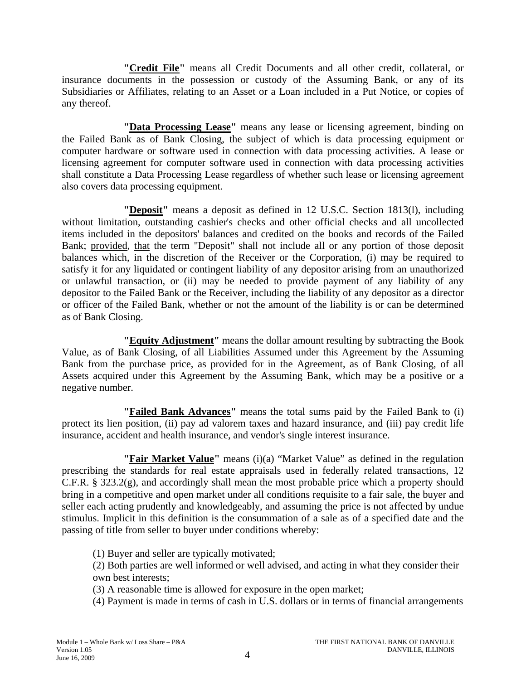<span id="page-7-0"></span> **"Credit File"** means all Credit Documents and all other credit, collateral, or insurance documents in the possession or custody of the Assuming Bank, or any of its Subsidiaries or Affiliates, relating to an Asset or a Loan included in a Put Notice, or copies of any thereof.

**"Data Processing Lease"** means any lease or licensing agreement, binding on the Failed Bank as of Bank Closing, the subject of which is data processing equipment or computer hardware or software used in connection with data processing activities. A lease or licensing agreement for computer software used in connection with data processing activities shall constitute a Data Processing Lease regardless of whether such lease or licensing agreement also covers data processing equipment.

**"Deposit"** means a deposit as defined in 12 U.S.C. Section 1813(l), including without limitation, outstanding cashier's checks and other official checks and all uncollected items included in the depositors' balances and credited on the books and records of the Failed Bank; provided, that the term "Deposit" shall not include all or any portion of those deposit balances which, in the discretion of the Receiver or the Corporation, (i) may be required to satisfy it for any liquidated or contingent liability of any depositor arising from an unauthorized or unlawful transaction, or (ii) may be needed to provide payment of any liability of any depositor to the Failed Bank or the Receiver, including the liability of any depositor as a director or officer of the Failed Bank, whether or not the amount of the liability is or can be determined as of Bank Closing.

**"Equity Adjustment"** means the dollar amount resulting by subtracting the Book Value, as of Bank Closing, of all Liabilities Assumed under this Agreement by the Assuming Bank from the purchase price, as provided for in the Agreement, as of Bank Closing, of all Assets acquired under this Agreement by the Assuming Bank, which may be a positive or a negative number.

**"Failed Bank Advances"** means the total sums paid by the Failed Bank to (i) protect its lien position, (ii) pay ad valorem taxes and hazard insurance, and (iii) pay credit life insurance, accident and health insurance, and vendor's single interest insurance.

**"Fair Market Value"** means (i)(a) "Market Value" as defined in the regulation prescribing the standards for real estate appraisals used in federally related transactions, 12 C.F.R. § 323.2(g), and accordingly shall mean the most probable price which a property should bring in a competitive and open market under all conditions requisite to a fair sale, the buyer and seller each acting prudently and knowledgeably, and assuming the price is not affected by undue stimulus. Implicit in this definition is the consummation of a sale as of a specified date and the passing of title from seller to buyer under conditions whereby:

(1) Buyer and seller are typically motivated;

(2) Both parties are well informed or well advised, and acting in what they consider their own best interests;

(3) A reasonable time is allowed for exposure in the open market;

(4) Payment is made in terms of cash in U.S. dollars or in terms of financial arrangements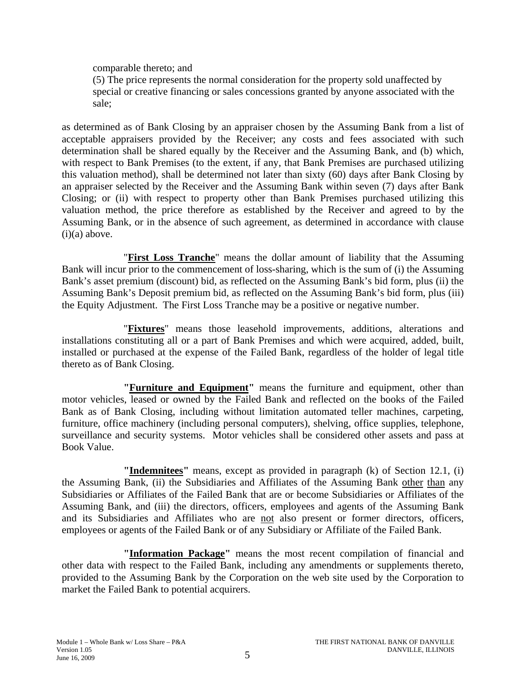comparable thereto; and

(5) The price represents the normal consideration for the property sold unaffected by special or creative financing or sales concessions granted by anyone associated with the sale;

as determined as of Bank Closing by an appraiser chosen by the Assuming Bank from a list of acceptable appraisers provided by the Receiver; any costs and fees associated with such determination shall be shared equally by the Receiver and the Assuming Bank, and (b) which, with respect to Bank Premises (to the extent, if any, that Bank Premises are purchased utilizing this valuation method), shall be determined not later than sixty (60) days after Bank Closing by an appraiser selected by the Receiver and the Assuming Bank within seven (7) days after Bank Closing; or (ii) with respect to property other than Bank Premises purchased utilizing this valuation method, the price therefore as established by the Receiver and agreed to by the Assuming Bank, or in the absence of such agreement, as determined in accordance with clause  $(i)(a)$  above.

"**First Loss Tranche**" means the dollar amount of liability that the Assuming Bank will incur prior to the commencement of loss-sharing, which is the sum of (i) the Assuming Bank's asset premium (discount) bid, as reflected on the Assuming Bank's bid form, plus (ii) the Assuming Bank's Deposit premium bid, as reflected on the Assuming Bank's bid form, plus (iii) the Equity Adjustment. The First Loss Tranche may be a positive or negative number.

"**Fixtures**" means those leasehold improvements, additions, alterations and installations constituting all or a part of Bank Premises and which were acquired, added, built, installed or purchased at the expense of the Failed Bank, regardless of the holder of legal title thereto as of Bank Closing.

**"Furniture and Equipment"** means the furniture and equipment, other than motor vehicles, leased or owned by the Failed Bank and reflected on the books of the Failed Bank as of Bank Closing, including without limitation automated teller machines, carpeting, furniture, office machinery (including personal computers), shelving, office supplies, telephone, surveillance and security systems. Motor vehicles shall be considered other assets and pass at Book Value.

**"Indemnitees"** means, except as provided in paragraph (k) of Section 12.1, (i) the Assuming Bank, (ii) the Subsidiaries and Affiliates of the Assuming Bank other than any Subsidiaries or Affiliates of the Failed Bank that are or become Subsidiaries or Affiliates of the Assuming Bank, and (iii) the directors, officers, employees and agents of the Assuming Bank and its Subsidiaries and Affiliates who are not also present or former directors, officers, employees or agents of the Failed Bank or of any Subsidiary or Affiliate of the Failed Bank.

**"Information Package"** means the most recent compilation of financial and other data with respect to the Failed Bank, including any amendments or supplements thereto, provided to the Assuming Bank by the Corporation on the web site used by the Corporation to market the Failed Bank to potential acquirers.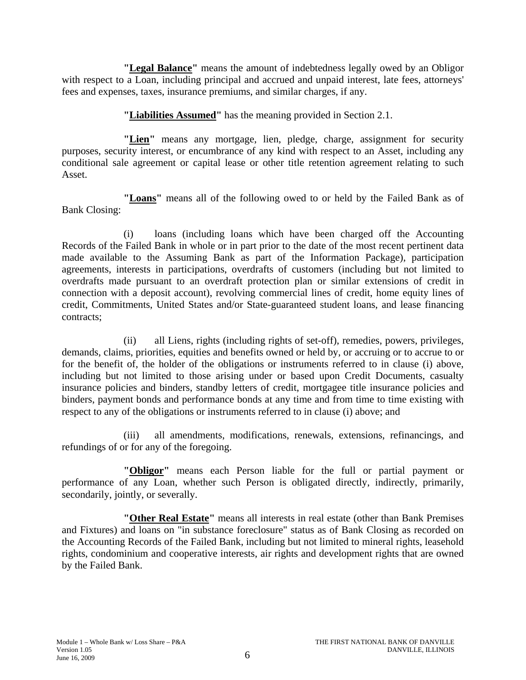**"Legal Balance"** means the amount of indebtedness legally owed by an Obligor with respect to a Loan, including principal and accrued and unpaid interest, late fees, attorneys' fees and expenses, taxes, insurance premiums, and similar charges, if any.

**"Liabilities Assumed"** has the meaning provided in Section 2.1.

**"Lien"** means any mortgage, lien, pledge, charge, assignment for security purposes, security interest, or encumbrance of any kind with respect to an Asset, including any conditional sale agreement or capital lease or other title retention agreement relating to such Asset.

**"Loans"** means all of the following owed to or held by the Failed Bank as of Bank Closing:

(i) loans (including loans which have been charged off the Accounting Records of the Failed Bank in whole or in part prior to the date of the most recent pertinent data made available to the Assuming Bank as part of the Information Package), participation agreements, interests in participations, overdrafts of customers (including but not limited to overdrafts made pursuant to an overdraft protection plan or similar extensions of credit in connection with a deposit account), revolving commercial lines of credit, home equity lines of credit, Commitments, United States and/or State-guaranteed student loans, and lease financing contracts;

(ii) all Liens, rights (including rights of set-off), remedies, powers, privileges, demands, claims, priorities, equities and benefits owned or held by, or accruing or to accrue to or for the benefit of, the holder of the obligations or instruments referred to in clause (i) above, including but not limited to those arising under or based upon Credit Documents, casualty insurance policies and binders, standby letters of credit, mortgagee title insurance policies and binders, payment bonds and performance bonds at any time and from time to time existing with respect to any of the obligations or instruments referred to in clause (i) above; and

(iii) all amendments, modifications, renewals, extensions, refinancings, and refundings of or for any of the foregoing.

**"Obligor"** means each Person liable for the full or partial payment or performance of any Loan, whether such Person is obligated directly, indirectly, primarily, secondarily, jointly, or severally.

**"Other Real Estate"** means all interests in real estate (other than Bank Premises and Fixtures) and loans on "in substance foreclosure" status as of Bank Closing as recorded on the Accounting Records of the Failed Bank, including but not limited to mineral rights, leasehold rights, condominium and cooperative interests, air rights and development rights that are owned by the Failed Bank.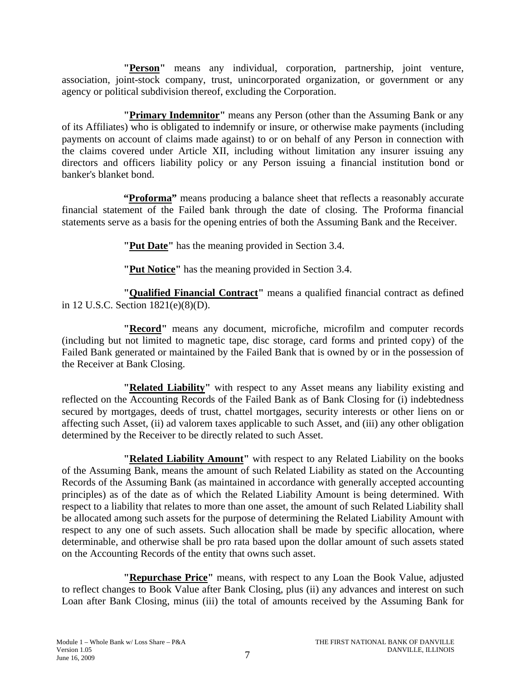"**Person**" means any individual, corporation, partnership, joint venture, association, joint-stock company, trust, unincorporated organization, or government or any agency or political subdivision thereof, excluding the Corporation.

**"Primary Indemnitor"** means any Person (other than the Assuming Bank or any of its Affiliates) who is obligated to indemnify or insure, or otherwise make payments (including payments on account of claims made against) to or on behalf of any Person in connection with the claims covered under Article XII, including without limitation any insurer issuing any directors and officers liability policy or any Person issuing a financial institution bond or banker's blanket bond.

"**Proforma**" means producing a balance sheet that reflects a reasonably accurate financial statement of the Failed bank through the date of closing. The Proforma financial statements serve as a basis for the opening entries of both the Assuming Bank and the Receiver.

**"Put Date"** has the meaning provided in Section 3.4.

**"Put Notice"** has the meaning provided in Section 3.4.

**"Qualified Financial Contract"** means a qualified financial contract as defined in 12 U.S.C. Section 1821(e)(8)(D).

**"Record"** means any document, microfiche, microfilm and computer records (including but not limited to magnetic tape, disc storage, card forms and printed copy) of the Failed Bank generated or maintained by the Failed Bank that is owned by or in the possession of the Receiver at Bank Closing.

**"Related Liability"** with respect to any Asset means any liability existing and reflected on the Accounting Records of the Failed Bank as of Bank Closing for (i) indebtedness secured by mortgages, deeds of trust, chattel mortgages, security interests or other liens on or affecting such Asset, (ii) ad valorem taxes applicable to such Asset, and (iii) any other obligation determined by the Receiver to be directly related to such Asset.

**"Related Liability Amount"** with respect to any Related Liability on the books of the Assuming Bank, means the amount of such Related Liability as stated on the Accounting Records of the Assuming Bank (as maintained in accordance with generally accepted accounting principles) as of the date as of which the Related Liability Amount is being determined. With respect to a liability that relates to more than one asset, the amount of such Related Liability shall be allocated among such assets for the purpose of determining the Related Liability Amount with respect to any one of such assets. Such allocation shall be made by specific allocation, where determinable, and otherwise shall be pro rata based upon the dollar amount of such assets stated on the Accounting Records of the entity that owns such asset.

 **"Repurchase Price"** means, with respect to any Loan the Book Value, adjusted to reflect changes to Book Value after Bank Closing, plus (ii) any advances and interest on such Loan after Bank Closing, minus (iii) the total of amounts received by the Assuming Bank for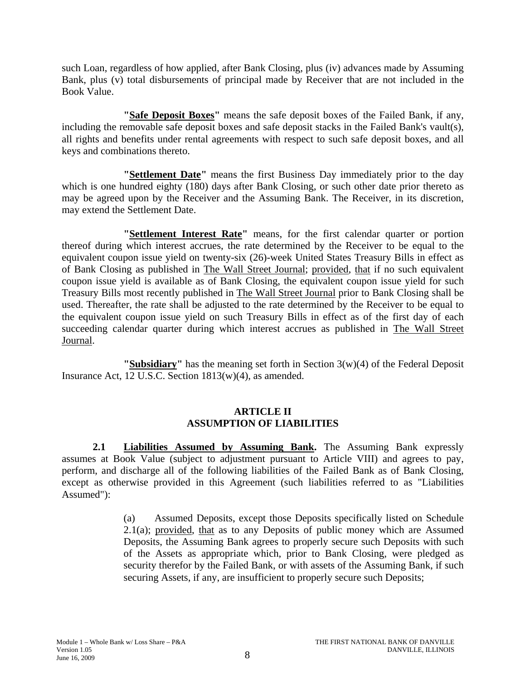such Loan, regardless of how applied, after Bank Closing, plus (iv) advances made by Assuming Bank, plus (v) total disbursements of principal made by Receiver that are not included in the Book Value.

**"Safe Deposit Boxes"** means the safe deposit boxes of the Failed Bank, if any, including the removable safe deposit boxes and safe deposit stacks in the Failed Bank's vault(s), all rights and benefits under rental agreements with respect to such safe deposit boxes, and all keys and combinations thereto.

**"Settlement Date"** means the first Business Day immediately prior to the day which is one hundred eighty (180) days after Bank Closing, or such other date prior thereto as may be agreed upon by the Receiver and the Assuming Bank. The Receiver, in its discretion, may extend the Settlement Date.

**"Settlement Interest Rate"** means, for the first calendar quarter or portion thereof during which interest accrues, the rate determined by the Receiver to be equal to the equivalent coupon issue yield on twenty-six (26)-week United States Treasury Bills in effect as of Bank Closing as published in The Wall Street Journal; provided, that if no such equivalent coupon issue yield is available as of Bank Closing, the equivalent coupon issue yield for such Treasury Bills most recently published in The Wall Street Journal prior to Bank Closing shall be used. Thereafter, the rate shall be adjusted to the rate determined by the Receiver to be equal to the equivalent coupon issue yield on such Treasury Bills in effect as of the first day of each succeeding calendar quarter during which interest accrues as published in The Wall Street Journal.

**"Subsidiary"** has the meaning set forth in Section 3(w)(4) of the Federal Deposit Insurance Act, 12 U.S.C. Section 1813(w)(4), as amended.

### **ARTICLE II ASSUMPTION OF LIABILITIES**

 **2.1 Liabilities Assumed by Assuming Bank.** The Assuming Bank expressly assumes at Book Value (subject to adjustment pursuant to Article VIII) and agrees to pay, perform, and discharge all of the following liabilities of the Failed Bank as of Bank Closing, except as otherwise provided in this Agreement (such liabilities referred to as "Liabilities Assumed"):

> (a) Assumed Deposits, except those Deposits specifically listed on Schedule 2.1(a); provided, that as to any Deposits of public money which are Assumed Deposits, the Assuming Bank agrees to properly secure such Deposits with such of the Assets as appropriate which, prior to Bank Closing, were pledged as security therefor by the Failed Bank, or with assets of the Assuming Bank, if such securing Assets, if any, are insufficient to properly secure such Deposits;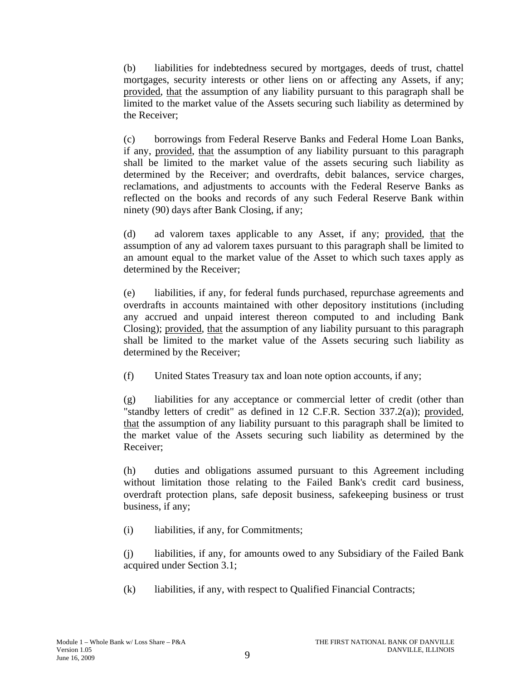(b) liabilities for indebtedness secured by mortgages, deeds of trust, chattel mortgages, security interests or other liens on or affecting any Assets, if any; provided, that the assumption of any liability pursuant to this paragraph shall be limited to the market value of the Assets securing such liability as determined by the Receiver;

(c) borrowings from Federal Reserve Banks and Federal Home Loan Banks, if any, provided, that the assumption of any liability pursuant to this paragraph shall be limited to the market value of the assets securing such liability as determined by the Receiver; and overdrafts, debit balances, service charges, reclamations, and adjustments to accounts with the Federal Reserve Banks as reflected on the books and records of any such Federal Reserve Bank within ninety (90) days after Bank Closing, if any;

(d) ad valorem taxes applicable to any Asset, if any; provided, that the assumption of any ad valorem taxes pursuant to this paragraph shall be limited to an amount equal to the market value of the Asset to which such taxes apply as determined by the Receiver;

(e) liabilities, if any, for federal funds purchased, repurchase agreements and overdrafts in accounts maintained with other depository institutions (including any accrued and unpaid interest thereon computed to and including Bank Closing); provided, that the assumption of any liability pursuant to this paragraph shall be limited to the market value of the Assets securing such liability as determined by the Receiver;

(f) United States Treasury tax and loan note option accounts, if any;

(g) liabilities for any acceptance or commercial letter of credit (other than "standby letters of credit" as defined in 12 C.F.R. Section 337.2(a)); provided, that the assumption of any liability pursuant to this paragraph shall be limited to the market value of the Assets securing such liability as determined by the Receiver;

(h) duties and obligations assumed pursuant to this Agreement including without limitation those relating to the Failed Bank's credit card business, overdraft protection plans, safe deposit business, safekeeping business or trust business, if any;

(i) liabilities, if any, for Commitments;

(j) liabilities, if any, for amounts owed to any Subsidiary of the Failed Bank acquired under Section 3.1;

(k) liabilities, if any, with respect to Qualified Financial Contracts;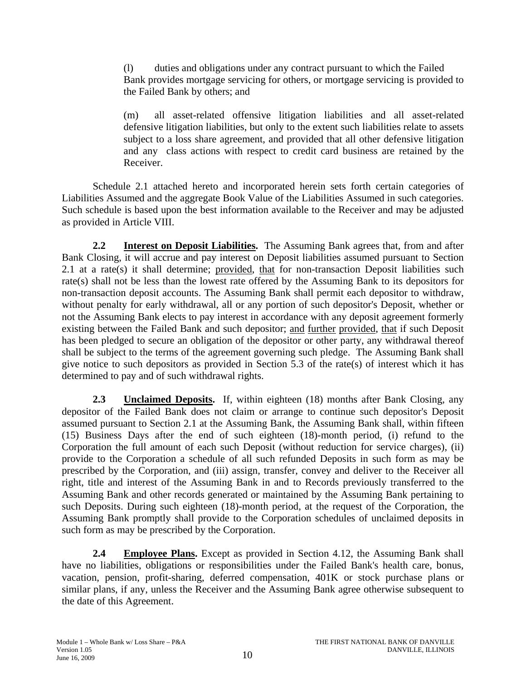(l) duties and obligations under any contract pursuant to which the Failed Bank provides mortgage servicing for others, or mortgage servicing is provided to the Failed Bank by others; and

(m) all asset-related offensive litigation liabilities and all asset-related defensive litigation liabilities, but only to the extent such liabilities relate to assets subject to a loss share agreement, and provided that all other defensive litigation and any class actions with respect to credit card business are retained by the Receiver.

Schedule 2.1 attached hereto and incorporated herein sets forth certain categories of Liabilities Assumed and the aggregate Book Value of the Liabilities Assumed in such categories. Such schedule is based upon the best information available to the Receiver and may be adjusted as provided in Article VIII.

**2.2 Interest on Deposit Liabilities.** The Assuming Bank agrees that, from and after Bank Closing, it will accrue and pay interest on Deposit liabilities assumed pursuant to Section 2.1 at a rate(s) it shall determine; provided, that for non-transaction Deposit liabilities such rate(s) shall not be less than the lowest rate offered by the Assuming Bank to its depositors for non-transaction deposit accounts. The Assuming Bank shall permit each depositor to withdraw, without penalty for early withdrawal, all or any portion of such depositor's Deposit, whether or not the Assuming Bank elects to pay interest in accordance with any deposit agreement formerly existing between the Failed Bank and such depositor; and further provided, that if such Deposit has been pledged to secure an obligation of the depositor or other party, any withdrawal thereof shall be subject to the terms of the agreement governing such pledge. The Assuming Bank shall give notice to such depositors as provided in Section 5.3 of the rate(s) of interest which it has determined to pay and of such withdrawal rights.

**2.3 Unclaimed Deposits.** If, within eighteen (18) months after Bank Closing, any depositor of the Failed Bank does not claim or arrange to continue such depositor's Deposit assumed pursuant to Section 2.1 at the Assuming Bank, the Assuming Bank shall, within fifteen (15) Business Days after the end of such eighteen (18)-month period, (i) refund to the Corporation the full amount of each such Deposit (without reduction for service charges), (ii) provide to the Corporation a schedule of all such refunded Deposits in such form as may be prescribed by the Corporation, and (iii) assign, transfer, convey and deliver to the Receiver all right, title and interest of the Assuming Bank in and to Records previously transferred to the Assuming Bank and other records generated or maintained by the Assuming Bank pertaining to such Deposits. During such eighteen (18)-month period, at the request of the Corporation, the Assuming Bank promptly shall provide to the Corporation schedules of unclaimed deposits in such form as may be prescribed by the Corporation.

**2.4 Employee Plans.** Except as provided in Section 4.12, the Assuming Bank shall have no liabilities, obligations or responsibilities under the Failed Bank's health care, bonus, vacation, pension, profit-sharing, deferred compensation, 401K or stock purchase plans or similar plans, if any, unless the Receiver and the Assuming Bank agree otherwise subsequent to the date of this Agreement.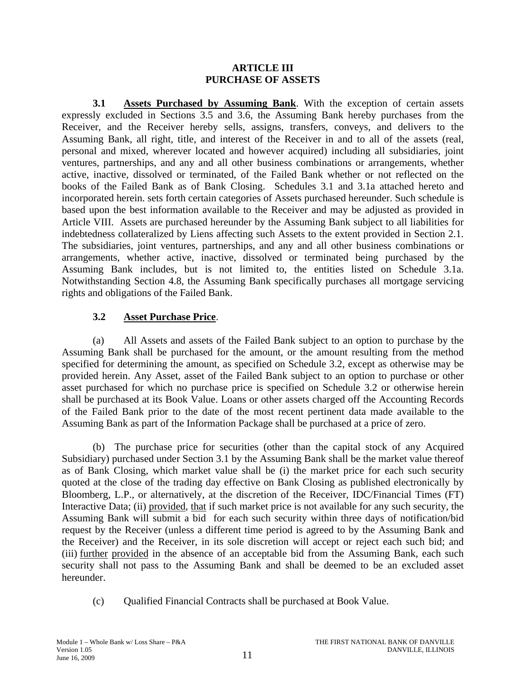#### **ARTICLE III PURCHASE OF ASSETS**

Assuming Bank includes, but is not limited to, the entities listed on Schedule 3.1a.  **3.1 Assets Purchased by Assuming Bank**. With the exception of certain assets expressly excluded in Sections 3.5 and 3.6, the Assuming Bank hereby purchases from the Receiver, and the Receiver hereby sells, assigns, transfers, conveys, and delivers to the Assuming Bank, all right, title, and interest of the Receiver in and to all of the assets (real, personal and mixed, wherever located and however acquired) including all subsidiaries, joint ventures, partnerships, and any and all other business combinations or arrangements, whether active, inactive, dissolved or terminated, of the Failed Bank whether or not reflected on the books of the Failed Bank as of Bank Closing. Schedules 3.1 and 3.1a attached hereto and incorporated herein. sets forth certain categories of Assets purchased hereunder. Such schedule is based upon the best information available to the Receiver and may be adjusted as provided in Article VIII. Assets are purchased hereunder by the Assuming Bank subject to all liabilities for indebtedness collateralized by Liens affecting such Assets to the extent provided in Section 2.1. The subsidiaries, joint ventures, partnerships, and any and all other business combinations or arrangements, whether active, inactive, dissolved or terminated being purchased by the Notwithstanding Section 4.8, the Assuming Bank specifically purchases all mortgage servicing rights and obligations of the Failed Bank.

### **3.2 Asset Purchase Price**.

(a) All Assets and assets of the Failed Bank subject to an option to purchase by the Assuming Bank shall be purchased for the amount, or the amount resulting from the method specified for determining the amount, as specified on Schedule 3.2, except as otherwise may be provided herein. Any Asset, asset of the Failed Bank subject to an option to purchase or other asset purchased for which no purchase price is specified on Schedule 3.2 or otherwise herein shall be purchased at its Book Value. Loans or other assets charged off the Accounting Records of the Failed Bank prior to the date of the most recent pertinent data made available to the Assuming Bank as part of the Information Package shall be purchased at a price of zero.

(b) The purchase price for securities (other than the capital stock of any Acquired Subsidiary) purchased under Section 3.1 by the Assuming Bank shall be the market value thereof as of Bank Closing, which market value shall be (i) the market price for each such security quoted at the close of the trading day effective on Bank Closing as published electronically by Bloomberg, L.P., or alternatively, at the discretion of the Receiver, IDC/Financial Times (FT) Interactive Data; (ii) provided, that if such market price is not available for any such security, the Assuming Bank will submit a bid for each such security within three days of notification/bid request by the Receiver (unless a different time period is agreed to by the Assuming Bank and the Receiver) and the Receiver, in its sole discretion will accept or reject each such bid; and (iii) further provided in the absence of an acceptable bid from the Assuming Bank, each such security shall not pass to the Assuming Bank and shall be deemed to be an excluded asset hereunder.

(c) Qualified Financial Contracts shall be purchased at Book Value.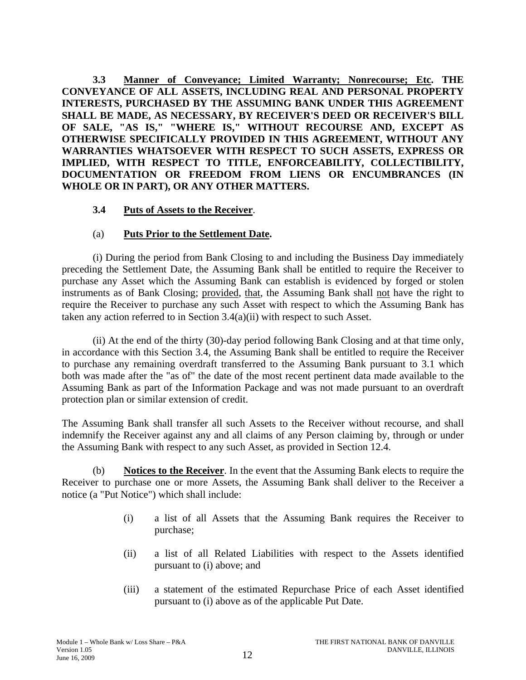**3.3 Manner of Conveyance; Limited Warranty; Nonrecourse; Etc. THE CONVEYANCE OF ALL ASSETS, INCLUDING REAL AND PERSONAL PROPERTY INTERESTS, PURCHASED BY THE ASSUMING BANK UNDER THIS AGREEMENT SHALL BE MADE, AS NECESSARY, BY RECEIVER'S DEED OR RECEIVER'S BILL OF SALE, "AS IS," "WHERE IS," WITHOUT RECOURSE AND, EXCEPT AS OTHERWISE SPECIFICALLY PROVIDED IN THIS AGREEMENT, WITHOUT ANY WARRANTIES WHATSOEVER WITH RESPECT TO SUCH ASSETS, EXPRESS OR IMPLIED, WITH RESPECT TO TITLE, ENFORCEABILITY, COLLECTIBILITY, DOCUMENTATION OR FREEDOM FROM LIENS OR ENCUMBRANCES (IN WHOLE OR IN PART), OR ANY OTHER MATTERS.** 

### **3.4 Puts of Assets to the Receiver**.

### (a) **Puts Prior to the Settlement Date.**

(i) During the period from Bank Closing to and including the Business Day immediately preceding the Settlement Date, the Assuming Bank shall be entitled to require the Receiver to purchase any Asset which the Assuming Bank can establish is evidenced by forged or stolen instruments as of Bank Closing; provided, that, the Assuming Bank shall not have the right to require the Receiver to purchase any such Asset with respect to which the Assuming Bank has taken any action referred to in Section 3.4(a)(ii) with respect to such Asset.

(ii) At the end of the thirty (30)-day period following Bank Closing and at that time only, in accordance with this Section 3.4, the Assuming Bank shall be entitled to require the Receiver to purchase any remaining overdraft transferred to the Assuming Bank pursuant to 3.1 which both was made after the "as of" the date of the most recent pertinent data made available to the Assuming Bank as part of the Information Package and was not made pursuant to an overdraft protection plan or similar extension of credit.

The Assuming Bank shall transfer all such Assets to the Receiver without recourse, and shall indemnify the Receiver against any and all claims of any Person claiming by, through or under the Assuming Bank with respect to any such Asset, as provided in Section 12.4.

(b) **Notices to the Receiver**. In the event that the Assuming Bank elects to require the Receiver to purchase one or more Assets, the Assuming Bank shall deliver to the Receiver a notice (a "Put Notice") which shall include:

- (i) a list of all Assets that the Assuming Bank requires the Receiver to purchase;
- (ii) a list of all Related Liabilities with respect to the Assets identified pursuant to (i) above; and
- (iii) a statement of the estimated Repurchase Price of each Asset identified pursuant to (i) above as of the applicable Put Date.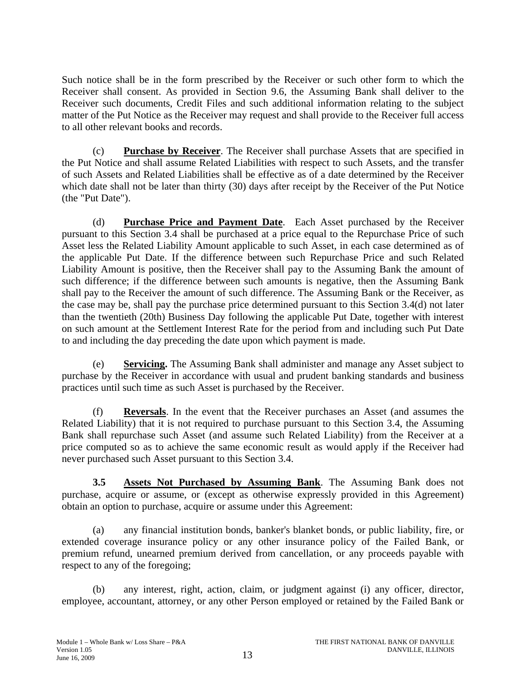Such notice shall be in the form prescribed by the Receiver or such other form to which the Receiver shall consent. As provided in Section 9.6, the Assuming Bank shall deliver to the Receiver such documents, Credit Files and such additional information relating to the subject matter of the Put Notice as the Receiver may request and shall provide to the Receiver full access to all other relevant books and records.

(c) **Purchase by Receiver**. The Receiver shall purchase Assets that are specified in the Put Notice and shall assume Related Liabilities with respect to such Assets, and the transfer of such Assets and Related Liabilities shall be effective as of a date determined by the Receiver which date shall not be later than thirty (30) days after receipt by the Receiver of the Put Notice (the "Put Date").

(d) **Purchase Price and Payment Date**. Each Asset purchased by the Receiver pursuant to this Section 3.4 shall be purchased at a price equal to the Repurchase Price of such Asset less the Related Liability Amount applicable to such Asset, in each case determined as of the applicable Put Date. If the difference between such Repurchase Price and such Related Liability Amount is positive, then the Receiver shall pay to the Assuming Bank the amount of such difference; if the difference between such amounts is negative, then the Assuming Bank shall pay to the Receiver the amount of such difference. The Assuming Bank or the Receiver, as the case may be, shall pay the purchase price determined pursuant to this Section 3.4(d) not later than the twentieth (20th) Business Day following the applicable Put Date, together with interest on such amount at the Settlement Interest Rate for the period from and including such Put Date to and including the day preceding the date upon which payment is made.

(e) **Servicing.** The Assuming Bank shall administer and manage any Asset subject to purchase by the Receiver in accordance with usual and prudent banking standards and business practices until such time as such Asset is purchased by the Receiver.

(f) **Reversals**. In the event that the Receiver purchases an Asset (and assumes the Related Liability) that it is not required to purchase pursuant to this Section 3.4, the Assuming Bank shall repurchase such Asset (and assume such Related Liability) from the Receiver at a price computed so as to achieve the same economic result as would apply if the Receiver had never purchased such Asset pursuant to this Section 3.4.

**3.5 Assets Not Purchased by Assuming Bank**. The Assuming Bank does not purchase, acquire or assume, or (except as otherwise expressly provided in this Agreement) obtain an option to purchase, acquire or assume under this Agreement:

(a) any financial institution bonds, banker's blanket bonds, or public liability, fire, or extended coverage insurance policy or any other insurance policy of the Failed Bank, or premium refund, unearned premium derived from cancellation, or any proceeds payable with respect to any of the foregoing;

(b) any interest, right, action, claim, or judgment against (i) any officer, director, employee, accountant, attorney, or any other Person employed or retained by the Failed Bank or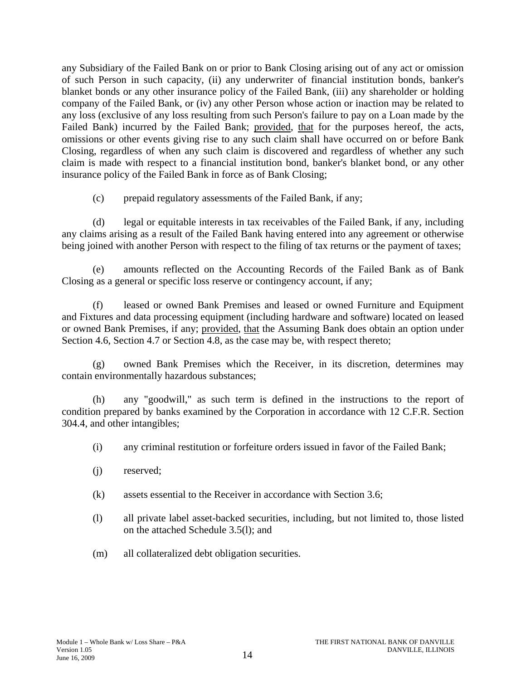any Subsidiary of the Failed Bank on or prior to Bank Closing arising out of any act or omission of such Person in such capacity, (ii) any underwriter of financial institution bonds, banker's blanket bonds or any other insurance policy of the Failed Bank, (iii) any shareholder or holding company of the Failed Bank, or (iv) any other Person whose action or inaction may be related to any loss (exclusive of any loss resulting from such Person's failure to pay on a Loan made by the Failed Bank) incurred by the Failed Bank; provided, that for the purposes hereof, the acts, omissions or other events giving rise to any such claim shall have occurred on or before Bank Closing, regardless of when any such claim is discovered and regardless of whether any such claim is made with respect to a financial institution bond, banker's blanket bond, or any other insurance policy of the Failed Bank in force as of Bank Closing;

(c) prepaid regulatory assessments of the Failed Bank, if any;

(d) legal or equitable interests in tax receivables of the Failed Bank, if any, including any claims arising as a result of the Failed Bank having entered into any agreement or otherwise being joined with another Person with respect to the filing of tax returns or the payment of taxes;

(e) amounts reflected on the Accounting Records of the Failed Bank as of Bank Closing as a general or specific loss reserve or contingency account, if any;

(f) leased or owned Bank Premises and leased or owned Furniture and Equipment and Fixtures and data processing equipment (including hardware and software) located on leased or owned Bank Premises, if any; provided, that the Assuming Bank does obtain an option under Section 4.6, Section 4.7 or Section 4.8, as the case may be, with respect thereto;

(g) owned Bank Premises which the Receiver, in its discretion, determines may contain environmentally hazardous substances;

(h) any "goodwill," as such term is defined in the instructions to the report of condition prepared by banks examined by the Corporation in accordance with 12 C.F.R. Section 304.4, and other intangibles;

- (i) any criminal restitution or forfeiture orders issued in favor of the Failed Bank;
- (j) reserved;
- (k) assets essential to the Receiver in accordance with Section 3.6;
- (l) all private label asset-backed securities, including, but not limited to, those listed on the attached Schedule 3.5(l); and
- (m) all collateralized debt obligation securities.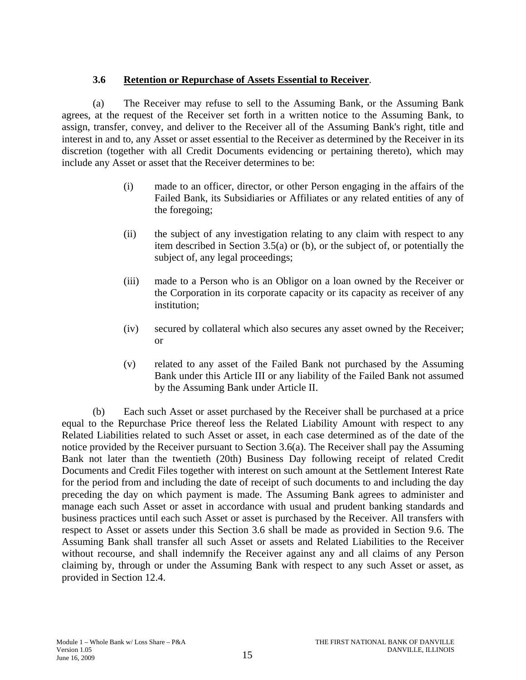### **3.6 Retention or Repurchase of Assets Essential to Receiver**.

(a) The Receiver may refuse to sell to the Assuming Bank, or the Assuming Bank agrees, at the request of the Receiver set forth in a written notice to the Assuming Bank, to assign, transfer, convey, and deliver to the Receiver all of the Assuming Bank's right, title and interest in and to, any Asset or asset essential to the Receiver as determined by the Receiver in its discretion (together with all Credit Documents evidencing or pertaining thereto), which may include any Asset or asset that the Receiver determines to be:

- (i) made to an officer, director, or other Person engaging in the affairs of the Failed Bank, its Subsidiaries or Affiliates or any related entities of any of the foregoing;
- (ii) the subject of any investigation relating to any claim with respect to any item described in Section 3.5(a) or (b), or the subject of, or potentially the subject of, any legal proceedings;
- (iii) made to a Person who is an Obligor on a loan owned by the Receiver or the Corporation in its corporate capacity or its capacity as receiver of any institution;
- (iv) secured by collateral which also secures any asset owned by the Receiver; or
- (v) related to any asset of the Failed Bank not purchased by the Assuming Bank under this Article III or any liability of the Failed Bank not assumed by the Assuming Bank under Article II.

(b) Each such Asset or asset purchased by the Receiver shall be purchased at a price equal to the Repurchase Price thereof less the Related Liability Amount with respect to any Related Liabilities related to such Asset or asset, in each case determined as of the date of the notice provided by the Receiver pursuant to Section 3.6(a). The Receiver shall pay the Assuming Bank not later than the twentieth (20th) Business Day following receipt of related Credit Documents and Credit Files together with interest on such amount at the Settlement Interest Rate for the period from and including the date of receipt of such documents to and including the day preceding the day on which payment is made. The Assuming Bank agrees to administer and manage each such Asset or asset in accordance with usual and prudent banking standards and business practices until each such Asset or asset is purchased by the Receiver. All transfers with respect to Asset or assets under this Section 3.6 shall be made as provided in Section 9.6. The Assuming Bank shall transfer all such Asset or assets and Related Liabilities to the Receiver without recourse, and shall indemnify the Receiver against any and all claims of any Person claiming by, through or under the Assuming Bank with respect to any such Asset or asset, as provided in Section 12.4.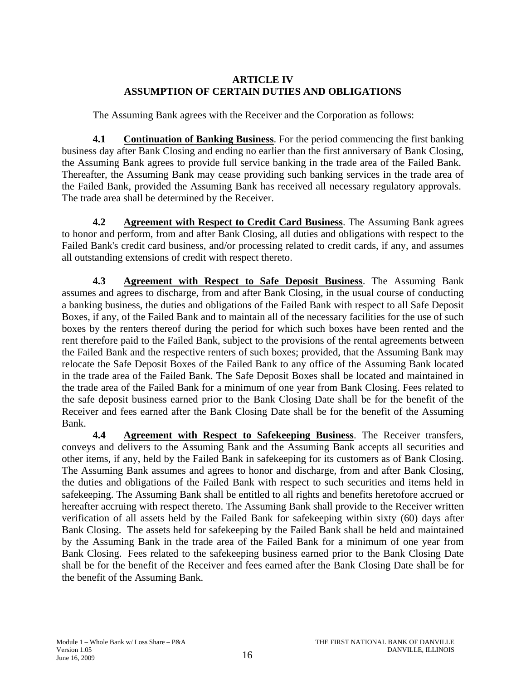### **ARTICLE IV ASSUMPTION OF CERTAIN DUTIES AND OBLIGATIONS**

The Assuming Bank agrees with the Receiver and the Corporation as follows:

**4.1 Continuation of Banking Business**. For the period commencing the first banking business day after Bank Closing and ending no earlier than the first anniversary of Bank Closing, the Assuming Bank agrees to provide full service banking in the trade area of the Failed Bank. Thereafter, the Assuming Bank may cease providing such banking services in the trade area of the Failed Bank, provided the Assuming Bank has received all necessary regulatory approvals. The trade area shall be determined by the Receiver.

**4.2 Agreement with Respect to Credit Card Business**. The Assuming Bank agrees to honor and perform, from and after Bank Closing, all duties and obligations with respect to the Failed Bank's credit card business, and/or processing related to credit cards, if any, and assumes all outstanding extensions of credit with respect thereto.

**4.3 Agreement with Respect to Safe Deposit Business**. The Assuming Bank assumes and agrees to discharge, from and after Bank Closing, in the usual course of conducting a banking business, the duties and obligations of the Failed Bank with respect to all Safe Deposit Boxes, if any, of the Failed Bank and to maintain all of the necessary facilities for the use of such boxes by the renters thereof during the period for which such boxes have been rented and the rent therefore paid to the Failed Bank, subject to the provisions of the rental agreements between the Failed Bank and the respective renters of such boxes; provided, that the Assuming Bank may relocate the Safe Deposit Boxes of the Failed Bank to any office of the Assuming Bank located in the trade area of the Failed Bank. The Safe Deposit Boxes shall be located and maintained in the trade area of the Failed Bank for a minimum of one year from Bank Closing. Fees related to the safe deposit business earned prior to the Bank Closing Date shall be for the benefit of the Receiver and fees earned after the Bank Closing Date shall be for the benefit of the Assuming Bank.

**4.4 Agreement with Respect to Safekeeping Business**. The Receiver transfers, conveys and delivers to the Assuming Bank and the Assuming Bank accepts all securities and other items, if any, held by the Failed Bank in safekeeping for its customers as of Bank Closing. The Assuming Bank assumes and agrees to honor and discharge, from and after Bank Closing, the duties and obligations of the Failed Bank with respect to such securities and items held in safekeeping. The Assuming Bank shall be entitled to all rights and benefits heretofore accrued or hereafter accruing with respect thereto. The Assuming Bank shall provide to the Receiver written verification of all assets held by the Failed Bank for safekeeping within sixty (60) days after Bank Closing. The assets held for safekeeping by the Failed Bank shall be held and maintained by the Assuming Bank in the trade area of the Failed Bank for a minimum of one year from Bank Closing. Fees related to the safekeeping business earned prior to the Bank Closing Date shall be for the benefit of the Receiver and fees earned after the Bank Closing Date shall be for the benefit of the Assuming Bank.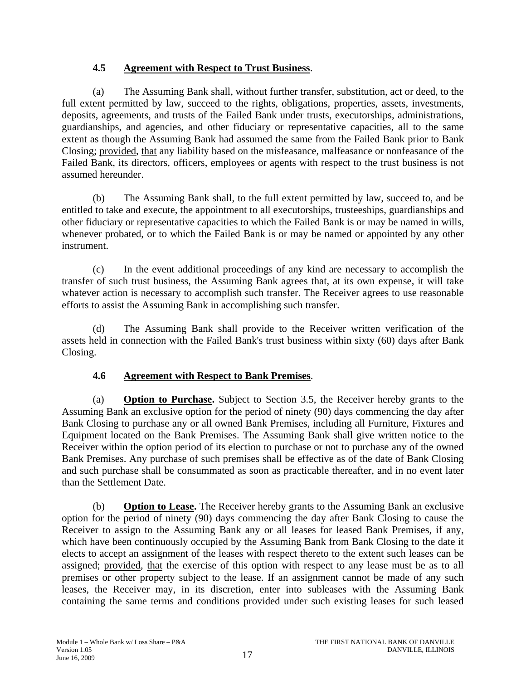# **4.5 Agreement with Respect to Trust Business**.

(a) The Assuming Bank shall, without further transfer, substitution, act or deed, to the full extent permitted by law, succeed to the rights, obligations, properties, assets, investments, deposits, agreements, and trusts of the Failed Bank under trusts, executorships, administrations, guardianships, and agencies, and other fiduciary or representative capacities, all to the same extent as though the Assuming Bank had assumed the same from the Failed Bank prior to Bank Closing; provided, that any liability based on the misfeasance, malfeasance or nonfeasance of the Failed Bank, its directors, officers, employees or agents with respect to the trust business is not assumed hereunder.

(b) The Assuming Bank shall, to the full extent permitted by law, succeed to, and be entitled to take and execute, the appointment to all executorships, trusteeships, guardianships and other fiduciary or representative capacities to which the Failed Bank is or may be named in wills, whenever probated, or to which the Failed Bank is or may be named or appointed by any other instrument.

(c) In the event additional proceedings of any kind are necessary to accomplish the transfer of such trust business, the Assuming Bank agrees that, at its own expense, it will take whatever action is necessary to accomplish such transfer. The Receiver agrees to use reasonable efforts to assist the Assuming Bank in accomplishing such transfer.

(d) The Assuming Bank shall provide to the Receiver written verification of the assets held in connection with the Failed Bank's trust business within sixty (60) days after Bank Closing.

# **4.6 Agreement with Respect to Bank Premises**.

(a) **Option to Purchase.** Subject to Section 3.5, the Receiver hereby grants to the Assuming Bank an exclusive option for the period of ninety (90) days commencing the day after Bank Closing to purchase any or all owned Bank Premises, including all Furniture, Fixtures and Equipment located on the Bank Premises. The Assuming Bank shall give written notice to the Receiver within the option period of its election to purchase or not to purchase any of the owned Bank Premises. Any purchase of such premises shall be effective as of the date of Bank Closing and such purchase shall be consummated as soon as practicable thereafter, and in no event later than the Settlement Date.

(b) **Option to Lease.** The Receiver hereby grants to the Assuming Bank an exclusive option for the period of ninety (90) days commencing the day after Bank Closing to cause the Receiver to assign to the Assuming Bank any or all leases for leased Bank Premises, if any, which have been continuously occupied by the Assuming Bank from Bank Closing to the date it elects to accept an assignment of the leases with respect thereto to the extent such leases can be assigned; provided, that the exercise of this option with respect to any lease must be as to all premises or other property subject to the lease. If an assignment cannot be made of any such leases, the Receiver may, in its discretion, enter into subleases with the Assuming Bank containing the same terms and conditions provided under such existing leases for such leased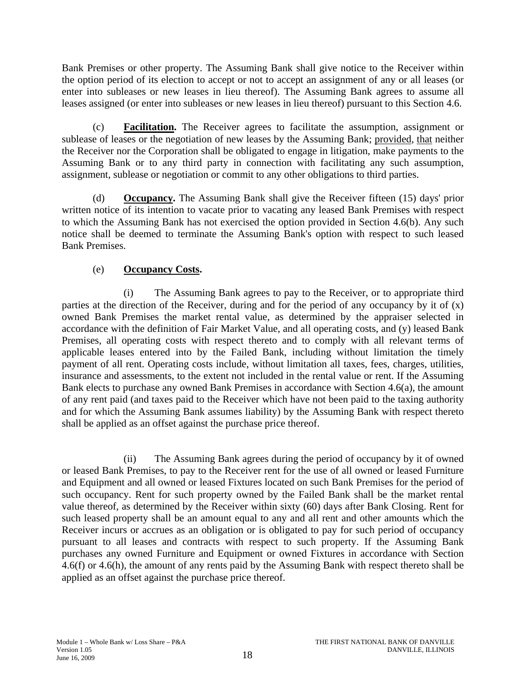Bank Premises or other property. The Assuming Bank shall give notice to the Receiver within the option period of its election to accept or not to accept an assignment of any or all leases (or enter into subleases or new leases in lieu thereof). The Assuming Bank agrees to assume all leases assigned (or enter into subleases or new leases in lieu thereof) pursuant to this Section 4.6.

(c) **Facilitation.** The Receiver agrees to facilitate the assumption, assignment or sublease of leases or the negotiation of new leases by the Assuming Bank; provided, that neither the Receiver nor the Corporation shall be obligated to engage in litigation, make payments to the Assuming Bank or to any third party in connection with facilitating any such assumption, assignment, sublease or negotiation or commit to any other obligations to third parties.

(d) **Occupancy.** The Assuming Bank shall give the Receiver fifteen (15) days' prior written notice of its intention to vacate prior to vacating any leased Bank Premises with respect to which the Assuming Bank has not exercised the option provided in Section 4.6(b). Any such notice shall be deemed to terminate the Assuming Bank's option with respect to such leased Bank Premises.

# (e) **Occupancy Costs.**

(i) The Assuming Bank agrees to pay to the Receiver, or to appropriate third parties at the direction of the Receiver, during and for the period of any occupancy by it of (x) owned Bank Premises the market rental value, as determined by the appraiser selected in accordance with the definition of Fair Market Value, and all operating costs, and (y) leased Bank Premises, all operating costs with respect thereto and to comply with all relevant terms of applicable leases entered into by the Failed Bank, including without limitation the timely payment of all rent. Operating costs include, without limitation all taxes, fees, charges, utilities, insurance and assessments, to the extent not included in the rental value or rent. If the Assuming Bank elects to purchase any owned Bank Premises in accordance with Section 4.6(a), the amount of any rent paid (and taxes paid to the Receiver which have not been paid to the taxing authority and for which the Assuming Bank assumes liability) by the Assuming Bank with respect thereto shall be applied as an offset against the purchase price thereof.

(ii) The Assuming Bank agrees during the period of occupancy by it of owned or leased Bank Premises, to pay to the Receiver rent for the use of all owned or leased Furniture and Equipment and all owned or leased Fixtures located on such Bank Premises for the period of such occupancy. Rent for such property owned by the Failed Bank shall be the market rental value thereof, as determined by the Receiver within sixty (60) days after Bank Closing. Rent for such leased property shall be an amount equal to any and all rent and other amounts which the Receiver incurs or accrues as an obligation or is obligated to pay for such period of occupancy pursuant to all leases and contracts with respect to such property. If the Assuming Bank purchases any owned Furniture and Equipment or owned Fixtures in accordance with Section 4.6(f) or 4.6(h), the amount of any rents paid by the Assuming Bank with respect thereto shall be applied as an offset against the purchase price thereof.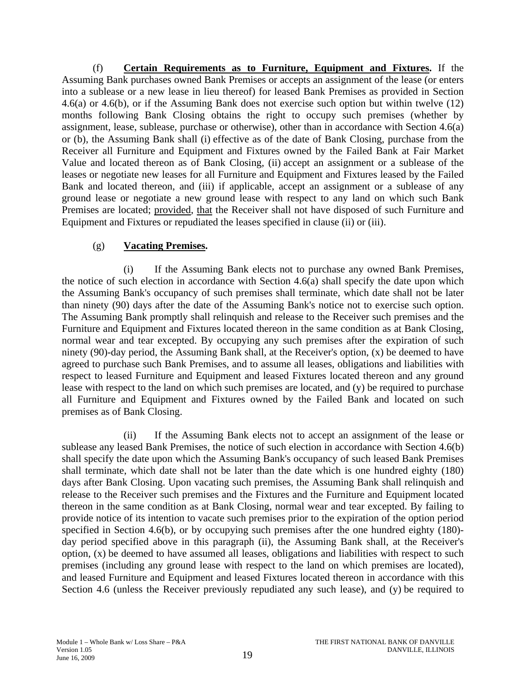(f) **Certain Requirements as to Furniture, Equipment and Fixtures.** If the Assuming Bank purchases owned Bank Premises or accepts an assignment of the lease (or enters into a sublease or a new lease in lieu thereof) for leased Bank Premises as provided in Section 4.6(a) or 4.6(b), or if the Assuming Bank does not exercise such option but within twelve (12) months following Bank Closing obtains the right to occupy such premises (whether by assignment, lease, sublease, purchase or otherwise), other than in accordance with Section 4.6(a) or (b), the Assuming Bank shall (i) effective as of the date of Bank Closing, purchase from the Receiver all Furniture and Equipment and Fixtures owned by the Failed Bank at Fair Market Value and located thereon as of Bank Closing, (ii) accept an assignment or a sublease of the leases or negotiate new leases for all Furniture and Equipment and Fixtures leased by the Failed Bank and located thereon, and (iii) if applicable, accept an assignment or a sublease of any ground lease or negotiate a new ground lease with respect to any land on which such Bank Premises are located; provided, that the Receiver shall not have disposed of such Furniture and Equipment and Fixtures or repudiated the leases specified in clause (ii) or (iii).

# (g) **Vacating Premises.**

(i) If the Assuming Bank elects not to purchase any owned Bank Premises, the notice of such election in accordance with Section 4.6(a) shall specify the date upon which the Assuming Bank's occupancy of such premises shall terminate, which date shall not be later than ninety (90) days after the date of the Assuming Bank's notice not to exercise such option. The Assuming Bank promptly shall relinquish and release to the Receiver such premises and the Furniture and Equipment and Fixtures located thereon in the same condition as at Bank Closing, normal wear and tear excepted. By occupying any such premises after the expiration of such ninety (90)-day period, the Assuming Bank shall, at the Receiver's option, (x) be deemed to have agreed to purchase such Bank Premises, and to assume all leases, obligations and liabilities with respect to leased Furniture and Equipment and leased Fixtures located thereon and any ground lease with respect to the land on which such premises are located, and (y) be required to purchase all Furniture and Equipment and Fixtures owned by the Failed Bank and located on such premises as of Bank Closing.

(ii) If the Assuming Bank elects not to accept an assignment of the lease or sublease any leased Bank Premises, the notice of such election in accordance with Section 4.6(b) shall specify the date upon which the Assuming Bank's occupancy of such leased Bank Premises shall terminate, which date shall not be later than the date which is one hundred eighty (180) days after Bank Closing. Upon vacating such premises, the Assuming Bank shall relinquish and release to the Receiver such premises and the Fixtures and the Furniture and Equipment located thereon in the same condition as at Bank Closing, normal wear and tear excepted. By failing to provide notice of its intention to vacate such premises prior to the expiration of the option period specified in Section 4.6(b), or by occupying such premises after the one hundred eighty (180)day period specified above in this paragraph (ii), the Assuming Bank shall, at the Receiver's option, (x) be deemed to have assumed all leases, obligations and liabilities with respect to such premises (including any ground lease with respect to the land on which premises are located), and leased Furniture and Equipment and leased Fixtures located thereon in accordance with this Section 4.6 (unless the Receiver previously repudiated any such lease), and (y) be required to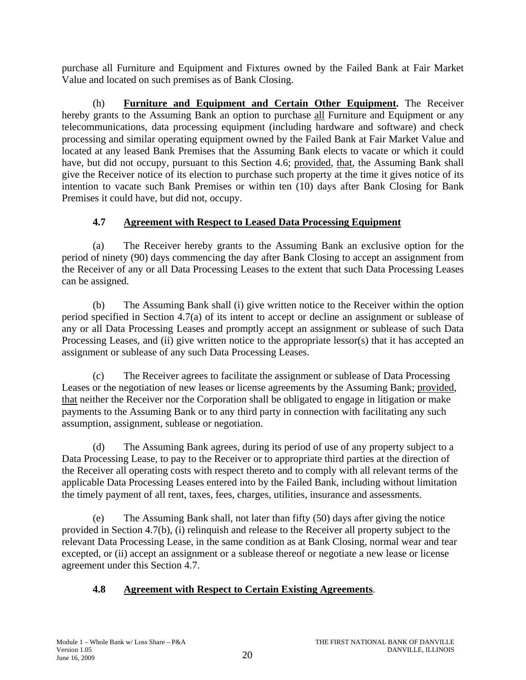purchase all Furniture and Equipment and Fixtures owned by the Failed Bank at Fair Market Value and located on such premises as of Bank Closing.

(h) **Furniture and Equipment and Certain Other Equipment.** The Receiver hereby grants to the Assuming Bank an option to purchase all Furniture and Equipment or any telecommunications, data processing equipment (including hardware and software) and check processing and similar operating equipment owned by the Failed Bank at Fair Market Value and located at any leased Bank Premises that the Assuming Bank elects to vacate or which it could have, but did not occupy, pursuant to this Section 4.6; provided, that, the Assuming Bank shall give the Receiver notice of its election to purchase such property at the time it gives notice of its intention to vacate such Bank Premises or within ten (10) days after Bank Closing for Bank Premises it could have, but did not, occupy.

# **4.7 Agreement with Respect to Leased Data Processing Equipment**

(a) The Receiver hereby grants to the Assuming Bank an exclusive option for the period of ninety (90) days commencing the day after Bank Closing to accept an assignment from the Receiver of any or all Data Processing Leases to the extent that such Data Processing Leases can be assigned.

(b) The Assuming Bank shall (i) give written notice to the Receiver within the option period specified in Section 4.7(a) of its intent to accept or decline an assignment or sublease of any or all Data Processing Leases and promptly accept an assignment or sublease of such Data Processing Leases, and (ii) give written notice to the appropriate lessor(s) that it has accepted an assignment or sublease of any such Data Processing Leases.

(c) The Receiver agrees to facilitate the assignment or sublease of Data Processing Leases or the negotiation of new leases or license agreements by the Assuming Bank; provided, that neither the Receiver nor the Corporation shall be obligated to engage in litigation or make payments to the Assuming Bank or to any third party in connection with facilitating any such assumption, assignment, sublease or negotiation.

(d) The Assuming Bank agrees, during its period of use of any property subject to a Data Processing Lease, to pay to the Receiver or to appropriate third parties at the direction of the Receiver all operating costs with respect thereto and to comply with all relevant terms of the applicable Data Processing Leases entered into by the Failed Bank, including without limitation the timely payment of all rent, taxes, fees, charges, utilities, insurance and assessments.

(e) The Assuming Bank shall, not later than fifty (50) days after giving the notice provided in Section 4.7(b), (i) relinquish and release to the Receiver all property subject to the relevant Data Processing Lease, in the same condition as at Bank Closing, normal wear and tear excepted, or (ii) accept an assignment or a sublease thereof or negotiate a new lease or license agreement under this Section 4.7.

# **4.8 Agreement with Respect to Certain Existing Agreements**.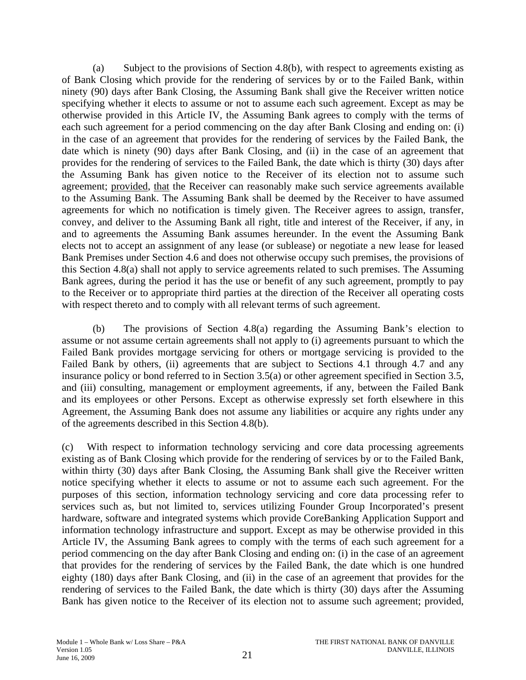(a) Subject to the provisions of Section 4.8(b), with respect to agreements existing as of Bank Closing which provide for the rendering of services by or to the Failed Bank, within ninety (90) days after Bank Closing, the Assuming Bank shall give the Receiver written notice specifying whether it elects to assume or not to assume each such agreement. Except as may be otherwise provided in this Article IV, the Assuming Bank agrees to comply with the terms of each such agreement for a period commencing on the day after Bank Closing and ending on: (i) in the case of an agreement that provides for the rendering of services by the Failed Bank, the date which is ninety (90) days after Bank Closing, and (ii) in the case of an agreement that provides for the rendering of services to the Failed Bank, the date which is thirty (30) days after the Assuming Bank has given notice to the Receiver of its election not to assume such agreement; provided, that the Receiver can reasonably make such service agreements available to the Assuming Bank. The Assuming Bank shall be deemed by the Receiver to have assumed agreements for which no notification is timely given. The Receiver agrees to assign, transfer, convey, and deliver to the Assuming Bank all right, title and interest of the Receiver, if any, in and to agreements the Assuming Bank assumes hereunder. In the event the Assuming Bank elects not to accept an assignment of any lease (or sublease) or negotiate a new lease for leased Bank Premises under Section 4.6 and does not otherwise occupy such premises, the provisions of this Section 4.8(a) shall not apply to service agreements related to such premises. The Assuming Bank agrees, during the period it has the use or benefit of any such agreement, promptly to pay to the Receiver or to appropriate third parties at the direction of the Receiver all operating costs with respect thereto and to comply with all relevant terms of such agreement.

(b) The provisions of Section 4.8(a) regarding the Assuming Bank's election to assume or not assume certain agreements shall not apply to (i) agreements pursuant to which the Failed Bank provides mortgage servicing for others or mortgage servicing is provided to the Failed Bank by others, (ii) agreements that are subject to Sections 4.1 through 4.7 and any insurance policy or bond referred to in Section 3.5(a) or other agreement specified in Section 3.5, and (iii) consulting, management or employment agreements, if any, between the Failed Bank and its employees or other Persons. Except as otherwise expressly set forth elsewhere in this Agreement, the Assuming Bank does not assume any liabilities or acquire any rights under any of the agreements described in this Section 4.8(b).

(c) With respect to information technology servicing and core data processing agreements existing as of Bank Closing which provide for the rendering of services by or to the Failed Bank, within thirty (30) days after Bank Closing, the Assuming Bank shall give the Receiver written notice specifying whether it elects to assume or not to assume each such agreement. For the purposes of this section, information technology servicing and core data processing refer to services such as, but not limited to, services utilizing Founder Group Incorporated's present hardware, software and integrated systems which provide CoreBanking Application Support and information technology infrastructure and support. Except as may be otherwise provided in this Article IV, the Assuming Bank agrees to comply with the terms of each such agreement for a period commencing on the day after Bank Closing and ending on: (i) in the case of an agreement that provides for the rendering of services by the Failed Bank, the date which is one hundred eighty (180) days after Bank Closing, and (ii) in the case of an agreement that provides for the rendering of services to the Failed Bank, the date which is thirty (30) days after the Assuming Bank has given notice to the Receiver of its election not to assume such agreement; provided,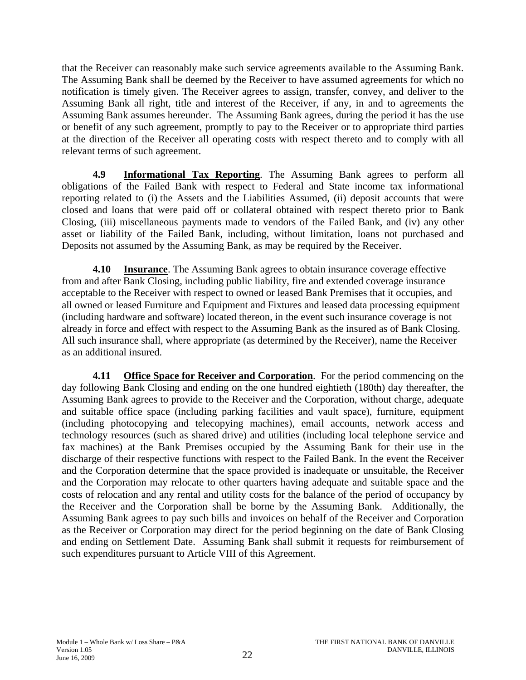that the Receiver can reasonably make such service agreements available to the Assuming Bank. The Assuming Bank shall be deemed by the Receiver to have assumed agreements for which no notification is timely given. The Receiver agrees to assign, transfer, convey, and deliver to the Assuming Bank all right, title and interest of the Receiver, if any, in and to agreements the Assuming Bank assumes hereunder. The Assuming Bank agrees, during the period it has the use or benefit of any such agreement, promptly to pay to the Receiver or to appropriate third parties at the direction of the Receiver all operating costs with respect thereto and to comply with all relevant terms of such agreement.

**4.9 Informational Tax Reporting**. The Assuming Bank agrees to perform all obligations of the Failed Bank with respect to Federal and State income tax informational reporting related to (i) the Assets and the Liabilities Assumed, (ii) deposit accounts that were closed and loans that were paid off or collateral obtained with respect thereto prior to Bank Closing, (iii) miscellaneous payments made to vendors of the Failed Bank, and (iv) any other asset or liability of the Failed Bank, including, without limitation, loans not purchased and Deposits not assumed by the Assuming Bank, as may be required by the Receiver.

**4.10 Insurance**. The Assuming Bank agrees to obtain insurance coverage effective from and after Bank Closing, including public liability, fire and extended coverage insurance acceptable to the Receiver with respect to owned or leased Bank Premises that it occupies, and all owned or leased Furniture and Equipment and Fixtures and leased data processing equipment (including hardware and software) located thereon, in the event such insurance coverage is not already in force and effect with respect to the Assuming Bank as the insured as of Bank Closing. All such insurance shall, where appropriate (as determined by the Receiver), name the Receiver as an additional insured.

**4.11 Office Space for Receiver and Corporation.** For the period commencing on the day following Bank Closing and ending on the one hundred eightieth (180th) day thereafter, the Assuming Bank agrees to provide to the Receiver and the Corporation, without charge, adequate and suitable office space (including parking facilities and vault space), furniture, equipment (including photocopying and telecopying machines), email accounts, network access and technology resources (such as shared drive) and utilities (including local telephone service and fax machines) at the Bank Premises occupied by the Assuming Bank for their use in the discharge of their respective functions with respect to the Failed Bank. In the event the Receiver and the Corporation determine that the space provided is inadequate or unsuitable, the Receiver and the Corporation may relocate to other quarters having adequate and suitable space and the costs of relocation and any rental and utility costs for the balance of the period of occupancy by the Receiver and the Corporation shall be borne by the Assuming Bank. Additionally, the Assuming Bank agrees to pay such bills and invoices on behalf of the Receiver and Corporation as the Receiver or Corporation may direct for the period beginning on the date of Bank Closing and ending on Settlement Date. Assuming Bank shall submit it requests for reimbursement of such expenditures pursuant to Article VIII of this Agreement.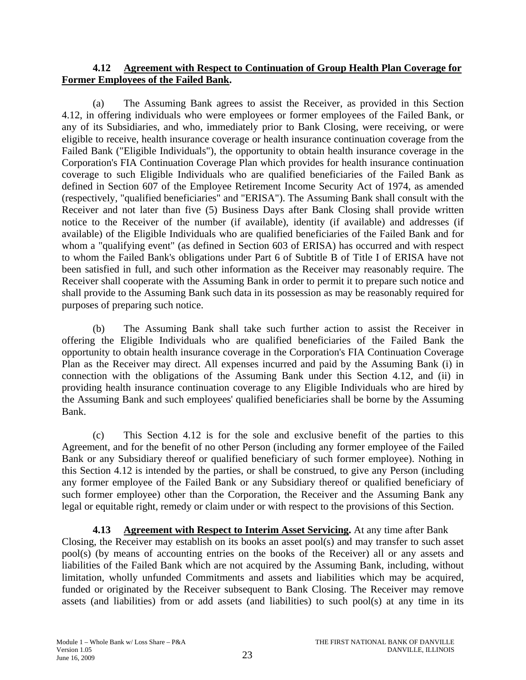### **4.12 Agreement with Respect to Continuation of Group Health Plan Coverage for Former Employees of the Failed Bank.**

(a) The Assuming Bank agrees to assist the Receiver, as provided in this Section 4.12, in offering individuals who were employees or former employees of the Failed Bank, or any of its Subsidiaries, and who, immediately prior to Bank Closing, were receiving, or were eligible to receive, health insurance coverage or health insurance continuation coverage from the Failed Bank ("Eligible Individuals"), the opportunity to obtain health insurance coverage in the Corporation's FIA Continuation Coverage Plan which provides for health insurance continuation coverage to such Eligible Individuals who are qualified beneficiaries of the Failed Bank as defined in Section 607 of the Employee Retirement Income Security Act of 1974, as amended (respectively, "qualified beneficiaries" and "ERISA"). The Assuming Bank shall consult with the Receiver and not later than five (5) Business Days after Bank Closing shall provide written notice to the Receiver of the number (if available), identity (if available) and addresses (if available) of the Eligible Individuals who are qualified beneficiaries of the Failed Bank and for whom a "qualifying event" (as defined in Section 603 of ERISA) has occurred and with respect to whom the Failed Bank's obligations under Part 6 of Subtitle B of Title I of ERISA have not been satisfied in full, and such other information as the Receiver may reasonably require. The Receiver shall cooperate with the Assuming Bank in order to permit it to prepare such notice and shall provide to the Assuming Bank such data in its possession as may be reasonably required for purposes of preparing such notice.

(b) The Assuming Bank shall take such further action to assist the Receiver in offering the Eligible Individuals who are qualified beneficiaries of the Failed Bank the opportunity to obtain health insurance coverage in the Corporation's FIA Continuation Coverage Plan as the Receiver may direct. All expenses incurred and paid by the Assuming Bank (i) in connection with the obligations of the Assuming Bank under this Section 4.12, and (ii) in providing health insurance continuation coverage to any Eligible Individuals who are hired by the Assuming Bank and such employees' qualified beneficiaries shall be borne by the Assuming Bank.

(c) This Section 4.12 is for the sole and exclusive benefit of the parties to this Agreement, and for the benefit of no other Person (including any former employee of the Failed Bank or any Subsidiary thereof or qualified beneficiary of such former employee). Nothing in this Section 4.12 is intended by the parties, or shall be construed, to give any Person (including any former employee of the Failed Bank or any Subsidiary thereof or qualified beneficiary of such former employee) other than the Corporation, the Receiver and the Assuming Bank any legal or equitable right, remedy or claim under or with respect to the provisions of this Section.

**4.13 Agreement with Respect to Interim Asset Servicing.** At any time after Bank Closing, the Receiver may establish on its books an asset pool(s) and may transfer to such asset pool(s) (by means of accounting entries on the books of the Receiver) all or any assets and liabilities of the Failed Bank which are not acquired by the Assuming Bank, including, without limitation, wholly unfunded Commitments and assets and liabilities which may be acquired, funded or originated by the Receiver subsequent to Bank Closing. The Receiver may remove assets (and liabilities) from or add assets (and liabilities) to such pool(s) at any time in its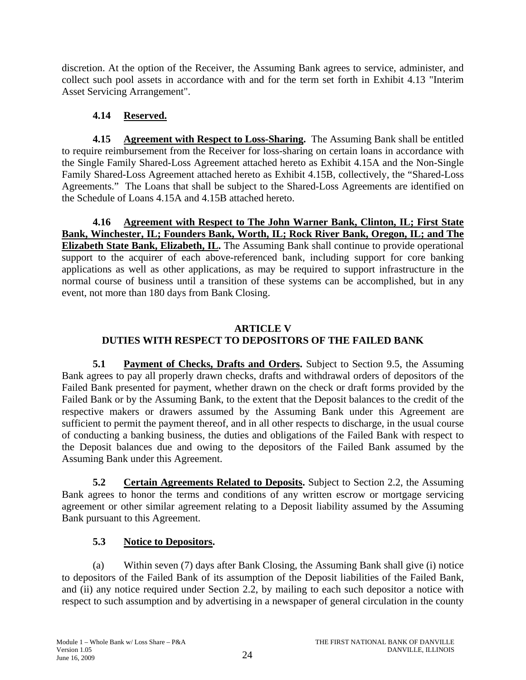discretion. At the option of the Receiver, the Assuming Bank agrees to service, administer, and collect such pool assets in accordance with and for the term set forth in Exhibit 4.13 "Interim Asset Servicing Arrangement".

# **4.14 Reserved.**

**4.15 Agreement with Respect to Loss-Sharing.** The Assuming Bank shall be entitled to require reimbursement from the Receiver for loss-sharing on certain loans in accordance with the Single Family Shared-Loss Agreement attached hereto as Exhibit 4.15A and the Non-Single Family Shared-Loss Agreement attached hereto as Exhibit 4.15B, collectively, the "Shared-Loss Agreements." The Loans that shall be subject to the Shared-Loss Agreements are identified on the Schedule of Loans 4.15A and 4.15B attached hereto.

**4.16 Agreement with Respect to The John Warner Bank, Clinton, IL; First State Bank, Winchester, IL; Founders Bank, Worth, IL; Rock River Bank, Oregon, IL; and The Elizabeth State Bank, Elizabeth, IL.** The Assuming Bank shall continue to provide operational support to the acquirer of each above-referenced bank, including support for core banking applications as well as other applications, as may be required to support infrastructure in the normal course of business until a transition of these systems can be accomplished, but in any event, not more than 180 days from Bank Closing.

# **ARTICLE V DUTIES WITH RESPECT TO DEPOSITORS OF THE FAILED BANK**

**5.1 Payment of Checks, Drafts and Orders.** Subject to Section 9.5, the Assuming Bank agrees to pay all properly drawn checks, drafts and withdrawal orders of depositors of the Failed Bank presented for payment, whether drawn on the check or draft forms provided by the Failed Bank or by the Assuming Bank, to the extent that the Deposit balances to the credit of the respective makers or drawers assumed by the Assuming Bank under this Agreement are sufficient to permit the payment thereof, and in all other respects to discharge, in the usual course of conducting a banking business, the duties and obligations of the Failed Bank with respect to the Deposit balances due and owing to the depositors of the Failed Bank assumed by the Assuming Bank under this Agreement.

**5.2 Certain Agreements Related to Deposits.** Subject to Section 2.2, the Assuming Bank agrees to honor the terms and conditions of any written escrow or mortgage servicing agreement or other similar agreement relating to a Deposit liability assumed by the Assuming Bank pursuant to this Agreement.

# **5.3 Notice to Depositors.**

(a) Within seven (7) days after Bank Closing, the Assuming Bank shall give (i) notice to depositors of the Failed Bank of its assumption of the Deposit liabilities of the Failed Bank, and (ii) any notice required under Section 2.2, by mailing to each such depositor a notice with respect to such assumption and by advertising in a newspaper of general circulation in the county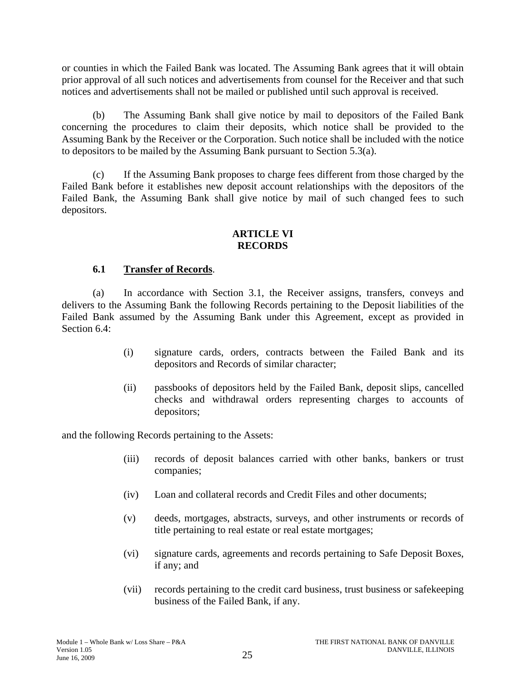or counties in which the Failed Bank was located. The Assuming Bank agrees that it will obtain prior approval of all such notices and advertisements from counsel for the Receiver and that such notices and advertisements shall not be mailed or published until such approval is received.

(b) The Assuming Bank shall give notice by mail to depositors of the Failed Bank concerning the procedures to claim their deposits, which notice shall be provided to the Assuming Bank by the Receiver or the Corporation. Such notice shall be included with the notice to depositors to be mailed by the Assuming Bank pursuant to Section 5.3(a).

(c) If the Assuming Bank proposes to charge fees different from those charged by the Failed Bank before it establishes new deposit account relationships with the depositors of the Failed Bank, the Assuming Bank shall give notice by mail of such changed fees to such depositors.

### **ARTICLE VI RECORDS**

### **6.1 Transfer of Records**.

(a) In accordance with Section 3.1, the Receiver assigns, transfers, conveys and delivers to the Assuming Bank the following Records pertaining to the Deposit liabilities of the Failed Bank assumed by the Assuming Bank under this Agreement, except as provided in Section 6.4:

- (i) signature cards, orders, contracts between the Failed Bank and its depositors and Records of similar character;
- (ii) passbooks of depositors held by the Failed Bank, deposit slips, cancelled checks and withdrawal orders representing charges to accounts of depositors;

and the following Records pertaining to the Assets:

- (iii) records of deposit balances carried with other banks, bankers or trust companies;
- (iv) Loan and collateral records and Credit Files and other documents;
- (v) deeds, mortgages, abstracts, surveys, and other instruments or records of title pertaining to real estate or real estate mortgages;
- (vi) signature cards, agreements and records pertaining to Safe Deposit Boxes, if any; and
- (vii) records pertaining to the credit card business, trust business or safekeeping business of the Failed Bank, if any.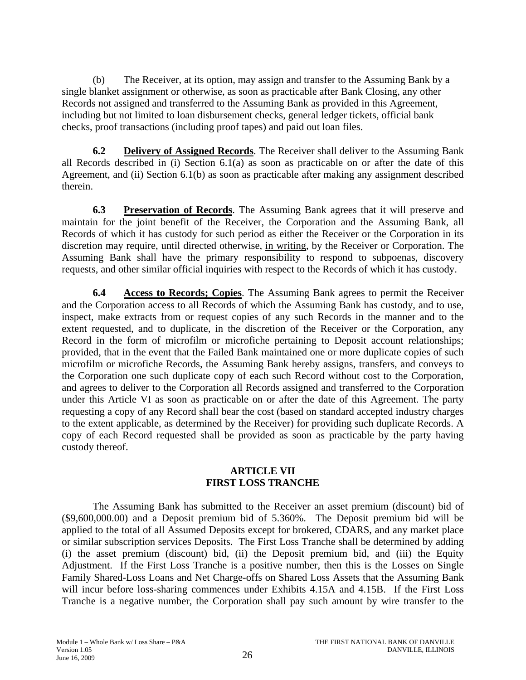(b) The Receiver, at its option, may assign and transfer to the Assuming Bank by a single blanket assignment or otherwise, as soon as practicable after Bank Closing, any other Records not assigned and transferred to the Assuming Bank as provided in this Agreement, including but not limited to loan disbursement checks, general ledger tickets, official bank checks, proof transactions (including proof tapes) and paid out loan files.

**6.2 Delivery of Assigned Records**. The Receiver shall deliver to the Assuming Bank all Records described in (i) Section 6.1(a) as soon as practicable on or after the date of this Agreement, and (ii) Section 6.1(b) as soon as practicable after making any assignment described therein.

**6.3 Preservation of Records**. The Assuming Bank agrees that it will preserve and maintain for the joint benefit of the Receiver, the Corporation and the Assuming Bank, all Records of which it has custody for such period as either the Receiver or the Corporation in its discretion may require, until directed otherwise, in writing, by the Receiver or Corporation. The Assuming Bank shall have the primary responsibility to respond to subpoenas, discovery requests, and other similar official inquiries with respect to the Records of which it has custody.

**6.4 Access to Records; Copies**. The Assuming Bank agrees to permit the Receiver and the Corporation access to all Records of which the Assuming Bank has custody, and to use, inspect, make extracts from or request copies of any such Records in the manner and to the extent requested, and to duplicate, in the discretion of the Receiver or the Corporation, any Record in the form of microfilm or microfiche pertaining to Deposit account relationships; provided, that in the event that the Failed Bank maintained one or more duplicate copies of such microfilm or microfiche Records, the Assuming Bank hereby assigns, transfers, and conveys to the Corporation one such duplicate copy of each such Record without cost to the Corporation, and agrees to deliver to the Corporation all Records assigned and transferred to the Corporation under this Article VI as soon as practicable on or after the date of this Agreement. The party requesting a copy of any Record shall bear the cost (based on standard accepted industry charges to the extent applicable, as determined by the Receiver) for providing such duplicate Records. A copy of each Record requested shall be provided as soon as practicable by the party having custody thereof.

### **ARTICLE VII FIRST LOSS TRANCHE**

 The Assuming Bank has submitted to the Receiver an asset premium (discount) bid of (\$9,600,000.00) and a Deposit premium bid of 5.360%. The Deposit premium bid will be applied to the total of all Assumed Deposits except for brokered, CDARS, and any market place or similar subscription services Deposits. The First Loss Tranche shall be determined by adding (i) the asset premium (discount) bid, (ii) the Deposit premium bid, and (iii) the Equity Adjustment. If the First Loss Tranche is a positive number, then this is the Losses on Single Family Shared-Loss Loans and Net Charge-offs on Shared Loss Assets that the Assuming Bank will incur before loss-sharing commences under Exhibits 4.15A and 4.15B. If the First Loss Tranche is a negative number, the Corporation shall pay such amount by wire transfer to the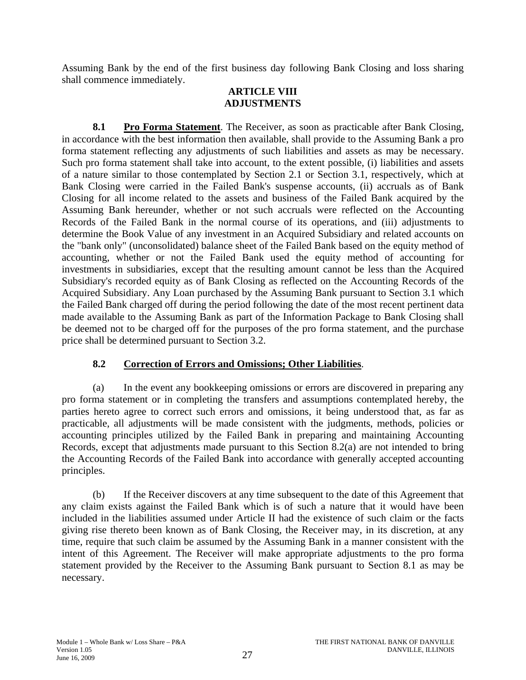Assuming Bank by the end of the first business day following Bank Closing and loss sharing shall commence immediately.

#### **ARTICLE VIII ADJUSTMENTS**

**8.1** Pro Forma Statement. The Receiver, as soon as practicable after Bank Closing, in accordance with the best information then available, shall provide to the Assuming Bank a pro forma statement reflecting any adjustments of such liabilities and assets as may be necessary. Such pro forma statement shall take into account, to the extent possible, (i) liabilities and assets of a nature similar to those contemplated by Section 2.1 or Section 3.1, respectively, which at Bank Closing were carried in the Failed Bank's suspense accounts, (ii) accruals as of Bank Closing for all income related to the assets and business of the Failed Bank acquired by the Assuming Bank hereunder, whether or not such accruals were reflected on the Accounting Records of the Failed Bank in the normal course of its operations, and (iii) adjustments to determine the Book Value of any investment in an Acquired Subsidiary and related accounts on the "bank only" (unconsolidated) balance sheet of the Failed Bank based on the equity method of accounting, whether or not the Failed Bank used the equity method of accounting for investments in subsidiaries, except that the resulting amount cannot be less than the Acquired Subsidiary's recorded equity as of Bank Closing as reflected on the Accounting Records of the Acquired Subsidiary. Any Loan purchased by the Assuming Bank pursuant to Section 3.1 which the Failed Bank charged off during the period following the date of the most recent pertinent data made available to the Assuming Bank as part of the Information Package to Bank Closing shall be deemed not to be charged off for the purposes of the pro forma statement, and the purchase price shall be determined pursuant to Section 3.2.

# **8.2 Correction of Errors and Omissions; Other Liabilities**.

(a) In the event any bookkeeping omissions or errors are discovered in preparing any pro forma statement or in completing the transfers and assumptions contemplated hereby, the parties hereto agree to correct such errors and omissions, it being understood that, as far as practicable, all adjustments will be made consistent with the judgments, methods, policies or accounting principles utilized by the Failed Bank in preparing and maintaining Accounting Records, except that adjustments made pursuant to this Section 8.2(a) are not intended to bring the Accounting Records of the Failed Bank into accordance with generally accepted accounting principles.

(b) If the Receiver discovers at any time subsequent to the date of this Agreement that any claim exists against the Failed Bank which is of such a nature that it would have been included in the liabilities assumed under Article II had the existence of such claim or the facts giving rise thereto been known as of Bank Closing, the Receiver may, in its discretion, at any time, require that such claim be assumed by the Assuming Bank in a manner consistent with the intent of this Agreement. The Receiver will make appropriate adjustments to the pro forma statement provided by the Receiver to the Assuming Bank pursuant to Section 8.1 as may be necessary.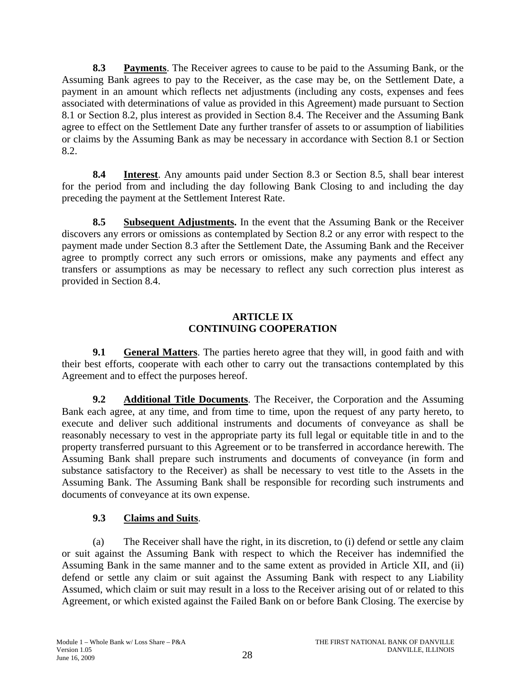**8.3 Payments**. The Receiver agrees to cause to be paid to the Assuming Bank, or the Assuming Bank agrees to pay to the Receiver, as the case may be, on the Settlement Date, a payment in an amount which reflects net adjustments (including any costs, expenses and fees associated with determinations of value as provided in this Agreement) made pursuant to Section 8.1 or Section 8.2, plus interest as provided in Section 8.4. The Receiver and the Assuming Bank agree to effect on the Settlement Date any further transfer of assets to or assumption of liabilities or claims by the Assuming Bank as may be necessary in accordance with Section 8.1 or Section 8.2.

**8.4 Interest**. Any amounts paid under Section 8.3 or Section 8.5, shall bear interest for the period from and including the day following Bank Closing to and including the day preceding the payment at the Settlement Interest Rate.

**8.5** Subsequent Adjustments. In the event that the Assuming Bank or the Receiver discovers any errors or omissions as contemplated by Section 8.2 or any error with respect to the payment made under Section 8.3 after the Settlement Date, the Assuming Bank and the Receiver agree to promptly correct any such errors or omissions, make any payments and effect any transfers or assumptions as may be necessary to reflect any such correction plus interest as provided in Section 8.4.

### **ARTICLE IX CONTINUING COOPERATION**

**9.1 General Matters**. The parties hereto agree that they will, in good faith and with their best efforts, cooperate with each other to carry out the transactions contemplated by this Agreement and to effect the purposes hereof.

**9.2** Additional Title Documents. The Receiver, the Corporation and the Assuming Bank each agree, at any time, and from time to time, upon the request of any party hereto, to execute and deliver such additional instruments and documents of conveyance as shall be reasonably necessary to vest in the appropriate party its full legal or equitable title in and to the property transferred pursuant to this Agreement or to be transferred in accordance herewith. The Assuming Bank shall prepare such instruments and documents of conveyance (in form and substance satisfactory to the Receiver) as shall be necessary to vest title to the Assets in the Assuming Bank. The Assuming Bank shall be responsible for recording such instruments and documents of conveyance at its own expense.

# **9.3 Claims and Suits**.

(a) The Receiver shall have the right, in its discretion, to (i) defend or settle any claim or suit against the Assuming Bank with respect to which the Receiver has indemnified the Assuming Bank in the same manner and to the same extent as provided in Article XII, and (ii) defend or settle any claim or suit against the Assuming Bank with respect to any Liability Assumed, which claim or suit may result in a loss to the Receiver arising out of or related to this Agreement, or which existed against the Failed Bank on or before Bank Closing. The exercise by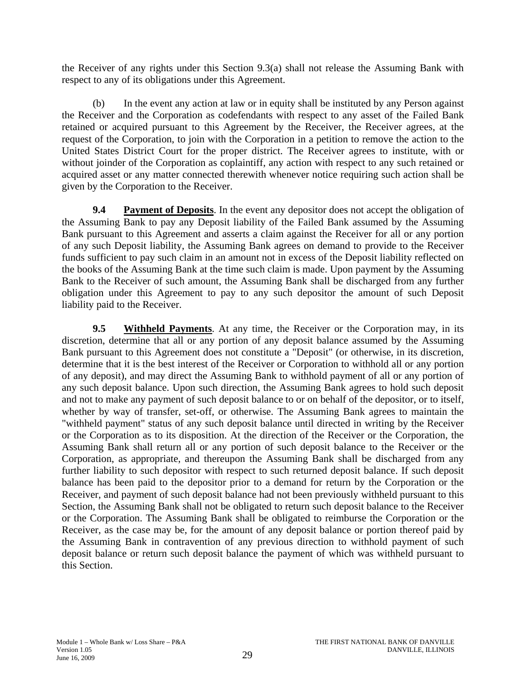the Receiver of any rights under this Section 9.3(a) shall not release the Assuming Bank with respect to any of its obligations under this Agreement.

(b) In the event any action at law or in equity shall be instituted by any Person against the Receiver and the Corporation as codefendants with respect to any asset of the Failed Bank retained or acquired pursuant to this Agreement by the Receiver, the Receiver agrees, at the request of the Corporation, to join with the Corporation in a petition to remove the action to the United States District Court for the proper district. The Receiver agrees to institute, with or without joinder of the Corporation as coplaintiff, any action with respect to any such retained or acquired asset or any matter connected therewith whenever notice requiring such action shall be given by the Corporation to the Receiver.

**9.4 Payment of Deposits**. In the event any depositor does not accept the obligation of the Assuming Bank to pay any Deposit liability of the Failed Bank assumed by the Assuming Bank pursuant to this Agreement and asserts a claim against the Receiver for all or any portion of any such Deposit liability, the Assuming Bank agrees on demand to provide to the Receiver funds sufficient to pay such claim in an amount not in excess of the Deposit liability reflected on the books of the Assuming Bank at the time such claim is made. Upon payment by the Assuming Bank to the Receiver of such amount, the Assuming Bank shall be discharged from any further obligation under this Agreement to pay to any such depositor the amount of such Deposit liability paid to the Receiver.

**9.5** Withheld Payments. At any time, the Receiver or the Corporation may, in its discretion, determine that all or any portion of any deposit balance assumed by the Assuming Bank pursuant to this Agreement does not constitute a "Deposit" (or otherwise, in its discretion, determine that it is the best interest of the Receiver or Corporation to withhold all or any portion of any deposit), and may direct the Assuming Bank to withhold payment of all or any portion of any such deposit balance. Upon such direction, the Assuming Bank agrees to hold such deposit and not to make any payment of such deposit balance to or on behalf of the depositor, or to itself, whether by way of transfer, set-off, or otherwise. The Assuming Bank agrees to maintain the "withheld payment" status of any such deposit balance until directed in writing by the Receiver or the Corporation as to its disposition. At the direction of the Receiver or the Corporation, the Assuming Bank shall return all or any portion of such deposit balance to the Receiver or the Corporation, as appropriate, and thereupon the Assuming Bank shall be discharged from any further liability to such depositor with respect to such returned deposit balance. If such deposit balance has been paid to the depositor prior to a demand for return by the Corporation or the Receiver, and payment of such deposit balance had not been previously withheld pursuant to this Section, the Assuming Bank shall not be obligated to return such deposit balance to the Receiver or the Corporation. The Assuming Bank shall be obligated to reimburse the Corporation or the Receiver, as the case may be, for the amount of any deposit balance or portion thereof paid by the Assuming Bank in contravention of any previous direction to withhold payment of such deposit balance or return such deposit balance the payment of which was withheld pursuant to this Section.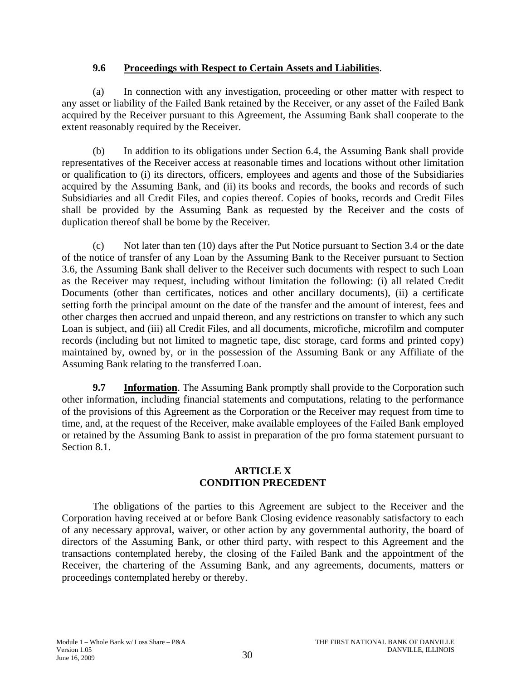### **9.6 Proceedings with Respect to Certain Assets and Liabilities**.

(a) In connection with any investigation, proceeding or other matter with respect to any asset or liability of the Failed Bank retained by the Receiver, or any asset of the Failed Bank acquired by the Receiver pursuant to this Agreement, the Assuming Bank shall cooperate to the extent reasonably required by the Receiver.

(b) In addition to its obligations under Section 6.4, the Assuming Bank shall provide representatives of the Receiver access at reasonable times and locations without other limitation or qualification to (i) its directors, officers, employees and agents and those of the Subsidiaries acquired by the Assuming Bank, and (ii) its books and records, the books and records of such Subsidiaries and all Credit Files, and copies thereof. Copies of books, records and Credit Files shall be provided by the Assuming Bank as requested by the Receiver and the costs of duplication thereof shall be borne by the Receiver.

(c) Not later than ten (10) days after the Put Notice pursuant to Section 3.4 or the date of the notice of transfer of any Loan by the Assuming Bank to the Receiver pursuant to Section 3.6, the Assuming Bank shall deliver to the Receiver such documents with respect to such Loan as the Receiver may request, including without limitation the following: (i) all related Credit Documents (other than certificates, notices and other ancillary documents), (ii) a certificate setting forth the principal amount on the date of the transfer and the amount of interest, fees and other charges then accrued and unpaid thereon, and any restrictions on transfer to which any such Loan is subject, and (iii) all Credit Files, and all documents, microfiche, microfilm and computer records (including but not limited to magnetic tape, disc storage, card forms and printed copy) maintained by, owned by, or in the possession of the Assuming Bank or any Affiliate of the Assuming Bank relating to the transferred Loan.

**9.7** Information. The Assuming Bank promptly shall provide to the Corporation such other information, including financial statements and computations, relating to the performance of the provisions of this Agreement as the Corporation or the Receiver may request from time to time, and, at the request of the Receiver, make available employees of the Failed Bank employed or retained by the Assuming Bank to assist in preparation of the pro forma statement pursuant to Section 8.1.

### **ARTICLE X CONDITION PRECEDENT**

The obligations of the parties to this Agreement are subject to the Receiver and the Corporation having received at or before Bank Closing evidence reasonably satisfactory to each of any necessary approval, waiver, or other action by any governmental authority, the board of directors of the Assuming Bank, or other third party, with respect to this Agreement and the transactions contemplated hereby, the closing of the Failed Bank and the appointment of the Receiver, the chartering of the Assuming Bank, and any agreements, documents, matters or proceedings contemplated hereby or thereby.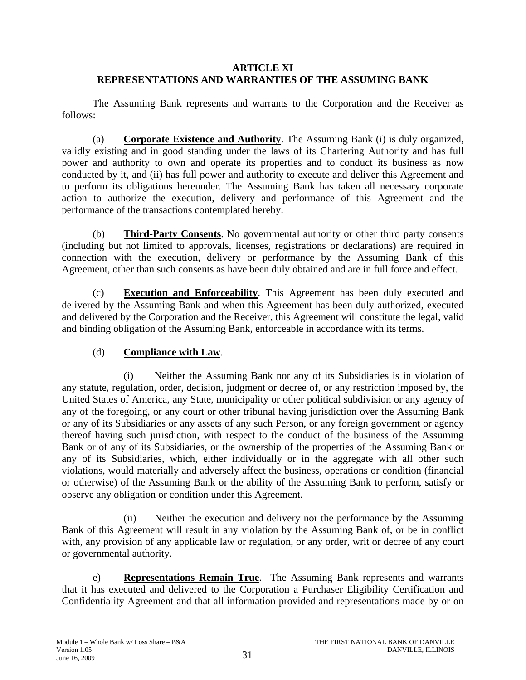### **ARTICLE XI REPRESENTATIONS AND WARRANTIES OF THE ASSUMING BANK**

The Assuming Bank represents and warrants to the Corporation and the Receiver as follows:

(a) **Corporate Existence and Authority**. The Assuming Bank (i) is duly organized, validly existing and in good standing under the laws of its Chartering Authority and has full power and authority to own and operate its properties and to conduct its business as now conducted by it, and (ii) has full power and authority to execute and deliver this Agreement and to perform its obligations hereunder. The Assuming Bank has taken all necessary corporate action to authorize the execution, delivery and performance of this Agreement and the performance of the transactions contemplated hereby.

(b) **Third-Party Consents**. No governmental authority or other third party consents (including but not limited to approvals, licenses, registrations or declarations) are required in connection with the execution, delivery or performance by the Assuming Bank of this Agreement, other than such consents as have been duly obtained and are in full force and effect.

(c) **Execution and Enforceability**. This Agreement has been duly executed and delivered by the Assuming Bank and when this Agreement has been duly authorized, executed and delivered by the Corporation and the Receiver, this Agreement will constitute the legal, valid and binding obligation of the Assuming Bank, enforceable in accordance with its terms.

# (d) **Compliance with Law**.

(i) Neither the Assuming Bank nor any of its Subsidiaries is in violation of any statute, regulation, order, decision, judgment or decree of, or any restriction imposed by, the United States of America, any State, municipality or other political subdivision or any agency of any of the foregoing, or any court or other tribunal having jurisdiction over the Assuming Bank or any of its Subsidiaries or any assets of any such Person, or any foreign government or agency thereof having such jurisdiction, with respect to the conduct of the business of the Assuming Bank or of any of its Subsidiaries, or the ownership of the properties of the Assuming Bank or any of its Subsidiaries, which, either individually or in the aggregate with all other such violations, would materially and adversely affect the business, operations or condition (financial or otherwise) of the Assuming Bank or the ability of the Assuming Bank to perform, satisfy or observe any obligation or condition under this Agreement.

(ii) Neither the execution and delivery nor the performance by the Assuming Bank of this Agreement will result in any violation by the Assuming Bank of, or be in conflict with, any provision of any applicable law or regulation, or any order, writ or decree of any court or governmental authority.

e) **Representations Remain True**. The Assuming Bank represents and warrants that it has executed and delivered to the Corporation a Purchaser Eligibility Certification and Confidentiality Agreement and that all information provided and representations made by or on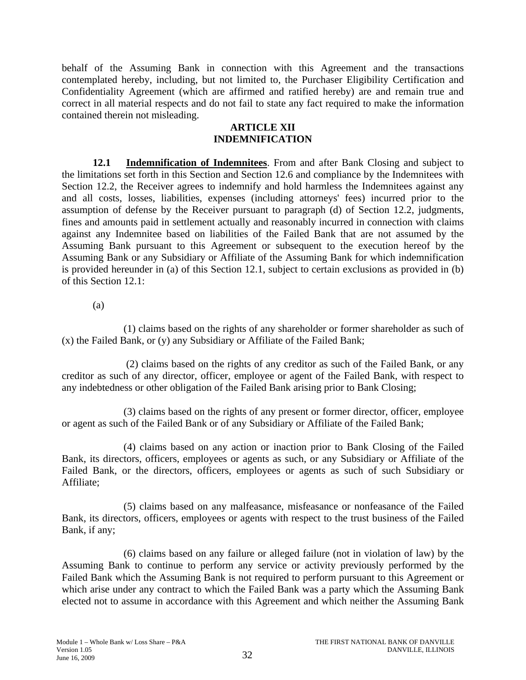behalf of the Assuming Bank in connection with this Agreement and the transactions contemplated hereby, including, but not limited to, the Purchaser Eligibility Certification and Confidentiality Agreement (which are affirmed and ratified hereby) are and remain true and correct in all material respects and do not fail to state any fact required to make the information contained therein not misleading.

#### **ARTICLE XII INDEMNIFICATION**

**12.1 Indemnification of Indemnitees**. From and after Bank Closing and subject to the limitations set forth in this Section and Section 12.6 and compliance by the Indemnitees with Section 12.2, the Receiver agrees to indemnify and hold harmless the Indemnitees against any and all costs, losses, liabilities, expenses (including attorneys' fees) incurred prior to the assumption of defense by the Receiver pursuant to paragraph (d) of Section 12.2, judgments, fines and amounts paid in settlement actually and reasonably incurred in connection with claims against any Indemnitee based on liabilities of the Failed Bank that are not assumed by the Assuming Bank pursuant to this Agreement or subsequent to the execution hereof by the Assuming Bank or any Subsidiary or Affiliate of the Assuming Bank for which indemnification is provided hereunder in (a) of this Section 12.1, subject to certain exclusions as provided in (b) of this Section 12.1:

### (a)

(1) claims based on the rights of any shareholder or former shareholder as such of (x) the Failed Bank, or (y) any Subsidiary or Affiliate of the Failed Bank;

(2) claims based on the rights of any creditor as such of the Failed Bank, or any creditor as such of any director, officer, employee or agent of the Failed Bank, with respect to any indebtedness or other obligation of the Failed Bank arising prior to Bank Closing;

(3) claims based on the rights of any present or former director, officer, employee or agent as such of the Failed Bank or of any Subsidiary or Affiliate of the Failed Bank;

(4) claims based on any action or inaction prior to Bank Closing of the Failed Bank, its directors, officers, employees or agents as such, or any Subsidiary or Affiliate of the Failed Bank, or the directors, officers, employees or agents as such of such Subsidiary or Affiliate;

(5) claims based on any malfeasance, misfeasance or nonfeasance of the Failed Bank, its directors, officers, employees or agents with respect to the trust business of the Failed Bank, if any;

(6) claims based on any failure or alleged failure (not in violation of law) by the Assuming Bank to continue to perform any service or activity previously performed by the Failed Bank which the Assuming Bank is not required to perform pursuant to this Agreement or which arise under any contract to which the Failed Bank was a party which the Assuming Bank elected not to assume in accordance with this Agreement and which neither the Assuming Bank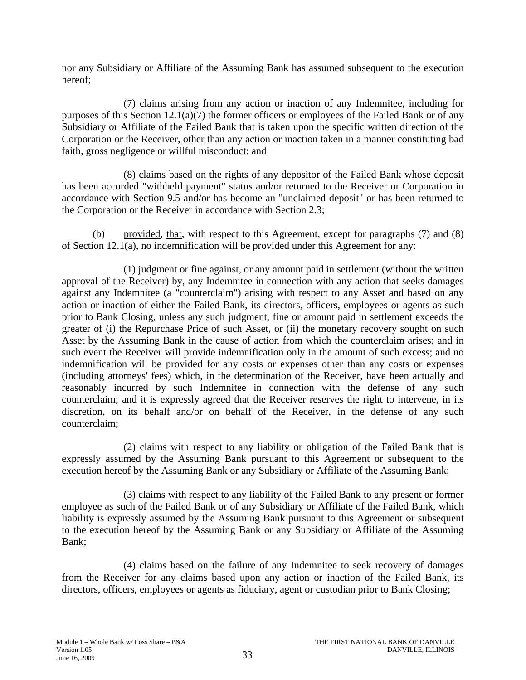nor any Subsidiary or Affiliate of the Assuming Bank has assumed subsequent to the execution hereof;

(7) claims arising from any action or inaction of any Indemnitee, including for purposes of this Section 12.1(a)(7) the former officers or employees of the Failed Bank or of any Subsidiary or Affiliate of the Failed Bank that is taken upon the specific written direction of the Corporation or the Receiver, other than any action or inaction taken in a manner constituting bad faith, gross negligence or willful misconduct; and

(8) claims based on the rights of any depositor of the Failed Bank whose deposit has been accorded "withheld payment" status and/or returned to the Receiver or Corporation in accordance with Section 9.5 and/or has become an "unclaimed deposit" or has been returned to the Corporation or the Receiver in accordance with Section 2.3;

(b) provided, that, with respect to this Agreement, except for paragraphs (7) and (8) of Section 12.1(a), no indemnification will be provided under this Agreement for any:

(1) judgment or fine against, or any amount paid in settlement (without the written approval of the Receiver) by, any Indemnitee in connection with any action that seeks damages against any Indemnitee (a "counterclaim") arising with respect to any Asset and based on any action or inaction of either the Failed Bank, its directors, officers, employees or agents as such prior to Bank Closing, unless any such judgment, fine or amount paid in settlement exceeds the greater of (i) the Repurchase Price of such Asset, or (ii) the monetary recovery sought on such Asset by the Assuming Bank in the cause of action from which the counterclaim arises; and in such event the Receiver will provide indemnification only in the amount of such excess; and no indemnification will be provided for any costs or expenses other than any costs or expenses (including attorneys' fees) which, in the determination of the Receiver, have been actually and reasonably incurred by such Indemnitee in connection with the defense of any such counterclaim; and it is expressly agreed that the Receiver reserves the right to intervene, in its discretion, on its behalf and/or on behalf of the Receiver, in the defense of any such counterclaim;

(2) claims with respect to any liability or obligation of the Failed Bank that is expressly assumed by the Assuming Bank pursuant to this Agreement or subsequent to the execution hereof by the Assuming Bank or any Subsidiary or Affiliate of the Assuming Bank;

(3) claims with respect to any liability of the Failed Bank to any present or former employee as such of the Failed Bank or of any Subsidiary or Affiliate of the Failed Bank, which liability is expressly assumed by the Assuming Bank pursuant to this Agreement or subsequent to the execution hereof by the Assuming Bank or any Subsidiary or Affiliate of the Assuming Bank;

(4) claims based on the failure of any Indemnitee to seek recovery of damages from the Receiver for any claims based upon any action or inaction of the Failed Bank, its directors, officers, employees or agents as fiduciary, agent or custodian prior to Bank Closing;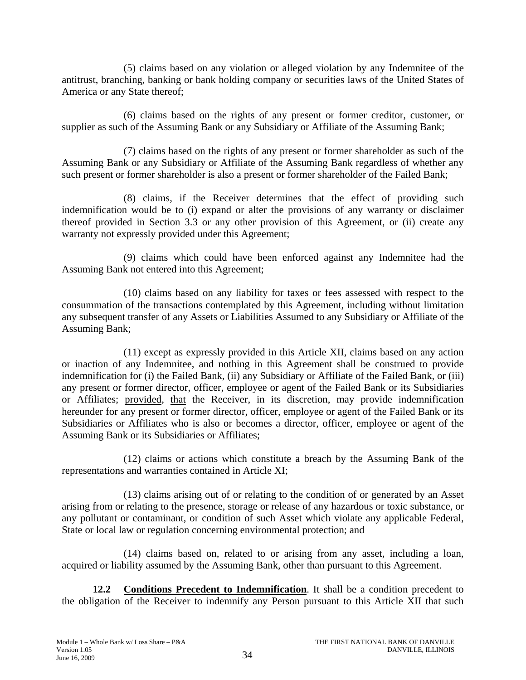(5) claims based on any violation or alleged violation by any Indemnitee of the antitrust, branching, banking or bank holding company or securities laws of the United States of America or any State thereof;

(6) claims based on the rights of any present or former creditor, customer, or supplier as such of the Assuming Bank or any Subsidiary or Affiliate of the Assuming Bank;

(7) claims based on the rights of any present or former shareholder as such of the Assuming Bank or any Subsidiary or Affiliate of the Assuming Bank regardless of whether any such present or former shareholder is also a present or former shareholder of the Failed Bank;

(8) claims, if the Receiver determines that the effect of providing such indemnification would be to (i) expand or alter the provisions of any warranty or disclaimer thereof provided in Section 3.3 or any other provision of this Agreement, or (ii) create any warranty not expressly provided under this Agreement;

(9) claims which could have been enforced against any Indemnitee had the Assuming Bank not entered into this Agreement;

(10) claims based on any liability for taxes or fees assessed with respect to the consummation of the transactions contemplated by this Agreement, including without limitation any subsequent transfer of any Assets or Liabilities Assumed to any Subsidiary or Affiliate of the Assuming Bank;

(11) except as expressly provided in this Article XII, claims based on any action or inaction of any Indemnitee, and nothing in this Agreement shall be construed to provide indemnification for (i) the Failed Bank, (ii) any Subsidiary or Affiliate of the Failed Bank, or (iii) any present or former director, officer, employee or agent of the Failed Bank or its Subsidiaries or Affiliates; provided, that the Receiver, in its discretion, may provide indemnification hereunder for any present or former director, officer, employee or agent of the Failed Bank or its Subsidiaries or Affiliates who is also or becomes a director, officer, employee or agent of the Assuming Bank or its Subsidiaries or Affiliates;

(12) claims or actions which constitute a breach by the Assuming Bank of the representations and warranties contained in Article XI;

(13) claims arising out of or relating to the condition of or generated by an Asset arising from or relating to the presence, storage or release of any hazardous or toxic substance, or any pollutant or contaminant, or condition of such Asset which violate any applicable Federal, State or local law or regulation concerning environmental protection; and

(14) claims based on, related to or arising from any asset, including a loan, acquired or liability assumed by the Assuming Bank, other than pursuant to this Agreement.

**12.2 Conditions Precedent to Indemnification**. It shall be a condition precedent to the obligation of the Receiver to indemnify any Person pursuant to this Article XII that such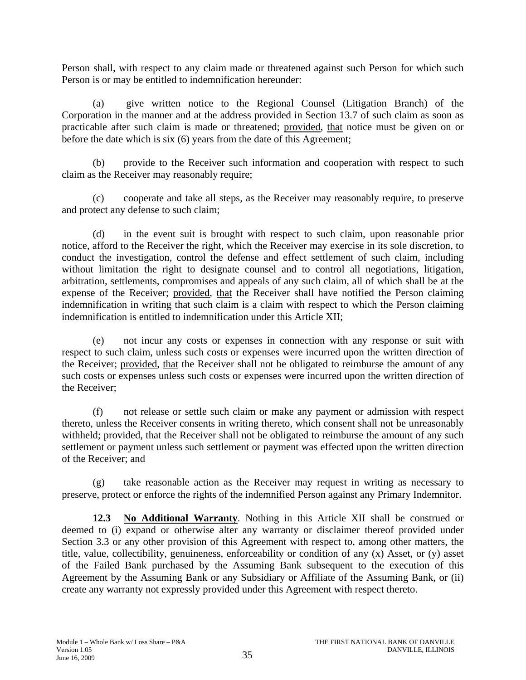Person shall, with respect to any claim made or threatened against such Person for which such Person is or may be entitled to indemnification hereunder:

(a) give written notice to the Regional Counsel (Litigation Branch) of the Corporation in the manner and at the address provided in Section 13.7 of such claim as soon as practicable after such claim is made or threatened; provided, that notice must be given on or before the date which is six (6) years from the date of this Agreement;

(b) provide to the Receiver such information and cooperation with respect to such claim as the Receiver may reasonably require;

(c) cooperate and take all steps, as the Receiver may reasonably require, to preserve and protect any defense to such claim;

(d) in the event suit is brought with respect to such claim, upon reasonable prior notice, afford to the Receiver the right, which the Receiver may exercise in its sole discretion, to conduct the investigation, control the defense and effect settlement of such claim, including without limitation the right to designate counsel and to control all negotiations, litigation, arbitration, settlements, compromises and appeals of any such claim, all of which shall be at the expense of the Receiver; provided, that the Receiver shall have notified the Person claiming indemnification in writing that such claim is a claim with respect to which the Person claiming indemnification is entitled to indemnification under this Article XII;

(e) not incur any costs or expenses in connection with any response or suit with respect to such claim, unless such costs or expenses were incurred upon the written direction of the Receiver; provided, that the Receiver shall not be obligated to reimburse the amount of any such costs or expenses unless such costs or expenses were incurred upon the written direction of the Receiver;

(f) not release or settle such claim or make any payment or admission with respect thereto, unless the Receiver consents in writing thereto, which consent shall not be unreasonably withheld; provided, that the Receiver shall not be obligated to reimburse the amount of any such settlement or payment unless such settlement or payment was effected upon the written direction of the Receiver; and

(g) take reasonable action as the Receiver may request in writing as necessary to preserve, protect or enforce the rights of the indemnified Person against any Primary Indemnitor.

**12.3 No Additional Warranty**. Nothing in this Article XII shall be construed or deemed to (i) expand or otherwise alter any warranty or disclaimer thereof provided under Section 3.3 or any other provision of this Agreement with respect to, among other matters, the title, value, collectibility, genuineness, enforceability or condition of any (x) Asset, or (y) asset of the Failed Bank purchased by the Assuming Bank subsequent to the execution of this Agreement by the Assuming Bank or any Subsidiary or Affiliate of the Assuming Bank, or (ii) create any warranty not expressly provided under this Agreement with respect thereto.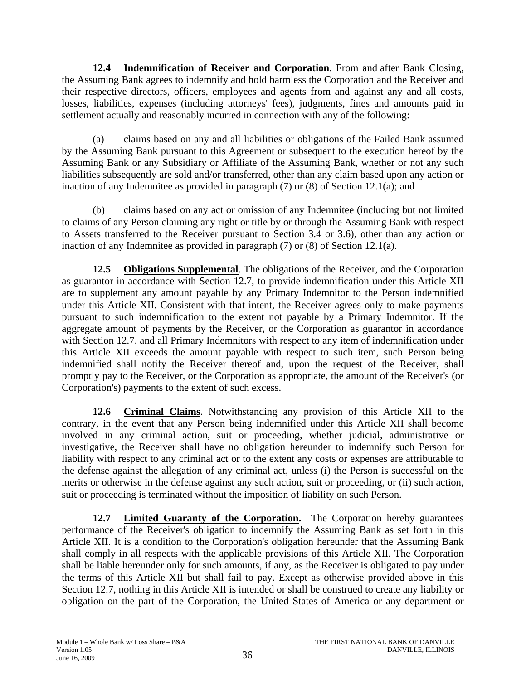**12.4 Indemnification of Receiver and Corporation**. From and after Bank Closing, the Assuming Bank agrees to indemnify and hold harmless the Corporation and the Receiver and their respective directors, officers, employees and agents from and against any and all costs, losses, liabilities, expenses (including attorneys' fees), judgments, fines and amounts paid in settlement actually and reasonably incurred in connection with any of the following:

(a) claims based on any and all liabilities or obligations of the Failed Bank assumed by the Assuming Bank pursuant to this Agreement or subsequent to the execution hereof by the Assuming Bank or any Subsidiary or Affiliate of the Assuming Bank, whether or not any such liabilities subsequently are sold and/or transferred, other than any claim based upon any action or inaction of any Indemnitee as provided in paragraph (7) or (8) of Section 12.1(a); and

(b) claims based on any act or omission of any Indemnitee (including but not limited to claims of any Person claiming any right or title by or through the Assuming Bank with respect to Assets transferred to the Receiver pursuant to Section 3.4 or 3.6), other than any action or inaction of any Indemnitee as provided in paragraph (7) or (8) of Section 12.1(a).

**12.5 Obligations Supplemental**. The obligations of the Receiver, and the Corporation as guarantor in accordance with Section 12.7, to provide indemnification under this Article XII are to supplement any amount payable by any Primary Indemnitor to the Person indemnified under this Article XII. Consistent with that intent, the Receiver agrees only to make payments pursuant to such indemnification to the extent not payable by a Primary Indemnitor. If the aggregate amount of payments by the Receiver, or the Corporation as guarantor in accordance with Section 12.7, and all Primary Indemnitors with respect to any item of indemnification under this Article XII exceeds the amount payable with respect to such item, such Person being indemnified shall notify the Receiver thereof and, upon the request of the Receiver, shall promptly pay to the Receiver, or the Corporation as appropriate, the amount of the Receiver's (or Corporation's) payments to the extent of such excess.

**12.6 Criminal Claims**. Notwithstanding any provision of this Article XII to the contrary, in the event that any Person being indemnified under this Article XII shall become involved in any criminal action, suit or proceeding, whether judicial, administrative or investigative, the Receiver shall have no obligation hereunder to indemnify such Person for liability with respect to any criminal act or to the extent any costs or expenses are attributable to the defense against the allegation of any criminal act, unless (i) the Person is successful on the merits or otherwise in the defense against any such action, suit or proceeding, or (ii) such action, suit or proceeding is terminated without the imposition of liability on such Person.

**12.7 Limited Guaranty of the Corporation.** The Corporation hereby guarantees performance of the Receiver's obligation to indemnify the Assuming Bank as set forth in this Article XII. It is a condition to the Corporation's obligation hereunder that the Assuming Bank shall comply in all respects with the applicable provisions of this Article XII. The Corporation shall be liable hereunder only for such amounts, if any, as the Receiver is obligated to pay under the terms of this Article XII but shall fail to pay. Except as otherwise provided above in this Section 12.7, nothing in this Article XII is intended or shall be construed to create any liability or obligation on the part of the Corporation, the United States of America or any department or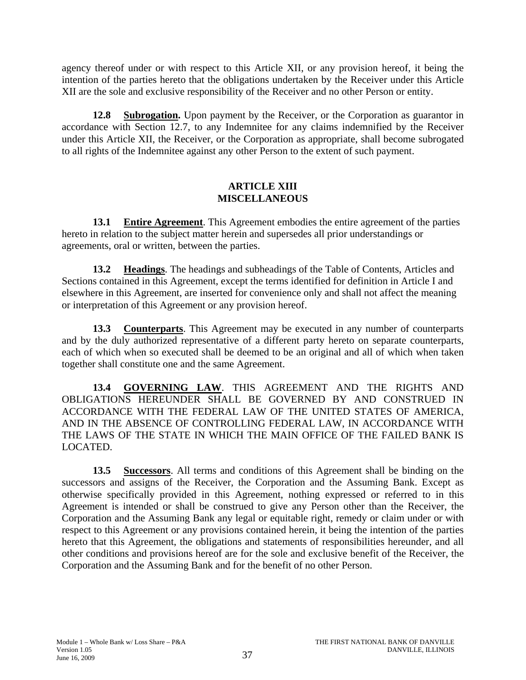agency thereof under or with respect to this Article XII, or any provision hereof, it being the intention of the parties hereto that the obligations undertaken by the Receiver under this Article XII are the sole and exclusive responsibility of the Receiver and no other Person or entity.

**12.8 Subrogation.** Upon payment by the Receiver, or the Corporation as guarantor in accordance with Section 12.7, to any Indemnitee for any claims indemnified by the Receiver under this Article XII, the Receiver, or the Corporation as appropriate, shall become subrogated to all rights of the Indemnitee against any other Person to the extent of such payment.

### **ARTICLE XIII MISCELLANEOUS**

**13.1** Entire Agreement. This Agreement embodies the entire agreement of the parties hereto in relation to the subject matter herein and supersedes all prior understandings or agreements, oral or written, between the parties.

**13.2 Headings**. The headings and subheadings of the Table of Contents, Articles and Sections contained in this Agreement, except the terms identified for definition in Article I and elsewhere in this Agreement, are inserted for convenience only and shall not affect the meaning or interpretation of this Agreement or any provision hereof.

**13.3** Counterparts. This Agreement may be executed in any number of counterparts and by the duly authorized representative of a different party hereto on separate counterparts, each of which when so executed shall be deemed to be an original and all of which when taken together shall constitute one and the same Agreement.

**13.4 GOVERNING LAW**. THIS AGREEMENT AND THE RIGHTS AND OBLIGATIONS HEREUNDER SHALL BE GOVERNED BY AND CONSTRUED IN ACCORDANCE WITH THE FEDERAL LAW OF THE UNITED STATES OF AMERICA, AND IN THE ABSENCE OF CONTROLLING FEDERAL LAW, IN ACCORDANCE WITH THE LAWS OF THE STATE IN WHICH THE MAIN OFFICE OF THE FAILED BANK IS LOCATED.

 **13.5 Successors**. All terms and conditions of this Agreement shall be binding on the successors and assigns of the Receiver, the Corporation and the Assuming Bank. Except as otherwise specifically provided in this Agreement, nothing expressed or referred to in this Agreement is intended or shall be construed to give any Person other than the Receiver, the Corporation and the Assuming Bank any legal or equitable right, remedy or claim under or with respect to this Agreement or any provisions contained herein, it being the intention of the parties hereto that this Agreement, the obligations and statements of responsibilities hereunder, and all other conditions and provisions hereof are for the sole and exclusive benefit of the Receiver, the Corporation and the Assuming Bank and for the benefit of no other Person.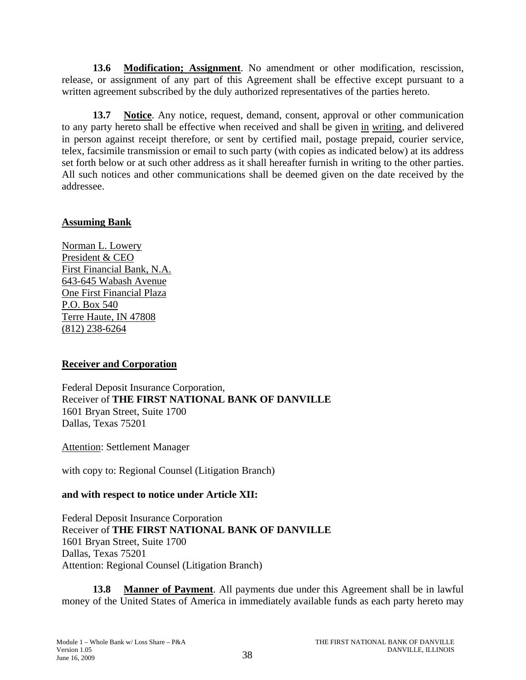13.6 **Modification; Assignment**. No amendment or other modification, rescission, release, or assignment of any part of this Agreement shall be effective except pursuant to a written agreement subscribed by the duly authorized representatives of the parties hereto.

**13.7 Notice**. Any notice, request, demand, consent, approval or other communication to any party hereto shall be effective when received and shall be given in writing, and delivered in person against receipt therefore, or sent by certified mail, postage prepaid, courier service, telex, facsimile transmission or email to such party (with copies as indicated below) at its address set forth below or at such other address as it shall hereafter furnish in writing to the other parties. All such notices and other communications shall be deemed given on the date received by the addressee.

# **Assuming Bank**

Norman L. Lowery President & CEO First Financial Bank, N.A. 643-645 Wabash Avenue One First Financial Plaza P.O. Box 540 Terre Haute, IN 47808 (812) 238-6264

# **Receiver and Corporation**

Federal Deposit Insurance Corporation, Receiver of **THE FIRST NATIONAL BANK OF DANVILLE**  1601 Bryan Street, Suite 1700 Dallas, Texas 75201

Attention: Settlement Manager

with copy to: Regional Counsel (Litigation Branch)

# **and with respect to notice under Article XII:**

Federal Deposit Insurance Corporation Receiver of **THE FIRST NATIONAL BANK OF DANVILLE**  1601 Bryan Street, Suite 1700 Dallas, Texas 75201 Attention: Regional Counsel (Litigation Branch)

 **13.8 Manner of Payment**. All payments due under this Agreement shall be in lawful money of the United States of America in immediately available funds as each party hereto may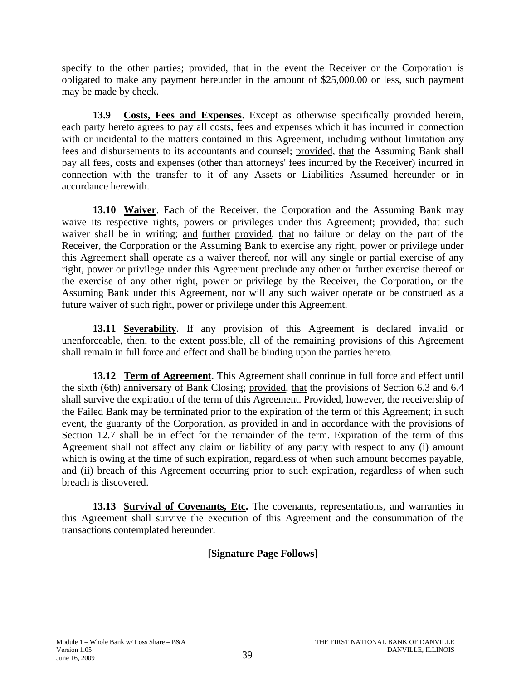specify to the other parties; provided, that in the event the Receiver or the Corporation is obligated to make any payment hereunder in the amount of \$25,000.00 or less, such payment may be made by check.

**13.9 Costs, Fees and Expenses**. Except as otherwise specifically provided herein, each party hereto agrees to pay all costs, fees and expenses which it has incurred in connection with or incidental to the matters contained in this Agreement, including without limitation any fees and disbursements to its accountants and counsel; provided, that the Assuming Bank shall pay all fees, costs and expenses (other than attorneys' fees incurred by the Receiver) incurred in connection with the transfer to it of any Assets or Liabilities Assumed hereunder or in accordance herewith.

**13.10 Waiver**. Each of the Receiver, the Corporation and the Assuming Bank may waive its respective rights, powers or privileges under this Agreement; provided, that such waiver shall be in writing; and further provided, that no failure or delay on the part of the Receiver, the Corporation or the Assuming Bank to exercise any right, power or privilege under this Agreement shall operate as a waiver thereof, nor will any single or partial exercise of any right, power or privilege under this Agreement preclude any other or further exercise thereof or the exercise of any other right, power or privilege by the Receiver, the Corporation, or the Assuming Bank under this Agreement, nor will any such waiver operate or be construed as a future waiver of such right, power or privilege under this Agreement.

**13.11 Severability**. If any provision of this Agreement is declared invalid or unenforceable, then, to the extent possible, all of the remaining provisions of this Agreement shall remain in full force and effect and shall be binding upon the parties hereto.

**13.12 Term of Agreement**. This Agreement shall continue in full force and effect until the sixth (6th) anniversary of Bank Closing; provided, that the provisions of Section 6.3 and 6.4 shall survive the expiration of the term of this Agreement. Provided, however, the receivership of the Failed Bank may be terminated prior to the expiration of the term of this Agreement; in such event, the guaranty of the Corporation, as provided in and in accordance with the provisions of Section 12.7 shall be in effect for the remainder of the term. Expiration of the term of this Agreement shall not affect any claim or liability of any party with respect to any (i) amount which is owing at the time of such expiration, regardless of when such amount becomes payable, and (ii) breach of this Agreement occurring prior to such expiration, regardless of when such breach is discovered.

**13.13 Survival of Covenants, Etc.** The covenants, representations, and warranties in this Agreement shall survive the execution of this Agreement and the consummation of the transactions contemplated hereunder.

# **[Signature Page Follows]**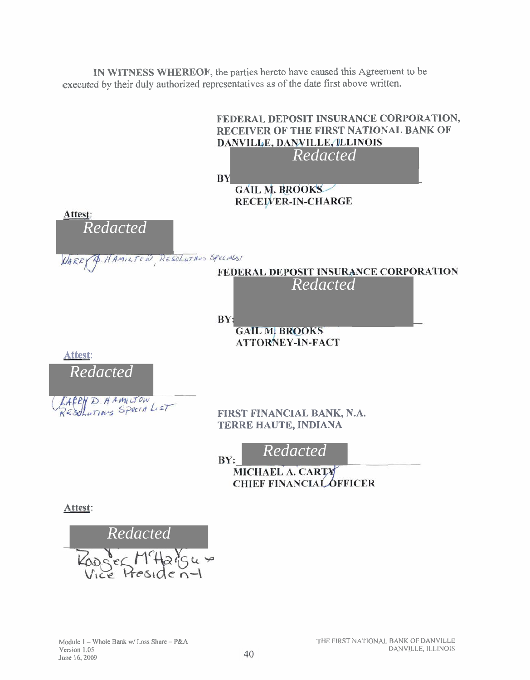**IN WITNESS WHEREOF,** the parties hereto have caused this Agreement to be executed by their duly authorized representatives as of the date first above written.

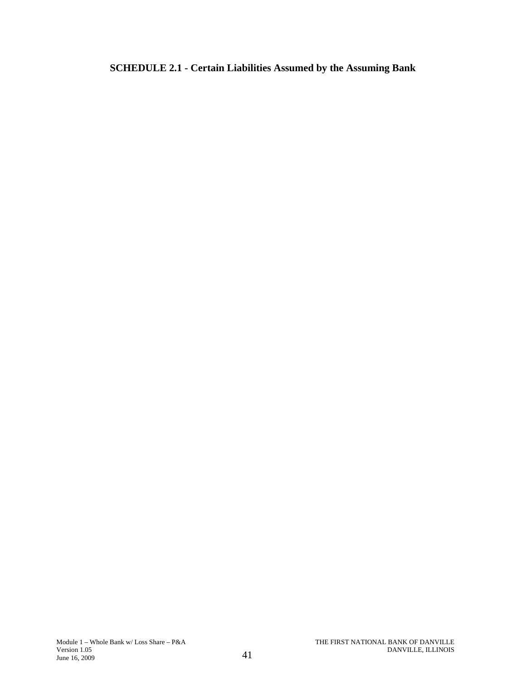**SCHEDULE 2.1 - Certain Liabilities Assumed by the Assuming Bank**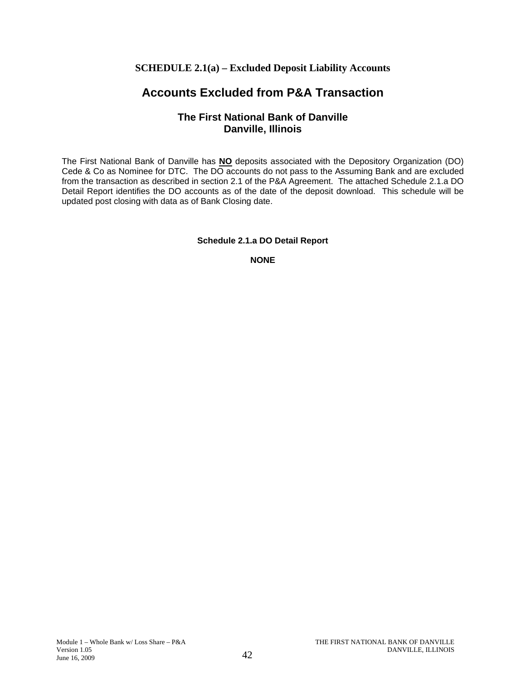**SCHEDULE 2.1(a) – Excluded Deposit Liability Accounts** 

# **Accounts Excluded from P&A Transaction**

## **The First National Bank of Danville Danville, Illinois**

The First National Bank of Danville has **NO** deposits associated with the Depository Organization (DO) Cede & Co as Nominee for DTC. The DO accounts do not pass to the Assuming Bank and are excluded from the transaction as described in section 2.1 of the P&A Agreement. The attached Schedule 2.1.a DO Detail Report identifies the DO accounts as of the date of the deposit download. This schedule will be updated post closing with data as of Bank Closing date.

**Schedule 2.1.a DO Detail Report** 

**NONE**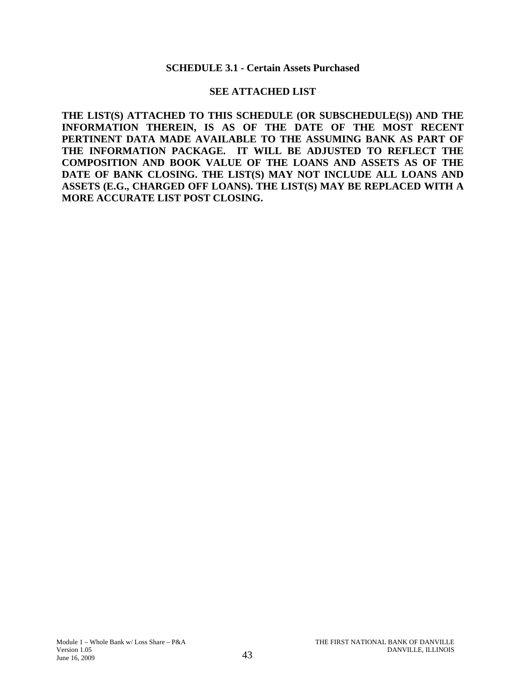### **SCHEDULE 3.1 - Certain Assets Purchased**

### **SEE ATTACHED LIST**

THE LIST(S) ATTACHED TO THIS SCHEDULE (OR SUBSCHEDULE(S)) AND THE **INFORMATION THEREIN, IS AS OF THE DATE OF THE MOST RECENT PERTINENT DATA MADE AVAILABLE TO THE ASSUMING BANK AS PART OF THE INFORMATION PACKAGE. IT WILL BE ADJUSTED TO REFLECT THE COMPOSITION AND BOOK VALUE OF THE LOANS AND ASSETS AS OF THE DATE OF BANK CLOSING. THE LIST(S) MAY NOT INCLUDE ALL LOANS AND ASSETS (E.G., CHARGED OFF LOANS). THE LIST(S) MAY BE REPLACED WITH A MORE ACCURATE LIST POST CLOSING.**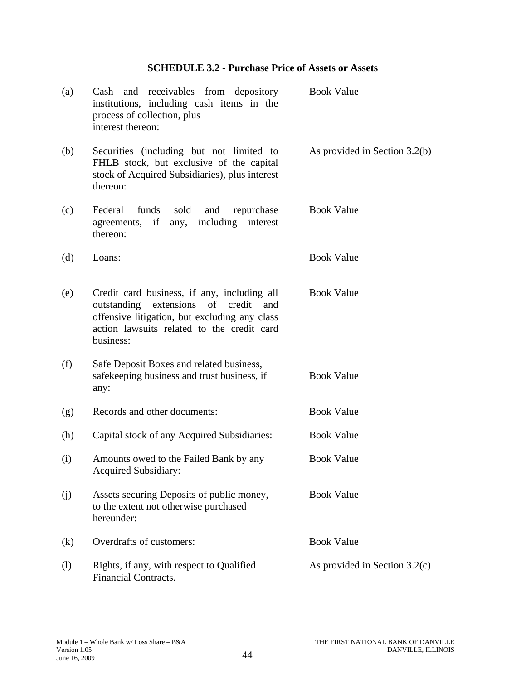# **SCHEDULE 3.2 - Purchase Price of Assets or Assets**

| (a) | Cash and receivables from depository<br>institutions, including cash items in the<br>process of collection, plus<br>interest thereon:                                                                    | <b>Book Value</b>               |
|-----|----------------------------------------------------------------------------------------------------------------------------------------------------------------------------------------------------------|---------------------------------|
| (b) | Securities (including but not limited to<br>FHLB stock, but exclusive of the capital<br>stock of Acquired Subsidiaries), plus interest<br>thereon:                                                       | As provided in Section $3.2(b)$ |
| (c) | Federal<br>funds<br>sold<br>and<br>repurchase<br>if<br>including<br>agreements,<br>interest<br>any,<br>thereon:                                                                                          | <b>Book Value</b>               |
| (d) | Loans:                                                                                                                                                                                                   | <b>Book Value</b>               |
| (e) | Credit card business, if any, including all<br>outstanding extensions<br>of<br>credit<br>and<br>offensive litigation, but excluding any class<br>action lawsuits related to the credit card<br>business: | <b>Book Value</b>               |
| (f) | Safe Deposit Boxes and related business,<br>safekeeping business and trust business, if<br>any:                                                                                                          | <b>Book Value</b>               |
| (g) | Records and other documents:                                                                                                                                                                             | <b>Book Value</b>               |
| (h) | Capital stock of any Acquired Subsidiaries:                                                                                                                                                              | <b>Book Value</b>               |
| (i) | Amounts owed to the Failed Bank by any<br><b>Acquired Subsidiary:</b>                                                                                                                                    | <b>Book Value</b>               |
| (j) | Assets securing Deposits of public money,<br>to the extent not otherwise purchased<br>hereunder:                                                                                                         | <b>Book Value</b>               |
| (k) | Overdrafts of customers:                                                                                                                                                                                 | <b>Book Value</b>               |
| (1) | Rights, if any, with respect to Qualified<br><b>Financial Contracts.</b>                                                                                                                                 | As provided in Section $3.2(c)$ |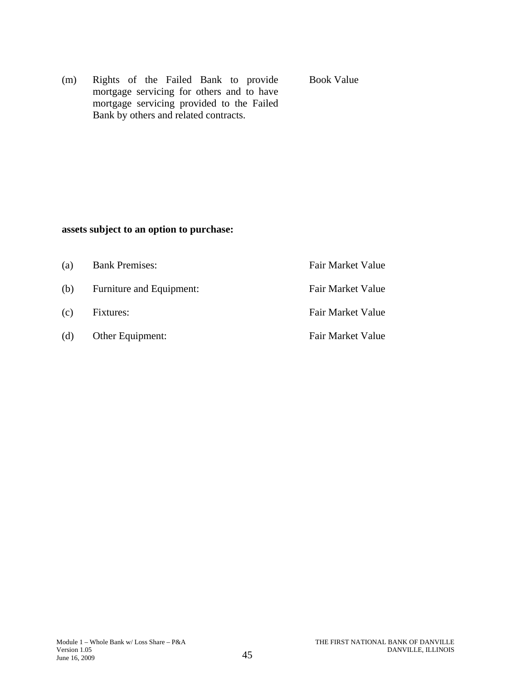(m) Rights of the Failed Bank to provide Book Value mortgage servicing for others and to have mortgage servicing provided to the Failed Bank by others and related contracts.

### **assets subject to an option to purchase:**

| (a) | <b>Bank Premises:</b>    | Fair Market Value |
|-----|--------------------------|-------------------|
| (b) | Furniture and Equipment: | Fair Market Value |
| (c) | Fixtures:                | Fair Market Value |
| (d) | Other Equipment:         | Fair Market Value |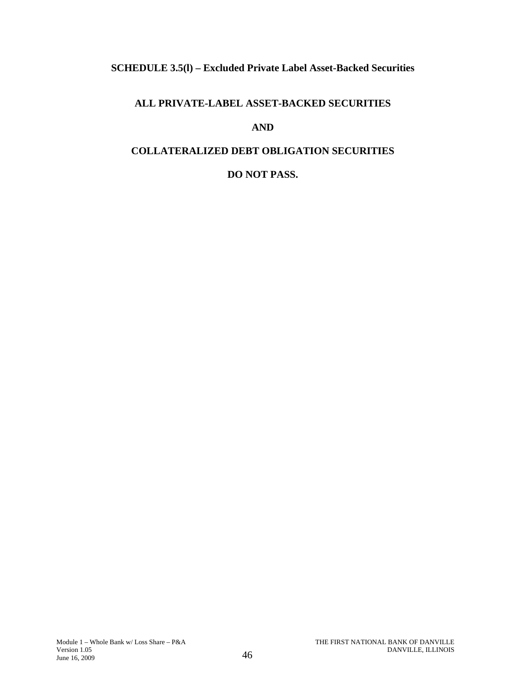# **SCHEDULE 3.5(l) – Excluded Private Label Asset-Backed Securities**

### **ALL PRIVATE-LABEL ASSET-BACKED SECURITIES**

### **AND**

# **COLLATERALIZED DEBT OBLIGATION SECURITIES**

## **DO NOT PASS.**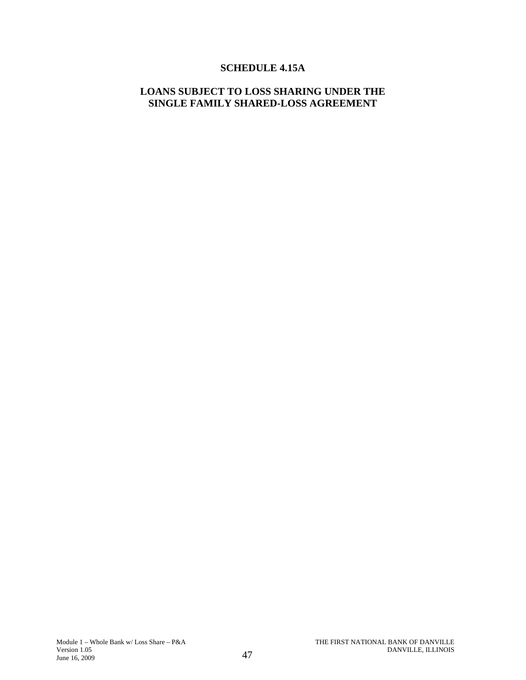## **SCHEDULE 4.15A**

### **LOANS SUBJECT TO LOSS SHARING UNDER THE SINGLE FAMILY SHARED-LOSS AGREEMENT**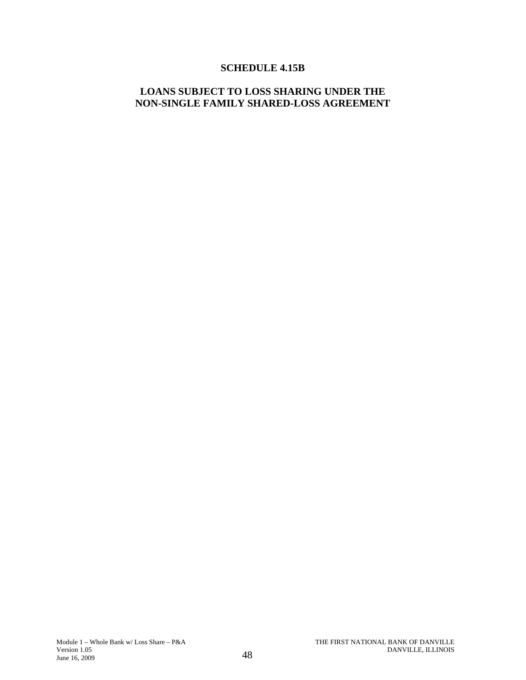### **SCHEDULE 4.15B**

### **LOANS SUBJECT TO LOSS SHARING UNDER THE NON-SINGLE FAMILY SHARED-LOSS AGREEMENT**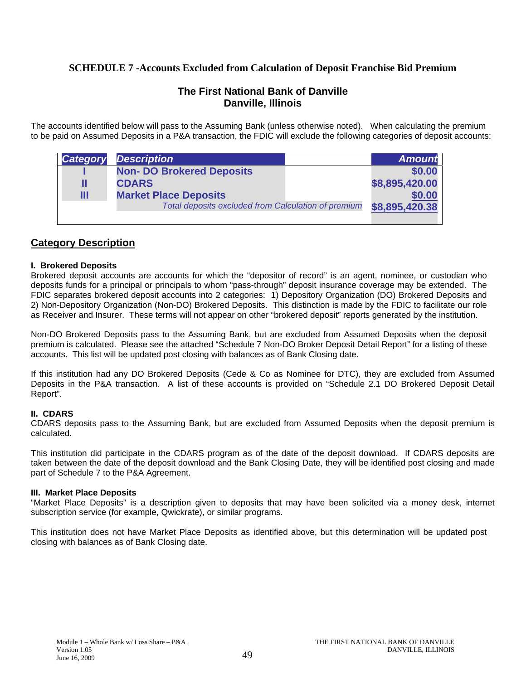## **SCHEDULE 7 -Accounts Excluded from Calculation of Deposit Franchise Bid Premium**

### **The First National Bank of Danville Danville, Illinois**

The accounts identified below will pass to the Assuming Bank (unless otherwise noted). When calculating the premium to be paid on Assumed Deposits in a P&A transaction, the FDIC will exclude the following categories of deposit accounts:

| <b>Category</b> | <b>Description</b>                                  | <b>Amount</b>  |
|-----------------|-----------------------------------------------------|----------------|
|                 | <b>Non- DO Brokered Deposits</b>                    | \$0.00         |
|                 | <b>CDARS</b>                                        | \$8,895,420.00 |
| Ш               | <b>Market Place Deposits</b>                        | \$0.00         |
|                 | Total deposits excluded from Calculation of premium | \$8.895.420.38 |
|                 |                                                     |                |

### **Category Description**

#### **I. Brokered Deposits**

Brokered deposit accounts are accounts for which the "depositor of record" is an agent, nominee, or custodian who deposits funds for a principal or principals to whom "pass-through" deposit insurance coverage may be extended. The FDIC separates brokered deposit accounts into 2 categories: 1) Depository Organization (DO) Brokered Deposits and 2) Non-Depository Organization (Non-DO) Brokered Deposits. This distinction is made by the FDIC to facilitate our role as Receiver and Insurer. These terms will not appear on other "brokered deposit" reports generated by the institution.

Non-DO Brokered Deposits pass to the Assuming Bank, but are excluded from Assumed Deposits when the deposit premium is calculated. Please see the attached "Schedule 7 Non-DO Broker Deposit Detail Report" for a listing of these accounts. This list will be updated post closing with balances as of Bank Closing date.

If this institution had any DO Brokered Deposits (Cede & Co as Nominee for DTC), they are excluded from Assumed Deposits in the P&A transaction. A list of these accounts is provided on "Schedule 2.1 DO Brokered Deposit Detail Report".

#### **II. CDARS**

CDARS deposits pass to the Assuming Bank, but are excluded from Assumed Deposits when the deposit premium is calculated.

This institution did participate in the CDARS program as of the date of the deposit download. If CDARS deposits are taken between the date of the deposit download and the Bank Closing Date, they will be identified post closing and made part of Schedule 7 to the P&A Agreement.

#### **III. Market Place Deposits**

"Market Place Deposits" is a description given to deposits that may have been solicited via a money desk, internet subscription service (for example, Qwickrate), or similar programs.

This institution does not have Market Place Deposits as identified above, but this determination will be updated post closing with balances as of Bank Closing date.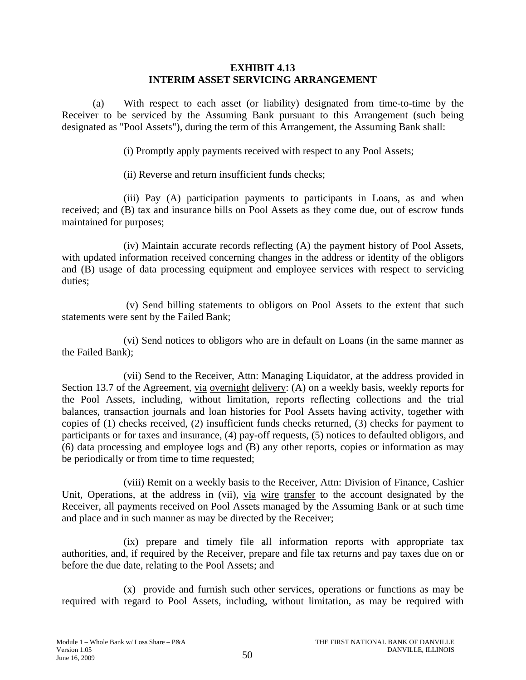### **EXHIBIT 4.13 INTERIM ASSET SERVICING ARRANGEMENT**

(a) With respect to each asset (or liability) designated from time-to-time by the Receiver to be serviced by the Assuming Bank pursuant to this Arrangement (such being designated as "Pool Assets"), during the term of this Arrangement, the Assuming Bank shall:

(i) Promptly apply payments received with respect to any Pool Assets;

(ii) Reverse and return insufficient funds checks;

(iii) Pay (A) participation payments to participants in Loans, as and when received; and (B) tax and insurance bills on Pool Assets as they come due, out of escrow funds maintained for purposes;

(iv) Maintain accurate records reflecting (A) the payment history of Pool Assets, with updated information received concerning changes in the address or identity of the obligors and (B) usage of data processing equipment and employee services with respect to servicing duties;

(v) Send billing statements to obligors on Pool Assets to the extent that such statements were sent by the Failed Bank;

(vi) Send notices to obligors who are in default on Loans (in the same manner as the Failed Bank);

(vii) Send to the Receiver, Attn: Managing Liquidator, at the address provided in Section 13.7 of the Agreement, via overnight delivery: (A) on a weekly basis, weekly reports for the Pool Assets, including, without limitation, reports reflecting collections and the trial balances, transaction journals and loan histories for Pool Assets having activity, together with copies of (1) checks received, (2) insufficient funds checks returned, (3) checks for payment to participants or for taxes and insurance, (4) pay-off requests, (5) notices to defaulted obligors, and (6) data processing and employee logs and (B) any other reports, copies or information as may be periodically or from time to time requested;

(viii) Remit on a weekly basis to the Receiver, Attn: Division of Finance, Cashier Unit, Operations, at the address in (vii), via wire transfer to the account designated by the Receiver, all payments received on Pool Assets managed by the Assuming Bank or at such time and place and in such manner as may be directed by the Receiver;

(ix) prepare and timely file all information reports with appropriate tax authorities, and, if required by the Receiver, prepare and file tax returns and pay taxes due on or before the due date, relating to the Pool Assets; and

(x) provide and furnish such other services, operations or functions as may be required with regard to Pool Assets, including, without limitation, as may be required with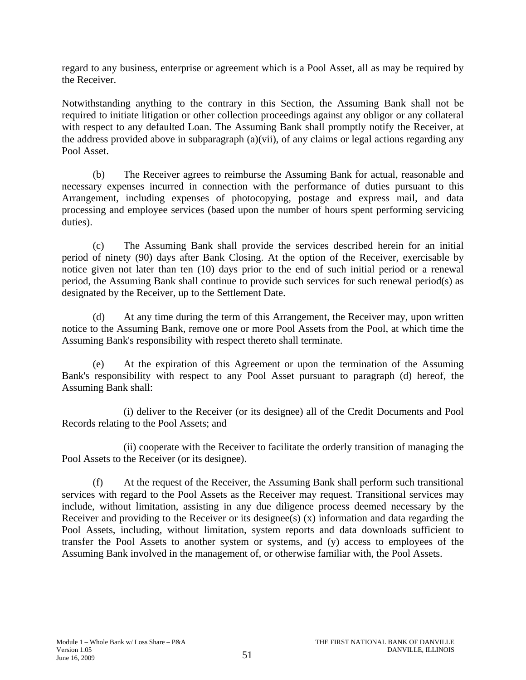regard to any business, enterprise or agreement which is a Pool Asset, all as may be required by the Receiver.

Notwithstanding anything to the contrary in this Section, the Assuming Bank shall not be required to initiate litigation or other collection proceedings against any obligor or any collateral with respect to any defaulted Loan. The Assuming Bank shall promptly notify the Receiver, at the address provided above in subparagraph (a)(vii), of any claims or legal actions regarding any Pool Asset.

(b) The Receiver agrees to reimburse the Assuming Bank for actual, reasonable and necessary expenses incurred in connection with the performance of duties pursuant to this Arrangement, including expenses of photocopying, postage and express mail, and data processing and employee services (based upon the number of hours spent performing servicing duties).

(c) The Assuming Bank shall provide the services described herein for an initial period of ninety (90) days after Bank Closing. At the option of the Receiver, exercisable by notice given not later than ten (10) days prior to the end of such initial period or a renewal period, the Assuming Bank shall continue to provide such services for such renewal period(s) as designated by the Receiver, up to the Settlement Date.

(d) At any time during the term of this Arrangement, the Receiver may, upon written notice to the Assuming Bank, remove one or more Pool Assets from the Pool, at which time the Assuming Bank's responsibility with respect thereto shall terminate.

(e) At the expiration of this Agreement or upon the termination of the Assuming Bank's responsibility with respect to any Pool Asset pursuant to paragraph (d) hereof, the Assuming Bank shall:

(i) deliver to the Receiver (or its designee) all of the Credit Documents and Pool Records relating to the Pool Assets; and

(ii) cooperate with the Receiver to facilitate the orderly transition of managing the Pool Assets to the Receiver (or its designee).

(f) At the request of the Receiver, the Assuming Bank shall perform such transitional services with regard to the Pool Assets as the Receiver may request. Transitional services may include, without limitation, assisting in any due diligence process deemed necessary by the Receiver and providing to the Receiver or its designee(s) (x) information and data regarding the Pool Assets, including, without limitation, system reports and data downloads sufficient to transfer the Pool Assets to another system or systems, and (y) access to employees of the Assuming Bank involved in the management of, or otherwise familiar with, the Pool Assets.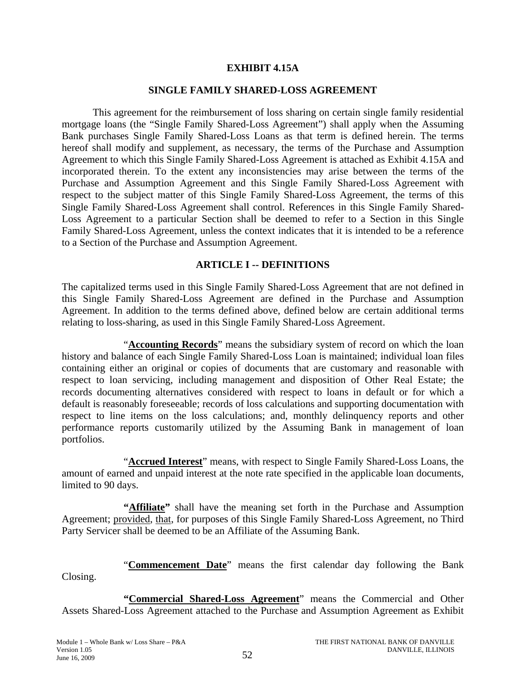### **EXHIBIT 4.15A**

### **SINGLE FAMILY SHARED-LOSS AGREEMENT**

This agreement for the reimbursement of loss sharing on certain single family residential mortgage loans (the "Single Family Shared-Loss Agreement") shall apply when the Assuming Bank purchases Single Family Shared-Loss Loans as that term is defined herein. The terms hereof shall modify and supplement, as necessary, the terms of the Purchase and Assumption Agreement to which this Single Family Shared-Loss Agreement is attached as Exhibit 4.15A and incorporated therein. To the extent any inconsistencies may arise between the terms of the Purchase and Assumption Agreement and this Single Family Shared-Loss Agreement with respect to the subject matter of this Single Family Shared-Loss Agreement, the terms of this Single Family Shared-Loss Agreement shall control. References in this Single Family Shared-Loss Agreement to a particular Section shall be deemed to refer to a Section in this Single Family Shared-Loss Agreement, unless the context indicates that it is intended to be a reference to a Section of the Purchase and Assumption Agreement.

### **ARTICLE I -- DEFINITIONS**

The capitalized terms used in this Single Family Shared-Loss Agreement that are not defined in this Single Family Shared-Loss Agreement are defined in the Purchase and Assumption Agreement. In addition to the terms defined above, defined below are certain additional terms relating to loss-sharing, as used in this Single Family Shared-Loss Agreement.

"**Accounting Records**" means the subsidiary system of record on which the loan history and balance of each Single Family Shared-Loss Loan is maintained; individual loan files containing either an original or copies of documents that are customary and reasonable with respect to loan servicing, including management and disposition of Other Real Estate; the records documenting alternatives considered with respect to loans in default or for which a default is reasonably foreseeable; records of loss calculations and supporting documentation with respect to line items on the loss calculations; and, monthly delinquency reports and other performance reports customarily utilized by the Assuming Bank in management of loan portfolios.

"**Accrued Interest**" means, with respect to Single Family Shared-Loss Loans, the amount of earned and unpaid interest at the note rate specified in the applicable loan documents, limited to 90 days.

"**Affiliate**" shall have the meaning set forth in the Purchase and Assumption Agreement; provided, that, for purposes of this Single Family Shared-Loss Agreement, no Third Party Servicer shall be deemed to be an Affiliate of the Assuming Bank.

"**Commencement Date**" means the first calendar day following the Bank Closing.

**"Commercial Shared-Loss Agreement**" means the Commercial and Other Assets Shared-Loss Agreement attached to the Purchase and Assumption Agreement as Exhibit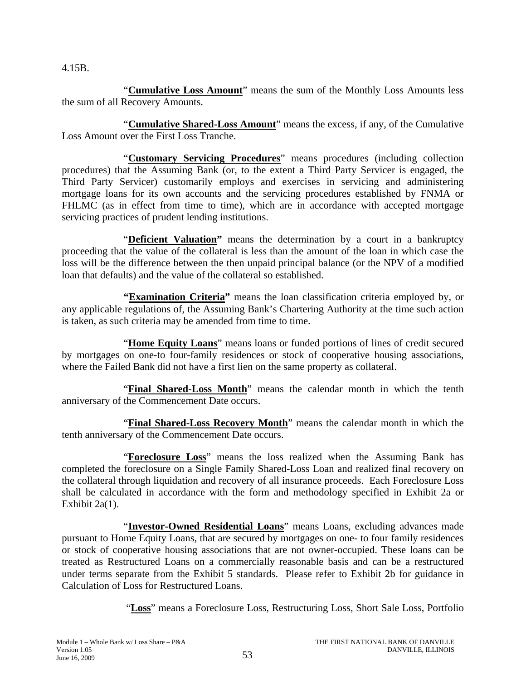4.15B.

"**Cumulative Loss Amount**" means the sum of the Monthly Loss Amounts less the sum of all Recovery Amounts.

"**Cumulative Shared-Loss Amount**" means the excess, if any, of the Cumulative Loss Amount over the First Loss Tranche.

"**Customary Servicing Procedures**" means procedures (including collection procedures) that the Assuming Bank (or, to the extent a Third Party Servicer is engaged, the Third Party Servicer) customarily employs and exercises in servicing and administering mortgage loans for its own accounts and the servicing procedures established by FNMA or FHLMC (as in effect from time to time), which are in accordance with accepted mortgage servicing practices of prudent lending institutions.

"**Deficient Valuation"** means the determination by a court in a bankruptcy proceeding that the value of the collateral is less than the amount of the loan in which case the loss will be the difference between the then unpaid principal balance (or the NPV of a modified loan that defaults) and the value of the collateral so established.

**"Examination Criteria"** means the loan classification criteria employed by, or any applicable regulations of, the Assuming Bank's Chartering Authority at the time such action is taken, as such criteria may be amended from time to time.

"**Home Equity Loans**" means loans or funded portions of lines of credit secured by mortgages on one-to four-family residences or stock of cooperative housing associations, where the Failed Bank did not have a first lien on the same property as collateral.

"Final Shared-Loss Month" means the calendar month in which the tenth anniversary of the Commencement Date occurs.

"**Final Shared-Loss Recovery Month**" means the calendar month in which the tenth anniversary of the Commencement Date occurs.

"**Foreclosure Loss**" means the loss realized when the Assuming Bank has completed the foreclosure on a Single Family Shared-Loss Loan and realized final recovery on the collateral through liquidation and recovery of all insurance proceeds. Each Foreclosure Loss shall be calculated in accordance with the form and methodology specified in Exhibit 2a or Exhibit 2a(1).

"**Investor-Owned Residential Loans**" means Loans, excluding advances made pursuant to Home Equity Loans, that are secured by mortgages on one- to four family residences or stock of cooperative housing associations that are not owner-occupied. These loans can be treated as Restructured Loans on a commercially reasonable basis and can be a restructured under terms separate from the Exhibit 5 standards. Please refer to Exhibit 2b for guidance in Calculation of Loss for Restructured Loans.

"**Loss**" means a Foreclosure Loss, Restructuring Loss, Short Sale Loss, Portfolio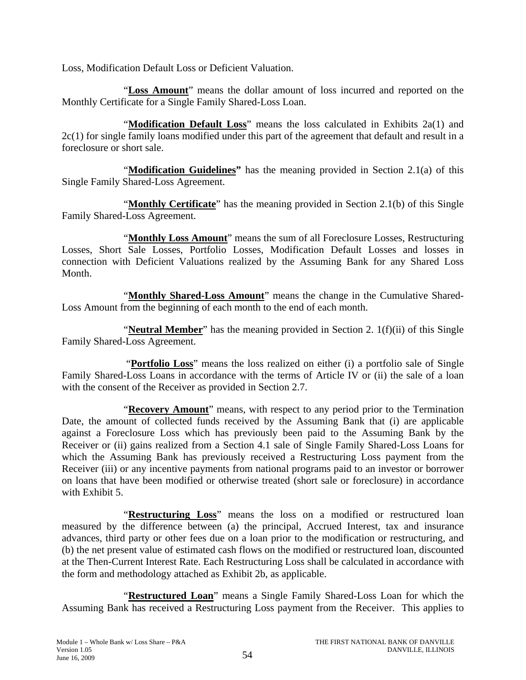Loss, Modification Default Loss or Deficient Valuation.

**Loss Amount**" means the dollar amount of loss incurred and reported on the Monthly Certificate for a Single Family Shared-Loss Loan.

"**Modification Default Loss**" means the loss calculated in Exhibits 2a(1) and 2c(1) for single family loans modified under this part of the agreement that default and result in a foreclosure or short sale.

"**Modification Guidelines**" has the meaning provided in Section 2.1(a) of this Single Family Shared-Loss Agreement.

"**Monthly Certificate**" has the meaning provided in Section 2.1(b) of this Single Family Shared-Loss Agreement.

"**Monthly Loss Amount**" means the sum of all Foreclosure Losses, Restructuring Losses, Short Sale Losses, Portfolio Losses, Modification Default Losses and losses in connection with Deficient Valuations realized by the Assuming Bank for any Shared Loss Month.

"**Monthly Shared-Loss Amount**" means the change in the Cumulative Shared-Loss Amount from the beginning of each month to the end of each month.

**"Neutral Member**" has the meaning provided in Section 2. 1(f)(ii) of this Single Family Shared-Loss Agreement.

"**Portfolio Loss**" means the loss realized on either (i) a portfolio sale of Single Family Shared-Loss Loans in accordance with the terms of Article IV or (ii) the sale of a loan with the consent of the Receiver as provided in Section 2.7.

"**Recovery Amount**" means, with respect to any period prior to the Termination Date, the amount of collected funds received by the Assuming Bank that (i) are applicable against a Foreclosure Loss which has previously been paid to the Assuming Bank by the Receiver or (ii) gains realized from a Section 4.1 sale of Single Family Shared-Loss Loans for which the Assuming Bank has previously received a Restructuring Loss payment from the Receiver (iii) or any incentive payments from national programs paid to an investor or borrower on loans that have been modified or otherwise treated (short sale or foreclosure) in accordance with Exhibit 5.

"**Restructuring Loss**" means the loss on a modified or restructured loan measured by the difference between (a) the principal, Accrued Interest, tax and insurance advances, third party or other fees due on a loan prior to the modification or restructuring, and (b) the net present value of estimated cash flows on the modified or restructured loan, discounted at the Then-Current Interest Rate. Each Restructuring Loss shall be calculated in accordance with the form and methodology attached as Exhibit 2b, as applicable.

"**Restructured Loan**" means a Single Family Shared-Loss Loan for which the Assuming Bank has received a Restructuring Loss payment from the Receiver. This applies to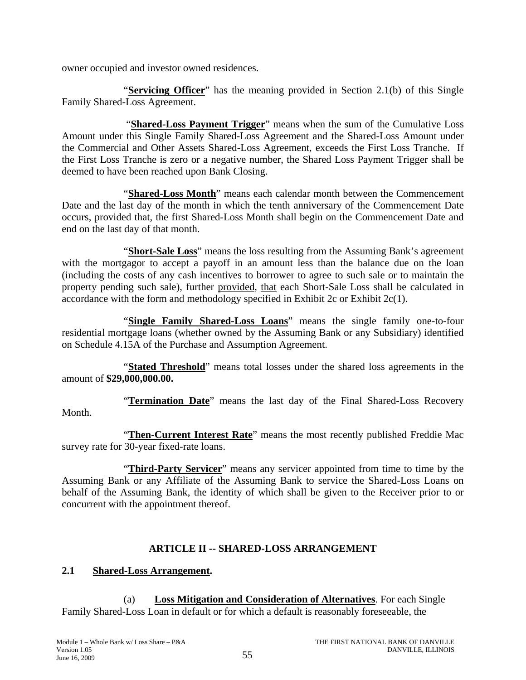owner occupied and investor owned residences.

**"Servicing Officer**" has the meaning provided in Section 2.1(b) of this Single Family Shared-Loss Agreement.

"**Shared-Loss Payment Trigger**" means when the sum of the Cumulative Loss Amount under this Single Family Shared-Loss Agreement and the Shared-Loss Amount under the Commercial and Other Assets Shared-Loss Agreement, exceeds the First Loss Tranche. If the First Loss Tranche is zero or a negative number, the Shared Loss Payment Trigger shall be deemed to have been reached upon Bank Closing.

"**Shared-Loss Month**" means each calendar month between the Commencement Date and the last day of the month in which the tenth anniversary of the Commencement Date occurs, provided that, the first Shared-Loss Month shall begin on the Commencement Date and end on the last day of that month.

"**Short-Sale Loss**" means the loss resulting from the Assuming Bank's agreement with the mortgagor to accept a payoff in an amount less than the balance due on the loan (including the costs of any cash incentives to borrower to agree to such sale or to maintain the property pending such sale), further provided, that each Short-Sale Loss shall be calculated in accordance with the form and methodology specified in Exhibit 2c or Exhibit  $2c(1)$ .

"**Single Family Shared-Loss Loans**" means the single family one-to-four residential mortgage loans (whether owned by the Assuming Bank or any Subsidiary) identified on Schedule 4.15A of the Purchase and Assumption Agreement.

"**Stated Threshold**" means total losses under the shared loss agreements in the amount of **\$29,000,000.00.** 

"**Termination Date**" means the last day of the Final Shared-Loss Recovery Month.

"**Then-Current Interest Rate**" means the most recently published Freddie Mac survey rate for 30-year fixed-rate loans.

"**Third-Party Servicer**" means any servicer appointed from time to time by the Assuming Bank or any Affiliate of the Assuming Bank to service the Shared-Loss Loans on behalf of the Assuming Bank, the identity of which shall be given to the Receiver prior to or concurrent with the appointment thereof.

### **ARTICLE II -- SHARED-LOSS ARRANGEMENT**

### **2.1 Shared-Loss Arrangement.**

(a) **Loss Mitigation and Consideration of Alternatives**. For each Single Family Shared-Loss Loan in default or for which a default is reasonably foreseeable, the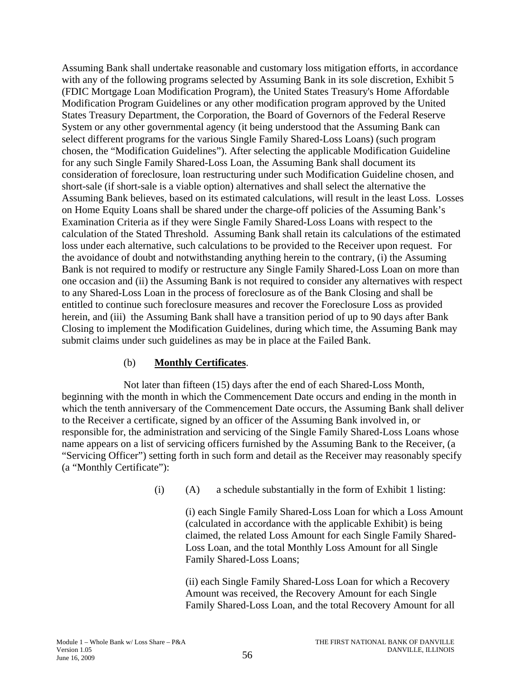Assuming Bank shall undertake reasonable and customary loss mitigation efforts, in accordance with any of the following programs selected by Assuming Bank in its sole discretion, Exhibit 5 (FDIC Mortgage Loan Modification Program), the United States Treasury's Home Affordable Modification Program Guidelines or any other modification program approved by the United States Treasury Department, the Corporation, the Board of Governors of the Federal Reserve System or any other governmental agency (it being understood that the Assuming Bank can select different programs for the various Single Family Shared-Loss Loans) (such program chosen, the "Modification Guidelines"). After selecting the applicable Modification Guideline for any such Single Family Shared-Loss Loan, the Assuming Bank shall document its consideration of foreclosure, loan restructuring under such Modification Guideline chosen, and short-sale (if short-sale is a viable option) alternatives and shall select the alternative the Assuming Bank believes, based on its estimated calculations, will result in the least Loss. Losses on Home Equity Loans shall be shared under the charge-off policies of the Assuming Bank's Examination Criteria as if they were Single Family Shared-Loss Loans with respect to the calculation of the Stated Threshold. Assuming Bank shall retain its calculations of the estimated loss under each alternative, such calculations to be provided to the Receiver upon request. For the avoidance of doubt and notwithstanding anything herein to the contrary, (i) the Assuming Bank is not required to modify or restructure any Single Family Shared-Loss Loan on more than one occasion and (ii) the Assuming Bank is not required to consider any alternatives with respect to any Shared-Loss Loan in the process of foreclosure as of the Bank Closing and shall be entitled to continue such foreclosure measures and recover the Foreclosure Loss as provided herein, and (iii) the Assuming Bank shall have a transition period of up to 90 days after Bank Closing to implement the Modification Guidelines, during which time, the Assuming Bank may submit claims under such guidelines as may be in place at the Failed Bank.

### (b) **Monthly Certificates**.

Not later than fifteen (15) days after the end of each Shared-Loss Month, beginning with the month in which the Commencement Date occurs and ending in the month in which the tenth anniversary of the Commencement Date occurs, the Assuming Bank shall deliver to the Receiver a certificate, signed by an officer of the Assuming Bank involved in, or responsible for, the administration and servicing of the Single Family Shared-Loss Loans whose name appears on a list of servicing officers furnished by the Assuming Bank to the Receiver, (a "Servicing Officer") setting forth in such form and detail as the Receiver may reasonably specify (a "Monthly Certificate"):

(i) (A) a schedule substantially in the form of Exhibit 1 listing:

(i) each Single Family Shared-Loss Loan for which a Loss Amount (calculated in accordance with the applicable Exhibit) is being claimed, the related Loss Amount for each Single Family Shared-Loss Loan, and the total Monthly Loss Amount for all Single Family Shared-Loss Loans;

(ii) each Single Family Shared-Loss Loan for which a Recovery Amount was received, the Recovery Amount for each Single Family Shared-Loss Loan, and the total Recovery Amount for all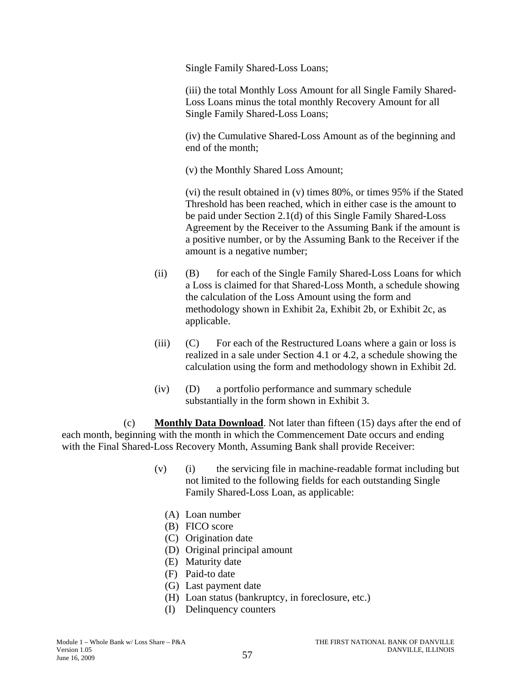Single Family Shared-Loss Loans;

(iii) the total Monthly Loss Amount for all Single Family Shared-Loss Loans minus the total monthly Recovery Amount for all Single Family Shared-Loss Loans;

(iv) the Cumulative Shared-Loss Amount as of the beginning and end of the month;

(v) the Monthly Shared Loss Amount;

(vi) the result obtained in (v) times 80%, or times 95% if the Stated Threshold has been reached, which in either case is the amount to be paid under Section 2.1(d) of this Single Family Shared-Loss Agreement by the Receiver to the Assuming Bank if the amount is a positive number, or by the Assuming Bank to the Receiver if the amount is a negative number;

- (ii) (B) for each of the Single Family Shared-Loss Loans for which a Loss is claimed for that Shared-Loss Month, a schedule showing the calculation of the Loss Amount using the form and methodology shown in Exhibit 2a, Exhibit 2b, or Exhibit 2c, as applicable.
- (iii) (C) For each of the Restructured Loans where a gain or loss is realized in a sale under Section 4.1 or 4.2, a schedule showing the calculation using the form and methodology shown in Exhibit 2d.
- (iv) (D) a portfolio performance and summary schedule substantially in the form shown in Exhibit 3.

(c) **Monthly Data Download**. Not later than fifteen (15) days after the end of each month, beginning with the month in which the Commencement Date occurs and ending with the Final Shared-Loss Recovery Month, Assuming Bank shall provide Receiver:

- $(v)$  (i) the servicing file in machine-readable format including but not limited to the following fields for each outstanding Single Family Shared-Loss Loan, as applicable:
	- (A) Loan number
	- (B) FICO score
	- (C) Origination date
	- (D) Original principal amount
	- (E) Maturity date
	- (F) Paid-to date
	- (G) Last payment date
	- (H) Loan status (bankruptcy, in foreclosure, etc.)
	- (I) Delinquency counters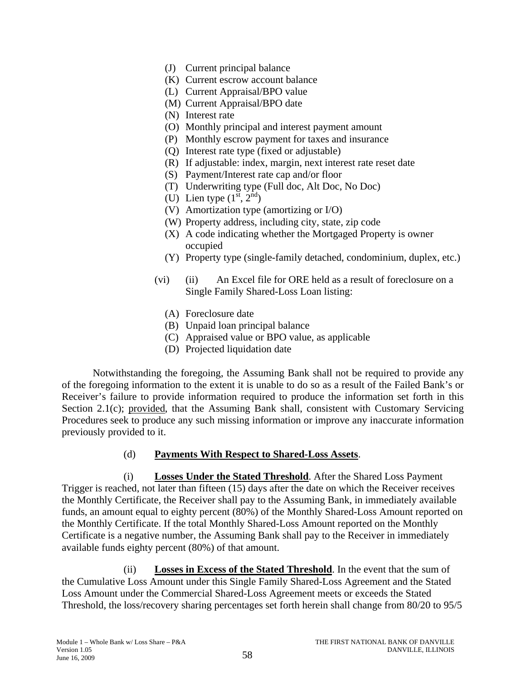- (J) Current principal balance
- (K) Current escrow account balance
- (L) Current Appraisal/BPO value
- (M) Current Appraisal/BPO date
- (N) Interest rate
- (O) Monthly principal and interest payment amount
- (P) Monthly escrow payment for taxes and insurance
- (Q) Interest rate type (fixed or adjustable)
- (R) If adjustable: index, margin, next interest rate reset date
- (S) Payment/Interest rate cap and/or floor
- (T) Underwriting type (Full doc, Alt Doc, No Doc)
- (U) Lien type  $(1<sup>st</sup>, 2<sup>nd</sup>)$
- (V) Amortization type (amortizing or I/O)
- (W) Property address, including city, state, zip code
- (X) A code indicating whether the Mortgaged Property is owner occupied
- (Y) Property type (single-family detached, condominium, duplex, etc.)
- (vi) (ii) An Excel file for ORE held as a result of foreclosure on a Single Family Shared-Loss Loan listing:
	- (A) Foreclosure date
	- (B) Unpaid loan principal balance
	- (C) Appraised value or BPO value, as applicable
	- (D) Projected liquidation date

Notwithstanding the foregoing, the Assuming Bank shall not be required to provide any of the foregoing information to the extent it is unable to do so as a result of the Failed Bank's or Receiver's failure to provide information required to produce the information set forth in this Section 2.1(c); provided, that the Assuming Bank shall, consistent with Customary Servicing Procedures seek to produce any such missing information or improve any inaccurate information previously provided to it.

### (d) **Payments With Respect to Shared-Loss Assets**.

(i) **Losses Under the Stated Threshold**. After the Shared Loss Payment Trigger is reached, not later than fifteen (15) days after the date on which the Receiver receives the Monthly Certificate, the Receiver shall pay to the Assuming Bank, in immediately available funds, an amount equal to eighty percent (80%) of the Monthly Shared-Loss Amount reported on the Monthly Certificate. If the total Monthly Shared-Loss Amount reported on the Monthly Certificate is a negative number, the Assuming Bank shall pay to the Receiver in immediately available funds eighty percent (80%) of that amount.

(ii) **Losses in Excess of the Stated Threshold**. In the event that the sum of the Cumulative Loss Amount under this Single Family Shared-Loss Agreement and the Stated Loss Amount under the Commercial Shared-Loss Agreement meets or exceeds the Stated Threshold, the loss/recovery sharing percentages set forth herein shall change from 80/20 to 95/5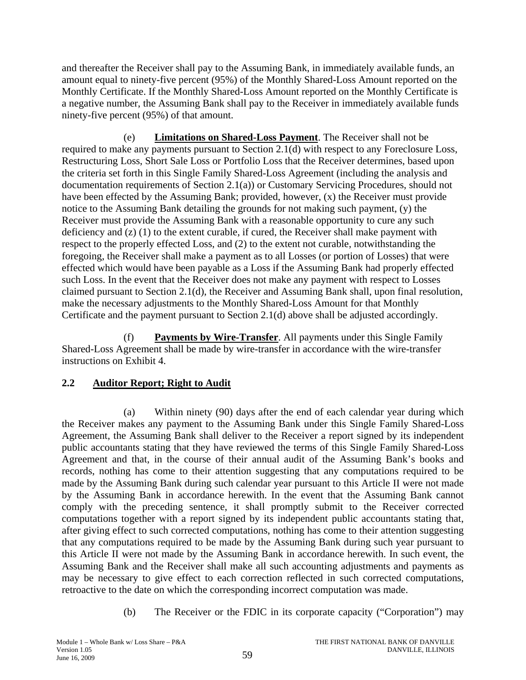and thereafter the Receiver shall pay to the Assuming Bank, in immediately available funds, an amount equal to ninety-five percent (95%) of the Monthly Shared-Loss Amount reported on the Monthly Certificate. If the Monthly Shared-Loss Amount reported on the Monthly Certificate is a negative number, the Assuming Bank shall pay to the Receiver in immediately available funds ninety-five percent (95%) of that amount.

(e) **Limitations on Shared-Loss Payment**. The Receiver shall not be required to make any payments pursuant to Section 2.1(d) with respect to any Foreclosure Loss, Restructuring Loss, Short Sale Loss or Portfolio Loss that the Receiver determines, based upon the criteria set forth in this Single Family Shared-Loss Agreement (including the analysis and documentation requirements of Section 2.1(a)) or Customary Servicing Procedures, should not have been effected by the Assuming Bank; provided, however, (x) the Receiver must provide notice to the Assuming Bank detailing the grounds for not making such payment, (y) the Receiver must provide the Assuming Bank with a reasonable opportunity to cure any such deficiency and (z) (1) to the extent curable, if cured, the Receiver shall make payment with respect to the properly effected Loss, and (2) to the extent not curable, notwithstanding the foregoing, the Receiver shall make a payment as to all Losses (or portion of Losses) that were effected which would have been payable as a Loss if the Assuming Bank had properly effected such Loss. In the event that the Receiver does not make any payment with respect to Losses claimed pursuant to Section 2.1(d), the Receiver and Assuming Bank shall, upon final resolution, make the necessary adjustments to the Monthly Shared-Loss Amount for that Monthly Certificate and the payment pursuant to Section 2.1(d) above shall be adjusted accordingly.

(f) **Payments by Wire-Transfer**. All payments under this Single Family Shared-Loss Agreement shall be made by wire-transfer in accordance with the wire-transfer instructions on Exhibit 4.

# **2.2 Auditor Report; Right to Audit**

(a) Within ninety (90) days after the end of each calendar year during which the Receiver makes any payment to the Assuming Bank under this Single Family Shared-Loss Agreement, the Assuming Bank shall deliver to the Receiver a report signed by its independent public accountants stating that they have reviewed the terms of this Single Family Shared-Loss Agreement and that, in the course of their annual audit of the Assuming Bank's books and records, nothing has come to their attention suggesting that any computations required to be made by the Assuming Bank during such calendar year pursuant to this Article II were not made by the Assuming Bank in accordance herewith. In the event that the Assuming Bank cannot comply with the preceding sentence, it shall promptly submit to the Receiver corrected computations together with a report signed by its independent public accountants stating that, after giving effect to such corrected computations, nothing has come to their attention suggesting that any computations required to be made by the Assuming Bank during such year pursuant to this Article II were not made by the Assuming Bank in accordance herewith. In such event, the Assuming Bank and the Receiver shall make all such accounting adjustments and payments as may be necessary to give effect to each correction reflected in such corrected computations, retroactive to the date on which the corresponding incorrect computation was made.

(b) The Receiver or the FDIC in its corporate capacity ("Corporation") may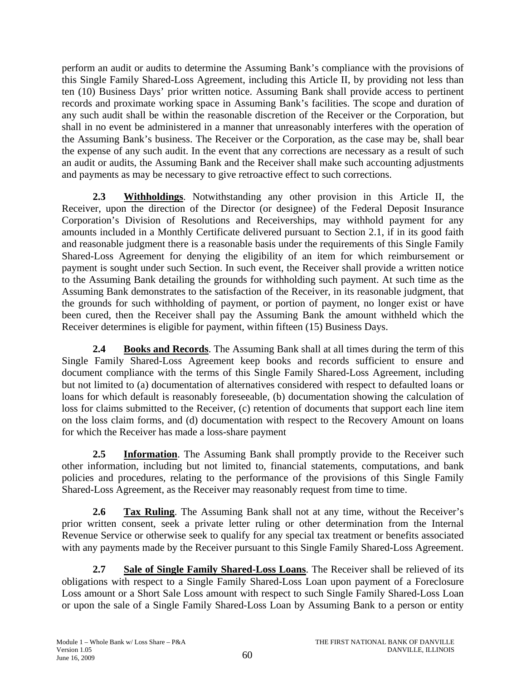perform an audit or audits to determine the Assuming Bank's compliance with the provisions of this Single Family Shared-Loss Agreement, including this Article II, by providing not less than ten (10) Business Days' prior written notice. Assuming Bank shall provide access to pertinent records and proximate working space in Assuming Bank's facilities. The scope and duration of any such audit shall be within the reasonable discretion of the Receiver or the Corporation, but shall in no event be administered in a manner that unreasonably interferes with the operation of the Assuming Bank's business. The Receiver or the Corporation, as the case may be, shall bear the expense of any such audit. In the event that any corrections are necessary as a result of such an audit or audits, the Assuming Bank and the Receiver shall make such accounting adjustments and payments as may be necessary to give retroactive effect to such corrections.

**2.3 Withholdings**. Notwithstanding any other provision in this Article II, the Receiver, upon the direction of the Director (or designee) of the Federal Deposit Insurance Corporation's Division of Resolutions and Receiverships, may withhold payment for any amounts included in a Monthly Certificate delivered pursuant to Section 2.1, if in its good faith and reasonable judgment there is a reasonable basis under the requirements of this Single Family Shared-Loss Agreement for denying the eligibility of an item for which reimbursement or payment is sought under such Section. In such event, the Receiver shall provide a written notice to the Assuming Bank detailing the grounds for withholding such payment. At such time as the Assuming Bank demonstrates to the satisfaction of the Receiver, in its reasonable judgment, that the grounds for such withholding of payment, or portion of payment, no longer exist or have been cured, then the Receiver shall pay the Assuming Bank the amount withheld which the Receiver determines is eligible for payment, within fifteen (15) Business Days.

**2.4 Books and Records**. The Assuming Bank shall at all times during the term of this Single Family Shared-Loss Agreement keep books and records sufficient to ensure and document compliance with the terms of this Single Family Shared-Loss Agreement, including but not limited to (a) documentation of alternatives considered with respect to defaulted loans or loans for which default is reasonably foreseeable, (b) documentation showing the calculation of loss for claims submitted to the Receiver, (c) retention of documents that support each line item on the loss claim forms, and (d) documentation with respect to the Recovery Amount on loans for which the Receiver has made a loss-share payment

**2.5 Information**. The Assuming Bank shall promptly provide to the Receiver such other information, including but not limited to, financial statements, computations, and bank policies and procedures, relating to the performance of the provisions of this Single Family Shared-Loss Agreement, as the Receiver may reasonably request from time to time.

**2.6 Tax Ruling**. The Assuming Bank shall not at any time, without the Receiver's prior written consent, seek a private letter ruling or other determination from the Internal Revenue Service or otherwise seek to qualify for any special tax treatment or benefits associated with any payments made by the Receiver pursuant to this Single Family Shared-Loss Agreement.

**2.7 Sale of Single Family Shared-Loss Loans**. The Receiver shall be relieved of its obligations with respect to a Single Family Shared-Loss Loan upon payment of a Foreclosure Loss amount or a Short Sale Loss amount with respect to such Single Family Shared-Loss Loan or upon the sale of a Single Family Shared-Loss Loan by Assuming Bank to a person or entity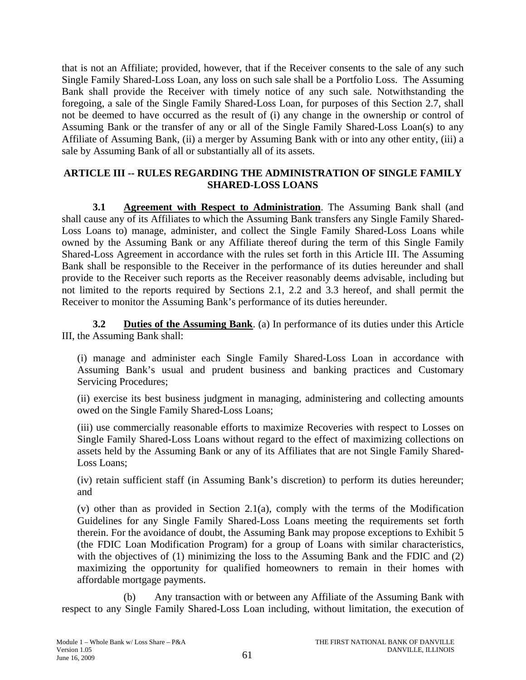that is not an Affiliate; provided, however, that if the Receiver consents to the sale of any such Single Family Shared-Loss Loan, any loss on such sale shall be a Portfolio Loss. The Assuming Bank shall provide the Receiver with timely notice of any such sale. Notwithstanding the foregoing, a sale of the Single Family Shared-Loss Loan, for purposes of this Section 2.7, shall not be deemed to have occurred as the result of (i) any change in the ownership or control of Assuming Bank or the transfer of any or all of the Single Family Shared-Loss Loan(s) to any Affiliate of Assuming Bank, (ii) a merger by Assuming Bank with or into any other entity, (iii) a sale by Assuming Bank of all or substantially all of its assets.

## **ARTICLE III -- RULES REGARDING THE ADMINISTRATION OF SINGLE FAMILY SHARED-LOSS LOANS**

**3.1 Agreement with Respect to Administration**. The Assuming Bank shall (and shall cause any of its Affiliates to which the Assuming Bank transfers any Single Family Shared-Loss Loans to) manage, administer, and collect the Single Family Shared-Loss Loans while owned by the Assuming Bank or any Affiliate thereof during the term of this Single Family Shared-Loss Agreement in accordance with the rules set forth in this Article III. The Assuming Bank shall be responsible to the Receiver in the performance of its duties hereunder and shall provide to the Receiver such reports as the Receiver reasonably deems advisable, including but not limited to the reports required by Sections 2.1, 2.2 and 3.3 hereof, and shall permit the Receiver to monitor the Assuming Bank's performance of its duties hereunder.

**3.2 Duties of the Assuming Bank**. (a) In performance of its duties under this Article III, the Assuming Bank shall:

(i) manage and administer each Single Family Shared-Loss Loan in accordance with Assuming Bank's usual and prudent business and banking practices and Customary Servicing Procedures;

(ii) exercise its best business judgment in managing, administering and collecting amounts owed on the Single Family Shared-Loss Loans;

(iii) use commercially reasonable efforts to maximize Recoveries with respect to Losses on Single Family Shared-Loss Loans without regard to the effect of maximizing collections on assets held by the Assuming Bank or any of its Affiliates that are not Single Family Shared-Loss Loans;

(iv) retain sufficient staff (in Assuming Bank's discretion) to perform its duties hereunder; and

(v) other than as provided in Section 2.1(a), comply with the terms of the Modification Guidelines for any Single Family Shared-Loss Loans meeting the requirements set forth therein. For the avoidance of doubt, the Assuming Bank may propose exceptions to Exhibit 5 (the FDIC Loan Modification Program) for a group of Loans with similar characteristics, with the objectives of (1) minimizing the loss to the Assuming Bank and the FDIC and (2) maximizing the opportunity for qualified homeowners to remain in their homes with affordable mortgage payments.

(b) Any transaction with or between any Affiliate of the Assuming Bank with respect to any Single Family Shared-Loss Loan including, without limitation, the execution of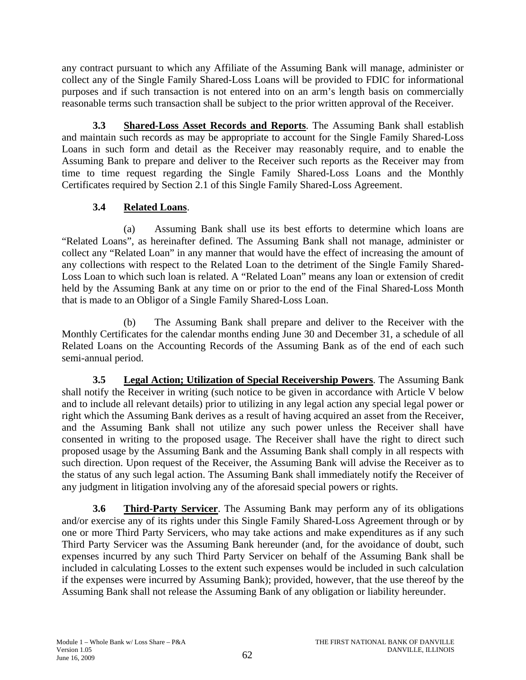any contract pursuant to which any Affiliate of the Assuming Bank will manage, administer or collect any of the Single Family Shared-Loss Loans will be provided to FDIC for informational purposes and if such transaction is not entered into on an arm's length basis on commercially reasonable terms such transaction shall be subject to the prior written approval of the Receiver.

**3.3 Shared-Loss Asset Records and Reports**. The Assuming Bank shall establish and maintain such records as may be appropriate to account for the Single Family Shared-Loss Loans in such form and detail as the Receiver may reasonably require, and to enable the Assuming Bank to prepare and deliver to the Receiver such reports as the Receiver may from time to time request regarding the Single Family Shared-Loss Loans and the Monthly Certificates required by Section 2.1 of this Single Family Shared-Loss Agreement.

# **3.4 Related Loans**.

(a) Assuming Bank shall use its best efforts to determine which loans are "Related Loans", as hereinafter defined. The Assuming Bank shall not manage, administer or collect any "Related Loan" in any manner that would have the effect of increasing the amount of any collections with respect to the Related Loan to the detriment of the Single Family Shared-Loss Loan to which such loan is related. A "Related Loan" means any loan or extension of credit held by the Assuming Bank at any time on or prior to the end of the Final Shared-Loss Month that is made to an Obligor of a Single Family Shared-Loss Loan.

(b) The Assuming Bank shall prepare and deliver to the Receiver with the Monthly Certificates for the calendar months ending June 30 and December 31, a schedule of all Related Loans on the Accounting Records of the Assuming Bank as of the end of each such semi-annual period.

**3.5 Legal Action; Utilization of Special Receivership Powers**. The Assuming Bank shall notify the Receiver in writing (such notice to be given in accordance with Article V below and to include all relevant details) prior to utilizing in any legal action any special legal power or right which the Assuming Bank derives as a result of having acquired an asset from the Receiver, and the Assuming Bank shall not utilize any such power unless the Receiver shall have consented in writing to the proposed usage. The Receiver shall have the right to direct such proposed usage by the Assuming Bank and the Assuming Bank shall comply in all respects with such direction. Upon request of the Receiver, the Assuming Bank will advise the Receiver as to the status of any such legal action. The Assuming Bank shall immediately notify the Receiver of any judgment in litigation involving any of the aforesaid special powers or rights.

**3.6 Third-Party Servicer**. The Assuming Bank may perform any of its obligations and/or exercise any of its rights under this Single Family Shared-Loss Agreement through or by one or more Third Party Servicers, who may take actions and make expenditures as if any such Third Party Servicer was the Assuming Bank hereunder (and, for the avoidance of doubt, such expenses incurred by any such Third Party Servicer on behalf of the Assuming Bank shall be included in calculating Losses to the extent such expenses would be included in such calculation if the expenses were incurred by Assuming Bank); provided, however, that the use thereof by the Assuming Bank shall not release the Assuming Bank of any obligation or liability hereunder.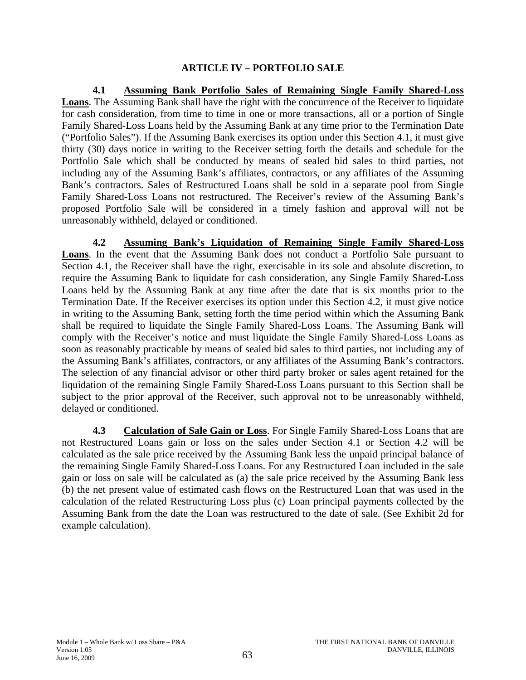### **ARTICLE IV – PORTFOLIO SALE**

**4.1 Assuming Bank Portfolio Sales of Remaining Single Family Shared-Loss Loans**. The Assuming Bank shall have the right with the concurrence of the Receiver to liquidate for cash consideration, from time to time in one or more transactions, all or a portion of Single Family Shared-Loss Loans held by the Assuming Bank at any time prior to the Termination Date ("Portfolio Sales"). If the Assuming Bank exercises its option under this Section 4.1, it must give thirty (30) days notice in writing to the Receiver setting forth the details and schedule for the Portfolio Sale which shall be conducted by means of sealed bid sales to third parties, not including any of the Assuming Bank's affiliates, contractors, or any affiliates of the Assuming Bank's contractors. Sales of Restructured Loans shall be sold in a separate pool from Single Family Shared-Loss Loans not restructured. The Receiver's review of the Assuming Bank's proposed Portfolio Sale will be considered in a timely fashion and approval will not be unreasonably withheld, delayed or conditioned.

**4.2 Assuming Bank's Liquidation of Remaining Single Family Shared-Loss Loans**. In the event that the Assuming Bank does not conduct a Portfolio Sale pursuant to Section 4.1, the Receiver shall have the right, exercisable in its sole and absolute discretion, to require the Assuming Bank to liquidate for cash consideration, any Single Family Shared-Loss Loans held by the Assuming Bank at any time after the date that is six months prior to the Termination Date. If the Receiver exercises its option under this Section 4.2, it must give notice in writing to the Assuming Bank, setting forth the time period within which the Assuming Bank shall be required to liquidate the Single Family Shared-Loss Loans. The Assuming Bank will comply with the Receiver's notice and must liquidate the Single Family Shared-Loss Loans as soon as reasonably practicable by means of sealed bid sales to third parties, not including any of the Assuming Bank's affiliates, contractors, or any affiliates of the Assuming Bank's contractors. The selection of any financial advisor or other third party broker or sales agent retained for the liquidation of the remaining Single Family Shared-Loss Loans pursuant to this Section shall be subject to the prior approval of the Receiver, such approval not to be unreasonably withheld, delayed or conditioned.

**4.3 Calculation of Sale Gain or Loss**. For Single Family Shared-Loss Loans that are not Restructured Loans gain or loss on the sales under Section 4.1 or Section 4.2 will be calculated as the sale price received by the Assuming Bank less the unpaid principal balance of the remaining Single Family Shared-Loss Loans. For any Restructured Loan included in the sale gain or loss on sale will be calculated as (a) the sale price received by the Assuming Bank less (b) the net present value of estimated cash flows on the Restructured Loan that was used in the calculation of the related Restructuring Loss plus (c) Loan principal payments collected by the Assuming Bank from the date the Loan was restructured to the date of sale. (See Exhibit 2d for example calculation).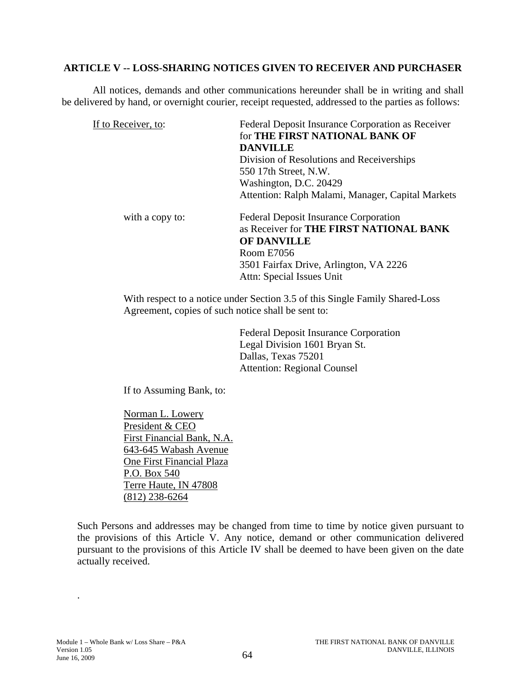### **ARTICLE V -- LOSS-SHARING NOTICES GIVEN TO RECEIVER AND PURCHASER**

All notices, demands and other communications hereunder shall be in writing and shall be delivered by hand, or overnight courier, receipt requested, addressed to the parties as follows:

| If to Receiver, to: | Federal Deposit Insurance Corporation as Receiver |  |  |
|---------------------|---------------------------------------------------|--|--|
|                     | for THE FIRST NATIONAL BANK OF                    |  |  |
|                     | <b>DANVILLE</b>                                   |  |  |
|                     | Division of Resolutions and Receiverships         |  |  |
|                     | 550 17th Street, N.W.                             |  |  |
|                     | Washington, D.C. 20429                            |  |  |
|                     | Attention: Ralph Malami, Manager, Capital Markets |  |  |
| with a copy to:     | <b>Federal Deposit Insurance Corporation</b>      |  |  |
|                     | as Receiver for THE FIRST NATIONAL BANK           |  |  |
|                     | <b>OF DANVILLE</b>                                |  |  |
|                     | Room E7056                                        |  |  |
|                     | 3501 Fairfax Drive, Arlington, VA 2226            |  |  |
|                     | Attn: Special Issues Unit                         |  |  |
|                     |                                                   |  |  |

With respect to a notice under Section 3.5 of this Single Family Shared-Loss Agreement, copies of such notice shall be sent to:

> Federal Deposit Insurance Corporation Legal Division 1601 Bryan St. Dallas, Texas 75201 Attention: Regional Counsel

If to Assuming Bank, to:

Norman L. Lowery President & CEO First Financial Bank, N.A. 643-645 Wabash Avenue One First Financial Plaza P.O. Box 540 Terre Haute, IN 47808 (812) 238-6264

Such Persons and addresses may be changed from time to time by notice given pursuant to the provisions of this Article V. Any notice, demand or other communication delivered pursuant to the provisions of this Article IV shall be deemed to have been given on the date actually received.

.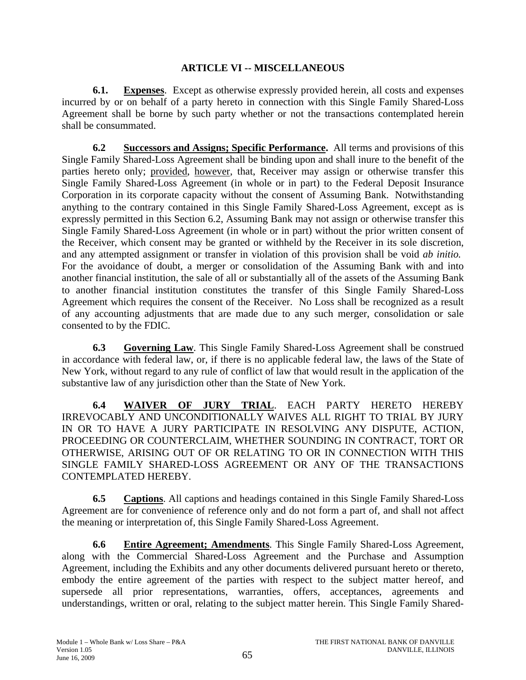## **ARTICLE VI -- MISCELLANEOUS**

**6.1. Expenses**. Except as otherwise expressly provided herein, all costs and expenses incurred by or on behalf of a party hereto in connection with this Single Family Shared-Loss Agreement shall be borne by such party whether or not the transactions contemplated herein shall be consummated.

**6.2** Successors and Assigns; Specific Performance. All terms and provisions of this Single Family Shared-Loss Agreement shall be binding upon and shall inure to the benefit of the parties hereto only; provided, however, that, Receiver may assign or otherwise transfer this Single Family Shared-Loss Agreement (in whole or in part) to the Federal Deposit Insurance Corporation in its corporate capacity without the consent of Assuming Bank. Notwithstanding anything to the contrary contained in this Single Family Shared-Loss Agreement, except as is expressly permitted in this Section 6.2, Assuming Bank may not assign or otherwise transfer this Single Family Shared-Loss Agreement (in whole or in part) without the prior written consent of the Receiver, which consent may be granted or withheld by the Receiver in its sole discretion, and any attempted assignment or transfer in violation of this provision shall be void *ab initio.*  For the avoidance of doubt, a merger or consolidation of the Assuming Bank with and into another financial institution, the sale of all or substantially all of the assets of the Assuming Bank to another financial institution constitutes the transfer of this Single Family Shared-Loss Agreement which requires the consent of the Receiver. No Loss shall be recognized as a result of any accounting adjustments that are made due to any such merger, consolidation or sale consented to by the FDIC.

**6.3** Governing Law. This Single Family Shared-Loss Agreement shall be construed in accordance with federal law, or, if there is no applicable federal law, the laws of the State of New York, without regard to any rule of conflict of law that would result in the application of the substantive law of any jurisdiction other than the State of New York.

**6.4 WAIVER OF JURY TRIAL**. EACH PARTY HERETO HEREBY IRREVOCABLY AND UNCONDITIONALLY WAIVES ALL RIGHT TO TRIAL BY JURY IN OR TO HAVE A JURY PARTICIPATE IN RESOLVING ANY DISPUTE, ACTION, PROCEEDING OR COUNTERCLAIM, WHETHER SOUNDING IN CONTRACT, TORT OR OTHERWISE, ARISING OUT OF OR RELATING TO OR IN CONNECTION WITH THIS SINGLE FAMILY SHARED-LOSS AGREEMENT OR ANY OF THE TRANSACTIONS CONTEMPLATED HEREBY.

**6.5 Captions**. All captions and headings contained in this Single Family Shared-Loss Agreement are for convenience of reference only and do not form a part of, and shall not affect the meaning or interpretation of, this Single Family Shared-Loss Agreement.

**6.6 Entire Agreement; Amendments**. This Single Family Shared-Loss Agreement, along with the Commercial Shared-Loss Agreement and the Purchase and Assumption Agreement, including the Exhibits and any other documents delivered pursuant hereto or thereto, embody the entire agreement of the parties with respect to the subject matter hereof, and supersede all prior representations, warranties, offers, acceptances, agreements and understandings, written or oral, relating to the subject matter herein. This Single Family Shared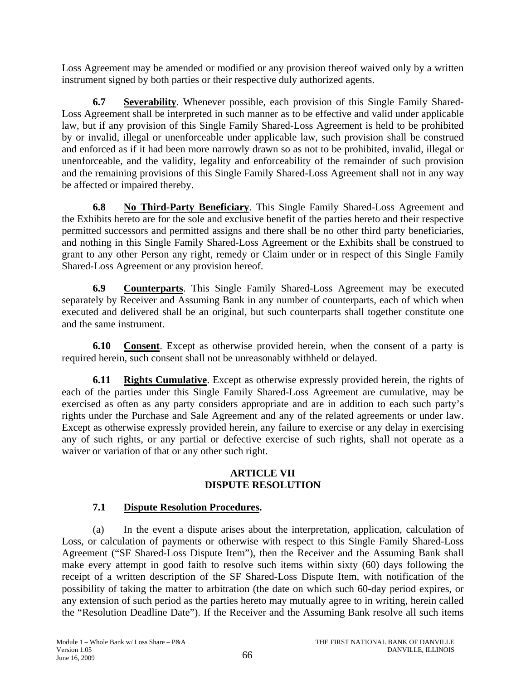Loss Agreement may be amended or modified or any provision thereof waived only by a written instrument signed by both parties or their respective duly authorized agents.

**6.7 Severability**. Whenever possible, each provision of this Single Family Shared-Loss Agreement shall be interpreted in such manner as to be effective and valid under applicable law, but if any provision of this Single Family Shared-Loss Agreement is held to be prohibited by or invalid, illegal or unenforceable under applicable law, such provision shall be construed and enforced as if it had been more narrowly drawn so as not to be prohibited, invalid, illegal or unenforceable, and the validity, legality and enforceability of the remainder of such provision and the remaining provisions of this Single Family Shared-Loss Agreement shall not in any way be affected or impaired thereby.

**6.8 No Third-Party Beneficiary.** This Single Family Shared-Loss Agreement and the Exhibits hereto are for the sole and exclusive benefit of the parties hereto and their respective permitted successors and permitted assigns and there shall be no other third party beneficiaries, and nothing in this Single Family Shared-Loss Agreement or the Exhibits shall be construed to grant to any other Person any right, remedy or Claim under or in respect of this Single Family Shared-Loss Agreement or any provision hereof.

**6.9 Counterparts**. This Single Family Shared-Loss Agreement may be executed separately by Receiver and Assuming Bank in any number of counterparts, each of which when executed and delivered shall be an original, but such counterparts shall together constitute one and the same instrument.

**6.10 Consent**. Except as otherwise provided herein, when the consent of a party is required herein, such consent shall not be unreasonably withheld or delayed.

**6.11 Rights Cumulative**. Except as otherwise expressly provided herein, the rights of each of the parties under this Single Family Shared-Loss Agreement are cumulative, may be exercised as often as any party considers appropriate and are in addition to each such party's rights under the Purchase and Sale Agreement and any of the related agreements or under law. Except as otherwise expressly provided herein, any failure to exercise or any delay in exercising any of such rights, or any partial or defective exercise of such rights, shall not operate as a waiver or variation of that or any other such right.

### **ARTICLE VII DISPUTE RESOLUTION**

# **7.1 Dispute Resolution Procedures.**

(a) In the event a dispute arises about the interpretation, application, calculation of Loss, or calculation of payments or otherwise with respect to this Single Family Shared-Loss Agreement ("SF Shared-Loss Dispute Item"), then the Receiver and the Assuming Bank shall make every attempt in good faith to resolve such items within sixty (60) days following the receipt of a written description of the SF Shared-Loss Dispute Item, with notification of the possibility of taking the matter to arbitration (the date on which such 60-day period expires, or any extension of such period as the parties hereto may mutually agree to in writing, herein called the "Resolution Deadline Date"). If the Receiver and the Assuming Bank resolve all such items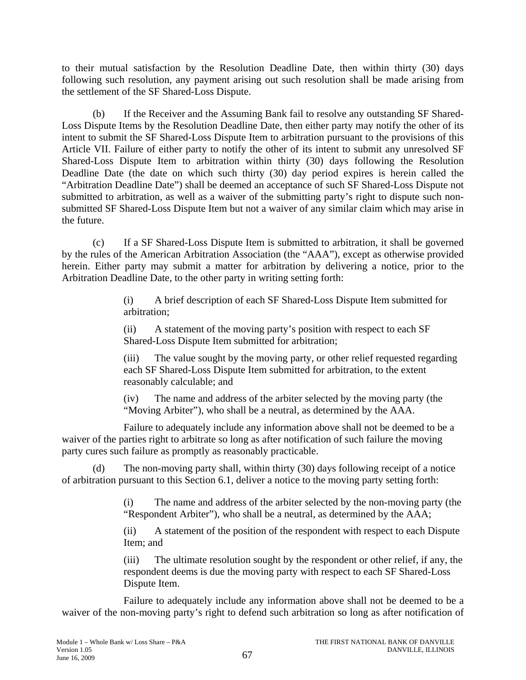to their mutual satisfaction by the Resolution Deadline Date, then within thirty (30) days following such resolution, any payment arising out such resolution shall be made arising from the settlement of the SF Shared-Loss Dispute.

(b) If the Receiver and the Assuming Bank fail to resolve any outstanding SF Shared-Loss Dispute Items by the Resolution Deadline Date, then either party may notify the other of its intent to submit the SF Shared-Loss Dispute Item to arbitration pursuant to the provisions of this Article VII. Failure of either party to notify the other of its intent to submit any unresolved SF Shared-Loss Dispute Item to arbitration within thirty (30) days following the Resolution Deadline Date (the date on which such thirty (30) day period expires is herein called the "Arbitration Deadline Date") shall be deemed an acceptance of such SF Shared-Loss Dispute not submitted to arbitration, as well as a waiver of the submitting party's right to dispute such nonsubmitted SF Shared-Loss Dispute Item but not a waiver of any similar claim which may arise in the future.

(c) If a SF Shared-Loss Dispute Item is submitted to arbitration, it shall be governed by the rules of the American Arbitration Association (the "AAA"), except as otherwise provided herein. Either party may submit a matter for arbitration by delivering a notice, prior to the Arbitration Deadline Date, to the other party in writing setting forth:

> (i) A brief description of each SF Shared-Loss Dispute Item submitted for arbitration;

(ii) A statement of the moving party's position with respect to each SF Shared-Loss Dispute Item submitted for arbitration;

(iii) The value sought by the moving party, or other relief requested regarding each SF Shared-Loss Dispute Item submitted for arbitration, to the extent reasonably calculable; and

(iv) The name and address of the arbiter selected by the moving party (the "Moving Arbiter"), who shall be a neutral, as determined by the AAA.

Failure to adequately include any information above shall not be deemed to be a waiver of the parties right to arbitrate so long as after notification of such failure the moving party cures such failure as promptly as reasonably practicable.

(d) The non-moving party shall, within thirty (30) days following receipt of a notice of arbitration pursuant to this Section 6.1, deliver a notice to the moving party setting forth:

> (i) The name and address of the arbiter selected by the non-moving party (the "Respondent Arbiter"), who shall be a neutral, as determined by the AAA;

> (ii) A statement of the position of the respondent with respect to each Dispute Item; and

> (iii) The ultimate resolution sought by the respondent or other relief, if any, the respondent deems is due the moving party with respect to each SF Shared-Loss Dispute Item.

Failure to adequately include any information above shall not be deemed to be a waiver of the non-moving party's right to defend such arbitration so long as after notification of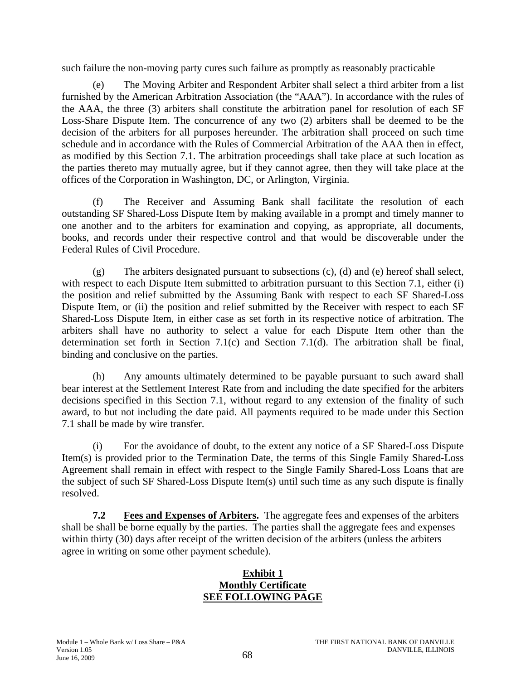such failure the non-moving party cures such failure as promptly as reasonably practicable

The Moving Arbiter and Respondent Arbiter shall select a third arbiter from a list furnished by the American Arbitration Association (the "AAA"). In accordance with the rules of the AAA, the three (3) arbiters shall constitute the arbitration panel for resolution of each SF Loss-Share Dispute Item. The concurrence of any two (2) arbiters shall be deemed to be the decision of the arbiters for all purposes hereunder. The arbitration shall proceed on such time schedule and in accordance with the Rules of Commercial Arbitration of the AAA then in effect, as modified by this Section 7.1. The arbitration proceedings shall take place at such location as the parties thereto may mutually agree, but if they cannot agree, then they will take place at the offices of the Corporation in Washington, DC, or Arlington, Virginia.

(f) The Receiver and Assuming Bank shall facilitate the resolution of each outstanding SF Shared-Loss Dispute Item by making available in a prompt and timely manner to one another and to the arbiters for examination and copying, as appropriate, all documents, books, and records under their respective control and that would be discoverable under the Federal Rules of Civil Procedure.

 $(g)$  The arbiters designated pursuant to subsections  $(c)$ ,  $(d)$  and  $(e)$  hereof shall select, with respect to each Dispute Item submitted to arbitration pursuant to this Section 7.1, either (i) the position and relief submitted by the Assuming Bank with respect to each SF Shared-Loss Dispute Item, or (ii) the position and relief submitted by the Receiver with respect to each SF Shared-Loss Dispute Item, in either case as set forth in its respective notice of arbitration. The arbiters shall have no authority to select a value for each Dispute Item other than the determination set forth in Section 7.1(c) and Section 7.1(d). The arbitration shall be final, binding and conclusive on the parties.

(h) Any amounts ultimately determined to be payable pursuant to such award shall bear interest at the Settlement Interest Rate from and including the date specified for the arbiters decisions specified in this Section 7.1, without regard to any extension of the finality of such award, to but not including the date paid. All payments required to be made under this Section 7.1 shall be made by wire transfer.

(i) For the avoidance of doubt, to the extent any notice of a SF Shared-Loss Dispute Item(s) is provided prior to the Termination Date, the terms of this Single Family Shared-Loss Agreement shall remain in effect with respect to the Single Family Shared-Loss Loans that are the subject of such SF Shared-Loss Dispute Item(s) until such time as any such dispute is finally resolved.

**7.2 Fees and Expenses of Arbiters.** The aggregate fees and expenses of the arbiters shall be shall be borne equally by the parties. The parties shall the aggregate fees and expenses within thirty (30) days after receipt of the written decision of the arbiters (unless the arbiters agree in writing on some other payment schedule).

### **Exhibit 1 Monthly Certificate SEE FOLLOWING PAGE**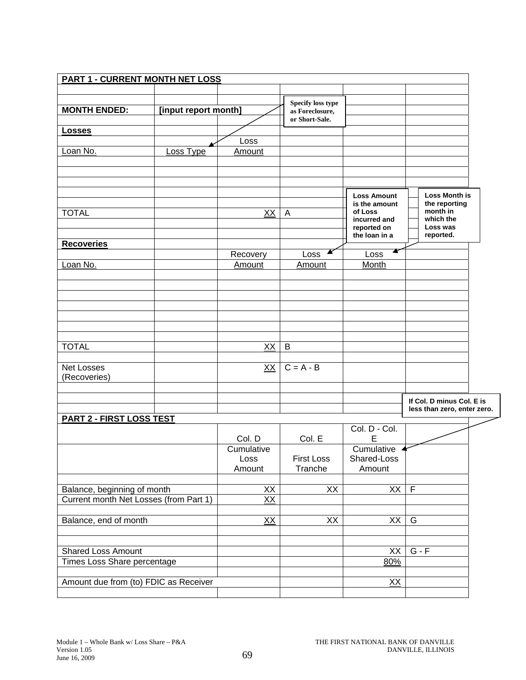| <b>PART 1 - CURRENT MONTH NET LOSS</b> |                      |            |                                   |                             |                             |
|----------------------------------------|----------------------|------------|-----------------------------------|-----------------------------|-----------------------------|
|                                        |                      |            |                                   |                             |                             |
|                                        |                      |            | Specify loss type                 |                             |                             |
| <b>MONTH ENDED:</b>                    | [input report month] |            | as Foreclosure,<br>or Short-Sale. |                             |                             |
| <b>Losses</b>                          |                      |            |                                   |                             |                             |
|                                        |                      | Loss       |                                   |                             |                             |
| Loan No.                               | Loss Type            | Amount     |                                   |                             |                             |
|                                        |                      |            |                                   |                             |                             |
|                                        |                      |            |                                   |                             |                             |
|                                        |                      |            |                                   |                             |                             |
|                                        |                      |            |                                   | <b>Loss Amount</b>          | Loss Month is               |
|                                        |                      |            |                                   | is the amount               | the reporting               |
| <b>TOTAL</b>                           |                      | XX         | $\overline{A}$                    | of Loss                     | month in                    |
|                                        |                      |            |                                   | incurred and<br>reported on | which the<br>Loss was       |
|                                        |                      |            |                                   | the loan in a               | reported.                   |
| <b>Recoveries</b>                      |                      |            |                                   |                             |                             |
|                                        |                      | Recovery   | $Loss^{\mathbf{Z}}$               | Ŧ<br>Loss                   |                             |
| Loan No.                               |                      | Amount     | Amount                            | Month                       |                             |
|                                        |                      |            |                                   |                             |                             |
|                                        |                      |            |                                   |                             |                             |
|                                        |                      |            |                                   |                             |                             |
|                                        |                      |            |                                   |                             |                             |
|                                        |                      |            |                                   |                             |                             |
|                                        |                      |            |                                   |                             |                             |
|                                        |                      |            |                                   |                             |                             |
| <b>TOTAL</b>                           |                      | XX         | B                                 |                             |                             |
|                                        |                      |            |                                   |                             |                             |
| <b>Net Losses</b>                      |                      | XX         | $C = A - B$                       |                             |                             |
| (Recoveries)                           |                      |            |                                   |                             |                             |
|                                        |                      |            |                                   |                             |                             |
|                                        |                      |            |                                   |                             | If Col. D minus Col. E is   |
| <b>PART 2 - FIRST LOSS TEST</b>        |                      |            |                                   |                             | less than zero, enter zero. |
|                                        |                      |            |                                   | Col. D - Col.               |                             |
|                                        |                      | Col. D     | Col. E                            | E                           |                             |
|                                        |                      | Cumulative |                                   | Cumulative                  |                             |
|                                        |                      | Loss       | First Loss                        | Shared-Loss                 |                             |
|                                        |                      | Amount     | Tranche                           | Amount                      |                             |
|                                        |                      |            |                                   |                             |                             |
| Balance, beginning of month            |                      | XX         | XX                                | XX                          | $\mathsf F$                 |
| Current month Net Losses (from Part 1) |                      | XX         |                                   |                             |                             |
|                                        |                      |            |                                   |                             |                             |
| Balance, end of month                  |                      | <u>XX</u>  | XX                                | XX                          | G                           |
|                                        |                      |            |                                   |                             |                             |
|                                        |                      |            |                                   |                             |                             |
| <b>Shared Loss Amount</b>              |                      |            |                                   | XX                          | $G - F$                     |
| Times Loss Share percentage            |                      |            |                                   | 80%                         |                             |
|                                        |                      |            |                                   |                             |                             |
| Amount due from (to) FDIC as Receiver  |                      |            |                                   | XX                          |                             |
|                                        |                      |            |                                   |                             |                             |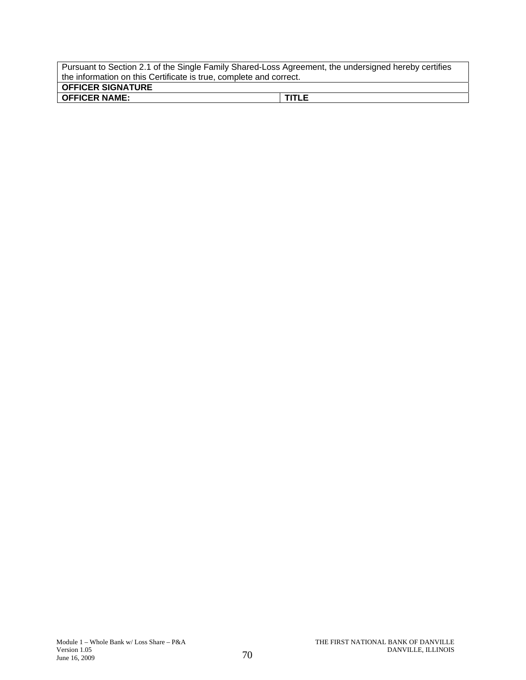| Pursuant to Section 2.1 of the Single Family Shared-Loss Agreement, the undersigned hereby certifies |  |  |  |
|------------------------------------------------------------------------------------------------------|--|--|--|
| the information on this Certificate is true, complete and correct.                                   |  |  |  |
| <b>OFFICER SIGNATURE</b>                                                                             |  |  |  |
| <b>TITLE</b><br><b>OFFICER NAME:</b>                                                                 |  |  |  |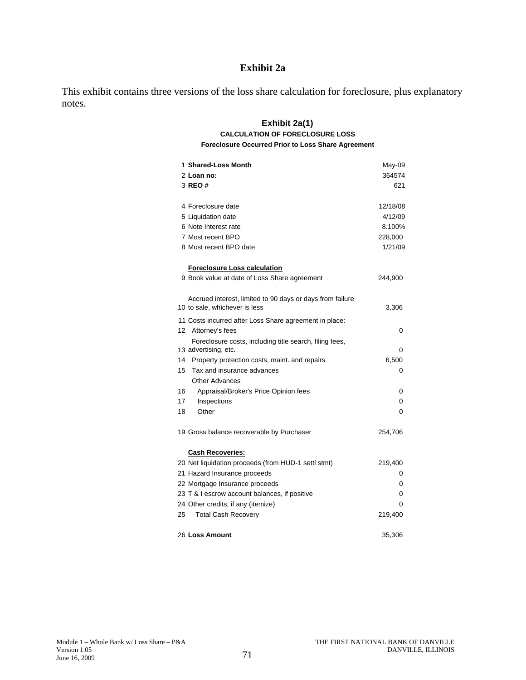### **Exhibit 2a**

This exhibit contains three versions of the loss share calculation for foreclosure, plus explanatory notes.

#### **Exhibit 2a(1) CALCULATION OF FORECLOSURE LOSS Foreclosure Occurred Prior to Loss Share Agreement**

|    | 1 Shared-Loss Month<br>2 Loan no:<br>3 REO #              | May-09<br>364574<br>621 |
|----|-----------------------------------------------------------|-------------------------|
|    | 4 Foreclosure date                                        | 12/18/08                |
|    | 5 Liquidation date                                        | 4/12/09                 |
|    | 6 Note Interest rate                                      | 8.100%                  |
|    | 7 Most recent BPO                                         | 228,000                 |
|    | 8 Most recent BPO date                                    | 1/21/09                 |
|    | <b>Foreclosure Loss calculation</b>                       |                         |
|    | 9 Book value at date of Loss Share agreement              | 244,900                 |
|    | Accrued interest, limited to 90 days or days from failure |                         |
|    | 10 to sale, whichever is less                             | 3,306                   |
|    | 11 Costs incurred after Loss Share agreement in place:    |                         |
| 12 | Attorney's fees                                           | 0                       |
|    | Foreclosure costs, including title search, filing fees,   |                         |
|    | 13 advertising, etc.                                      | 0                       |
| 14 | Property protection costs, maint. and repairs             | 6,500                   |
| 15 | Tax and insurance advances                                | 0                       |
|    | <b>Other Advances</b>                                     |                         |
| 16 | Appraisal/Broker's Price Opinion fees                     | 0                       |
| 17 | Inspections                                               | 0                       |
| 18 | Other                                                     | 0                       |
|    | 19 Gross balance recoverable by Purchaser                 | 254,706                 |
|    | <b>Cash Recoveries:</b>                                   |                         |
|    | 20 Net liquidation proceeds (from HUD-1 settl stmt)       | 219,400                 |
|    | 21 Hazard Insurance proceeds                              | 0                       |
|    | 22 Mortgage Insurance proceeds                            | 0                       |
|    | 23 T & I escrow account balances, if positive             | 0                       |
|    | 24 Other credits, if any (itemize)                        | 0                       |
| 25 | <b>Total Cash Recovery</b>                                | 219,400                 |
|    | 26 Loss Amount                                            | 35,306                  |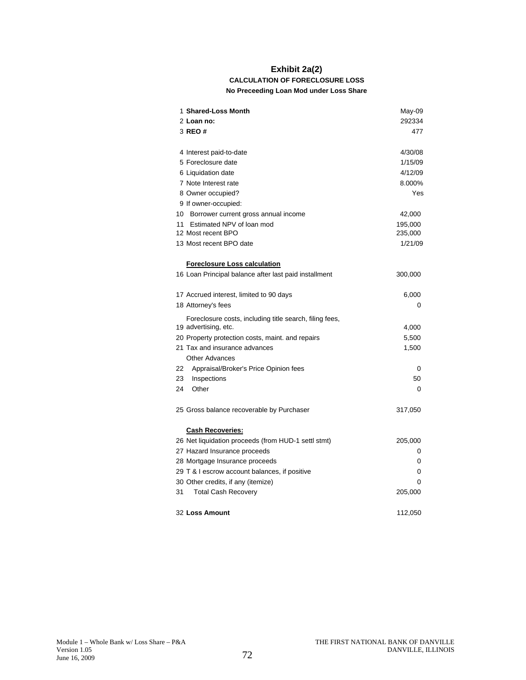#### **Exhibit 2a(2)**

#### **CALCULATION OF FORECLOSURE LOSS**

#### **No Preceeding Loan Mod under Loss Share**

| 1 Shared-Loss Month                                                             | May-09         |
|---------------------------------------------------------------------------------|----------------|
| 2 Loan no:                                                                      | 292334         |
| 3 REO #                                                                         | 477            |
| 4 Interest paid-to-date                                                         | 4/30/08        |
| 5 Foreclosure date                                                              | 1/15/09        |
| 6 Liquidation date                                                              | 4/12/09        |
| 7 Note Interest rate                                                            | 8.000%         |
| 8 Owner occupied?                                                               | Yes            |
| 9 If owner-occupied:                                                            |                |
| 10<br>Borrower current gross annual income                                      | 42,000         |
| Estimated NPV of loan mod<br>11                                                 | 195,000        |
| 12 Most recent BPO                                                              | 235,000        |
| 13 Most recent BPO date                                                         | 1/21/09        |
| <b>Foreclosure Loss calculation</b>                                             |                |
| 16 Loan Principal balance after last paid installment                           | 300,000        |
| 17 Accrued interest, limited to 90 days                                         | 6,000          |
| 18 Attorney's fees                                                              | 0              |
| Foreclosure costs, including title search, filing fees,<br>19 advertising, etc. |                |
| 20 Property protection costs, maint. and repairs                                | 4,000<br>5,500 |
| 21 Tax and insurance advances                                                   | 1,500          |
| <b>Other Advances</b>                                                           |                |
| 22<br>Appraisal/Broker's Price Opinion fees                                     | 0              |
| 23<br>Inspections                                                               | 50             |
| 24<br>Other                                                                     | 0              |
| 25 Gross balance recoverable by Purchaser                                       | 317,050        |
| <b>Cash Recoveries:</b>                                                         |                |
| 26 Net liquidation proceeds (from HUD-1 settl stmt)                             | 205,000        |
| 27 Hazard Insurance proceeds                                                    | 0              |
| 28 Mortgage Insurance proceeds                                                  | 0              |
| 29 T & I escrow account balances, if positive                                   | 0              |
| 30 Other credits, if any (itemize)                                              | 0              |
| 31<br><b>Total Cash Recovery</b>                                                | 205,000        |
| 32 Loss Amount                                                                  | 112,050        |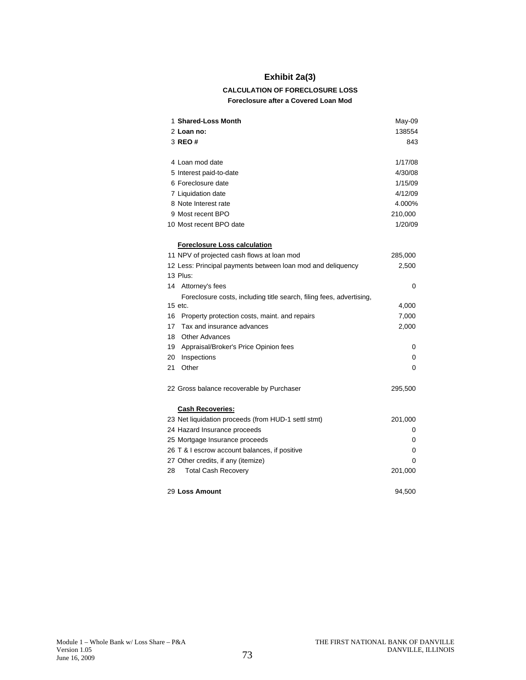## **Exhibit 2a(3)**

#### **CALCULATION OF FORECLOSURE LOSS Foreclosure after a Covered Loan Mod**

| 1 Shared-Loss Month                                                  | May-09  |
|----------------------------------------------------------------------|---------|
| 2 Loan no:                                                           | 138554  |
| 3 REO #                                                              | 843     |
|                                                                      |         |
| 4 Loan mod date                                                      | 1/17/08 |
| 5 Interest paid-to-date                                              | 4/30/08 |
| 6 Foreclosure date                                                   | 1/15/09 |
| 7 Liquidation date                                                   | 4/12/09 |
| 8 Note Interest rate                                                 | 4.000%  |
| 9 Most recent BPO                                                    | 210,000 |
| 10 Most recent BPO date                                              | 1/20/09 |
|                                                                      |         |
| <b>Foreclosure Loss calculation</b>                                  |         |
| 11 NPV of projected cash flows at loan mod                           | 285,000 |
| 12 Less: Principal payments between loan mod and deliquency          | 2,500   |
| 13 Plus:                                                             |         |
| 14<br>Attorney's fees                                                | 0       |
| Foreclosure costs, including title search, filing fees, advertising, |         |
| 15 etc.                                                              | 4,000   |
| 16<br>Property protection costs, maint. and repairs                  | 7,000   |
| 17<br>Tax and insurance advances                                     | 2,000   |
| <b>Other Advances</b><br>18                                          |         |
| 19<br>Appraisal/Broker's Price Opinion fees                          | 0       |
| 20<br>Inspections                                                    | 0       |
| 21<br>Other                                                          | 0       |
|                                                                      |         |
| 22 Gross balance recoverable by Purchaser                            | 295,500 |
|                                                                      |         |
| <b>Cash Recoveries:</b>                                              |         |
| 23 Net liquidation proceeds (from HUD-1 settl stmt)                  | 201,000 |
| 24 Hazard Insurance proceeds                                         | 0       |
| 25 Mortgage Insurance proceeds                                       | 0       |
| 26 T & I escrow account balances, if positive                        | 0       |
| 27 Other credits, if any (itemize)                                   | 0       |
| 28<br><b>Total Cash Recovery</b>                                     | 201,000 |
|                                                                      |         |
| 29 Loss Amount                                                       | 94,500  |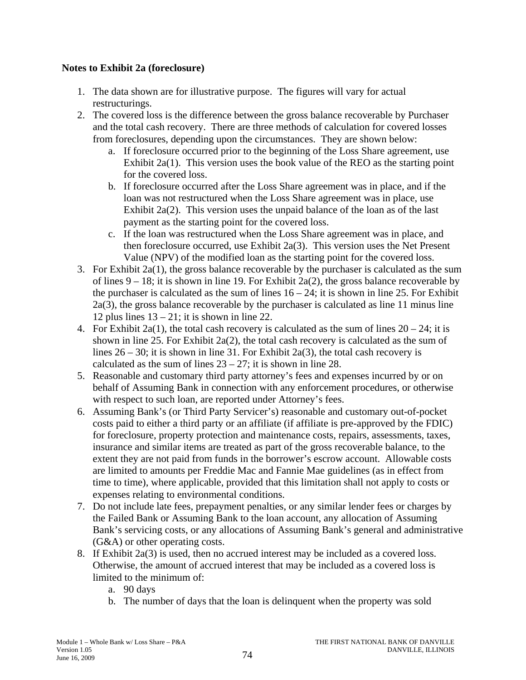## **Notes to Exhibit 2a (foreclosure)**

- 1. The data shown are for illustrative purpose. The figures will vary for actual restructurings.
- 2. The covered loss is the difference between the gross balance recoverable by Purchaser and the total cash recovery. There are three methods of calculation for covered losses from foreclosures, depending upon the circumstances. They are shown below:
	- a. If foreclosure occurred prior to the beginning of the Loss Share agreement, use Exhibit  $2a(1)$ . This version uses the book value of the REO as the starting point for the covered loss.
	- b. If foreclosure occurred after the Loss Share agreement was in place, and if the loan was not restructured when the Loss Share agreement was in place, use Exhibit 2a(2). This version uses the unpaid balance of the loan as of the last payment as the starting point for the covered loss.
	- c. If the loan was restructured when the Loss Share agreement was in place, and then foreclosure occurred, use Exhibit 2a(3). This version uses the Net Present Value (NPV) of the modified loan as the starting point for the covered loss.
- 3. For Exhibit  $2a(1)$ , the gross balance recoverable by the purchaser is calculated as the sum of lines  $9 - 18$ ; it is shown in line 19. For Exhibit 2a(2), the gross balance recoverable by the purchaser is calculated as the sum of lines  $16 - 24$ ; it is shown in line 25. For Exhibit 2a(3), the gross balance recoverable by the purchaser is calculated as line 11 minus line 12 plus lines  $13 - 21$ ; it is shown in line 22.
- 4. For Exhibit 2a(1), the total cash recovery is calculated as the sum of lines  $20 24$ ; it is shown in line 25. For Exhibit 2a(2), the total cash recovery is calculated as the sum of lines  $26 - 30$ ; it is shown in line 31. For Exhibit 2a(3), the total cash recovery is calculated as the sum of lines  $23 - 27$ ; it is shown in line 28.
- 5. Reasonable and customary third party attorney's fees and expenses incurred by or on behalf of Assuming Bank in connection with any enforcement procedures, or otherwise with respect to such loan, are reported under Attorney's fees.
- 6. Assuming Bank's (or Third Party Servicer's) reasonable and customary out-of-pocket costs paid to either a third party or an affiliate (if affiliate is pre-approved by the FDIC) for foreclosure, property protection and maintenance costs, repairs, assessments, taxes, insurance and similar items are treated as part of the gross recoverable balance, to the extent they are not paid from funds in the borrower's escrow account. Allowable costs are limited to amounts per Freddie Mac and Fannie Mae guidelines (as in effect from time to time), where applicable, provided that this limitation shall not apply to costs or expenses relating to environmental conditions.
- 7. Do not include late fees, prepayment penalties, or any similar lender fees or charges by the Failed Bank or Assuming Bank to the loan account, any allocation of Assuming Bank's servicing costs, or any allocations of Assuming Bank's general and administrative (G&A) or other operating costs.
- 8. If Exhibit  $2a(3)$  is used, then no accrued interest may be included as a covered loss. Otherwise, the amount of accrued interest that may be included as a covered loss is limited to the minimum of:
	- a. 90 days
	- b. The number of days that the loan is delinquent when the property was sold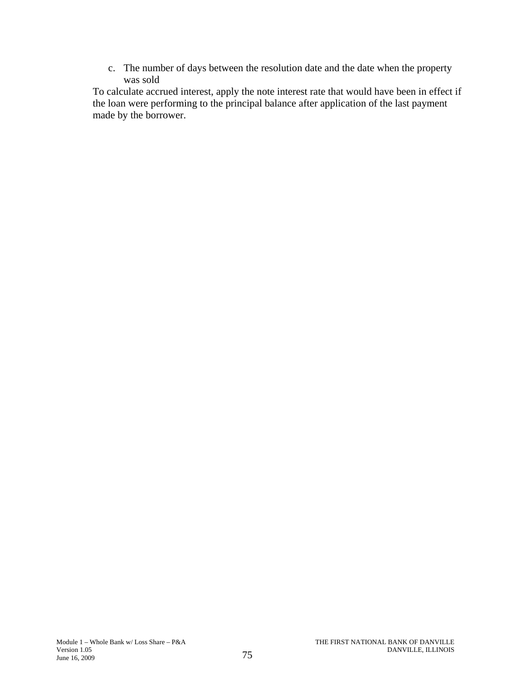c. The number of days between the resolution date and the date when the property was sold

To calculate accrued interest, apply the note interest rate that would have been in effect if the loan were performing to the principal balance after application of the last payment made by the borrower.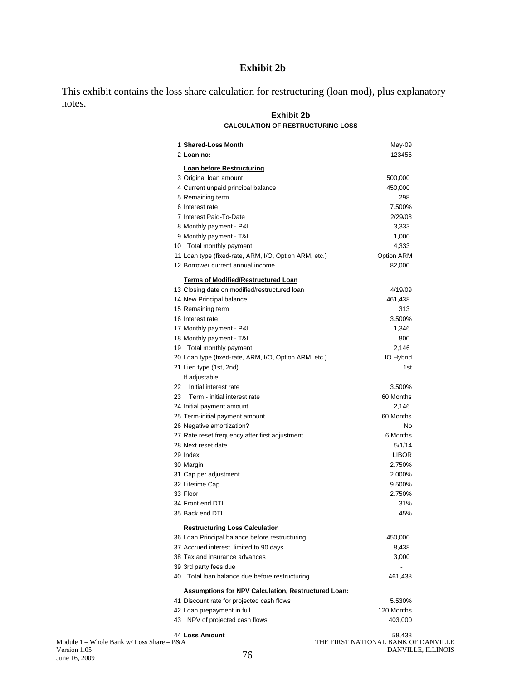## **Exhibit 2b**

This exhibit contains the loss share calculation for restructuring (loan mod), plus explanatory notes.

### **Exhibit 2b CALCULATION OF RESTRUCTURING LOSS**

|                                           | 1 Shared-Loss Month                                                      | May-09                                        |
|-------------------------------------------|--------------------------------------------------------------------------|-----------------------------------------------|
|                                           | 2 Loan no:                                                               | 123456                                        |
|                                           | <b>Loan before Restructuring</b>                                         |                                               |
|                                           | 3 Original loan amount                                                   | 500,000                                       |
|                                           | 4 Current unpaid principal balance                                       | 450,000                                       |
|                                           | 5 Remaining term                                                         | 298                                           |
|                                           | 6 Interest rate                                                          | 7.500%                                        |
|                                           | 7 Interest Paid-To-Date                                                  | 2/29/08                                       |
|                                           | 8 Monthly payment - P&I                                                  | 3,333                                         |
|                                           | 9 Monthly payment - T&I                                                  | 1,000                                         |
|                                           | 10 Total monthly payment                                                 | 4,333                                         |
|                                           | 11 Loan type (fixed-rate, ARM, I/O, Option ARM, etc.)                    | <b>Option ARM</b>                             |
|                                           | 12 Borrower current annual income                                        | 82,000                                        |
|                                           | <b>Terms of Modified/Restructured Loan</b>                               |                                               |
|                                           | 13 Closing date on modified/restructured loan                            | 4/19/09                                       |
|                                           | 14 New Principal balance                                                 | 461,438                                       |
|                                           | 15 Remaining term                                                        | 313                                           |
|                                           | 16 Interest rate                                                         | 3.500%                                        |
|                                           | 17 Monthly payment - P&I                                                 | 1,346                                         |
|                                           | 18 Monthly payment - T&I                                                 | 800                                           |
|                                           | 19 Total monthly payment                                                 | 2,146                                         |
|                                           | 20 Loan type (fixed-rate, ARM, I/O, Option ARM, etc.)                    | IO Hybrid                                     |
|                                           | 21 Lien type (1st, 2nd)                                                  | 1st                                           |
|                                           | If adjustable:                                                           |                                               |
| 22                                        | Initial interest rate                                                    | 3.500%                                        |
| 23                                        | Term - initial interest rate                                             | 60 Months                                     |
|                                           | 24 Initial payment amount                                                | 2,146                                         |
|                                           | 25 Term-initial payment amount                                           | 60 Months                                     |
|                                           | 26 Negative amortization?                                                | No                                            |
|                                           | 27 Rate reset frequency after first adjustment                           | 6 Months                                      |
|                                           | 28 Next reset date                                                       | 5/1/14                                        |
|                                           | 29 Index                                                                 | <b>LIBOR</b>                                  |
|                                           |                                                                          | 2.750%                                        |
|                                           | 30 Margin                                                                |                                               |
|                                           | 31 Cap per adjustment                                                    | 2.000%<br>9.500%                              |
|                                           | 32 Lifetime Cap<br>33 Floor                                              |                                               |
|                                           | 34 Front end DTI                                                         | 2.750%                                        |
|                                           | 35 Back end DTI                                                          | 31%<br>45%                                    |
|                                           |                                                                          |                                               |
|                                           | <b>Restructuring Loss Calculation</b>                                    | 450,000                                       |
|                                           | 36 Loan Principal balance before restructuring                           |                                               |
|                                           | 37 Accrued interest, limited to 90 days<br>38 Tax and insurance advances | 8,438                                         |
|                                           |                                                                          | 3,000                                         |
|                                           | 39 3rd party fees due<br>40 Total loan balance due before restructuring  | 461,438                                       |
|                                           |                                                                          |                                               |
|                                           | Assumptions for NPV Calculation, Restructured Loan:                      |                                               |
|                                           | 41 Discount rate for projected cash flows                                | 5.530%                                        |
|                                           | 42 Loan prepayment in full                                               | 120 Months                                    |
|                                           | 43 NPV of projected cash flows                                           | 403,000                                       |
| Module 1 – Whole Bank w/ Loss Share – P&A | 44 Loss Amount                                                           | 58,438<br>THE FIRST NATIONAL BANK OF DANVILLE |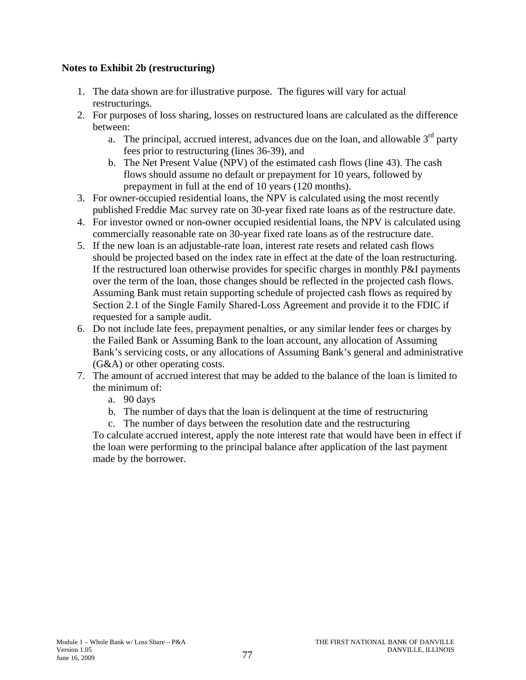## **Notes to Exhibit 2b (restructuring)**

- 1. The data shown are for illustrative purpose. The figures will vary for actual restructurings.
- 2. For purposes of loss sharing, losses on restructured loans are calculated as the difference between:
	- a. The principal, accrued interest, advances due on the loan, and allowable  $3<sup>rd</sup>$  party fees prior to restructuring (lines 36-39), and
	- b. The Net Present Value (NPV) of the estimated cash flows (line 43). The cash flows should assume no default or prepayment for 10 years, followed by prepayment in full at the end of 10 years (120 months).
- 3. For owner-occupied residential loans, the NPV is calculated using the most recently published Freddie Mac survey rate on 30-year fixed rate loans as of the restructure date.
- 4. For investor owned or non-owner occupied residential loans, the NPV is calculated using commercially reasonable rate on 30-year fixed rate loans as of the restructure date.
- 5. If the new loan is an adjustable-rate loan, interest rate resets and related cash flows should be projected based on the index rate in effect at the date of the loan restructuring. If the restructured loan otherwise provides for specific charges in monthly P&I payments over the term of the loan, those changes should be reflected in the projected cash flows. Assuming Bank must retain supporting schedule of projected cash flows as required by Section 2.1 of the Single Family Shared-Loss Agreement and provide it to the FDIC if requested for a sample audit.
- 6. Do not include late fees, prepayment penalties, or any similar lender fees or charges by the Failed Bank or Assuming Bank to the loan account, any allocation of Assuming Bank's servicing costs, or any allocations of Assuming Bank's general and administrative (G&A) or other operating costs.
- 7. The amount of accrued interest that may be added to the balance of the loan is limited to the minimum of:
	- a. 90 days
	- b. The number of days that the loan is delinquent at the time of restructuring

c. The number of days between the resolution date and the restructuring To calculate accrued interest, apply the note interest rate that would have been in effect if the loan were performing to the principal balance after application of the last payment made by the borrower.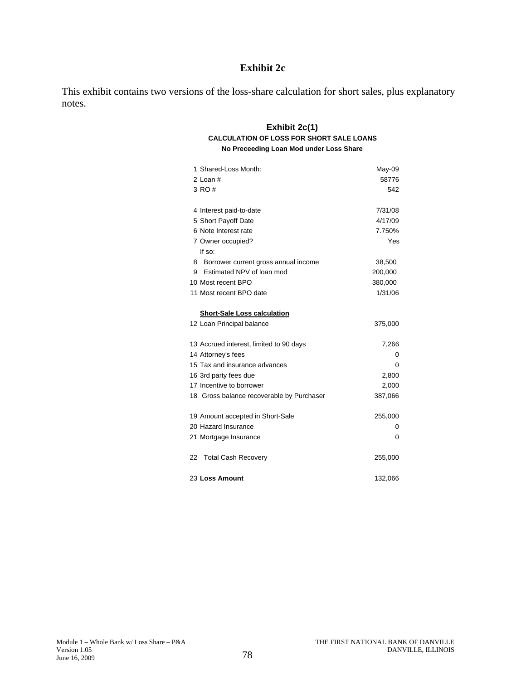### **Exhibit 2c**

This exhibit contains two versions of the loss-share calculation for short sales, plus explanatory notes.

#### **Exhibit 2c(1) CALCULATION OF LOSS FOR SHORT SALE LOANS No Preceeding Loan Mod under Loss Share**

| 1 Shared-Loss Month:<br>2 Loan #<br>3 RO #                                                                                                                                                       | May-09<br>58776<br>542                       |
|--------------------------------------------------------------------------------------------------------------------------------------------------------------------------------------------------|----------------------------------------------|
| 4 Interest paid-to-date<br>5 Short Payoff Date                                                                                                                                                   | 7/31/08<br>4/17/09                           |
| 6 Note Interest rate<br>7 Owner occupied?<br>If so:                                                                                                                                              | 7.750%<br>Yes                                |
| Borrower current gross annual income<br>8<br>Estimated NPV of loan mod<br>9<br>10 Most recent BPO<br>11 Most recent BPO date                                                                     | 38,500<br>200,000<br>380,000<br>1/31/06      |
| <b>Short-Sale Loss calculation</b><br>12 Loan Principal balance                                                                                                                                  | 375,000                                      |
| 13 Accrued interest, limited to 90 days<br>14 Attorney's fees<br>15 Tax and insurance advances<br>16 3rd party fees due<br>17 Incentive to borrower<br>18 Gross balance recoverable by Purchaser | 7,266<br>0<br>0<br>2,800<br>2,000<br>387,066 |
| 19 Amount accepted in Short-Sale<br>20 Hazard Insurance<br>21 Mortgage Insurance                                                                                                                 | 255,000<br>0<br>0                            |
| 22 Total Cash Recovery                                                                                                                                                                           | 255,000                                      |
| 23 Loss Amount                                                                                                                                                                                   | 132,066                                      |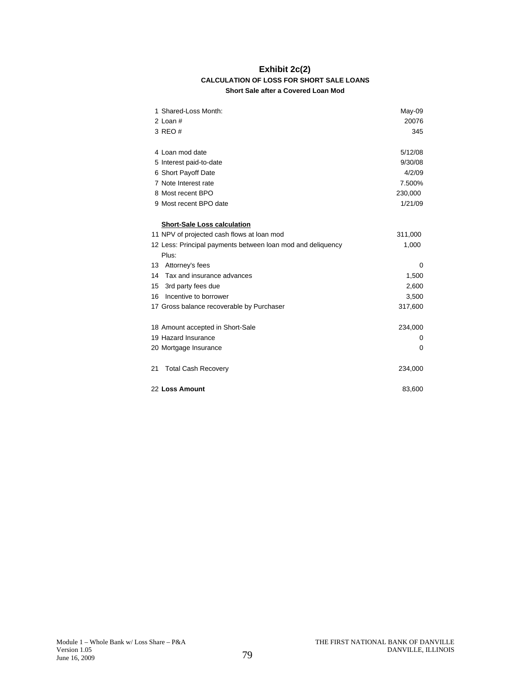#### **Exhibit 2c(2) CALCULATION OF LOSS FOR SHORT SALE LOANS Short Sale after a Covered Loan Mod**

| 1 Shared-Loss Month:                                        | May-09  |
|-------------------------------------------------------------|---------|
| 2 Loan $#$                                                  | 20076   |
| 3 REO #                                                     | 345     |
|                                                             |         |
| 4 Loan mod date                                             | 5/12/08 |
| 5 Interest paid-to-date                                     | 9/30/08 |
| 6 Short Payoff Date                                         | 4/2/09  |
| 7 Note Interest rate                                        | 7.500%  |
| 8 Most recent BPO                                           | 230,000 |
| 9 Most recent BPO date                                      | 1/21/09 |
|                                                             |         |
| <b>Short-Sale Loss calculation</b>                          |         |
| 11 NPV of projected cash flows at loan mod                  | 311,000 |
| 12 Less: Principal payments between loan mod and deliquency | 1,000   |
| Plus:                                                       |         |
| 13<br>Attorney's fees                                       | 0       |
| Tax and insurance advances<br>14                            | 1,500   |
| 15<br>3rd party fees due                                    | 2,600   |
| Incentive to borrower<br>16                                 | 3,500   |
| 17 Gross balance recoverable by Purchaser                   | 317,600 |
|                                                             |         |
| 18 Amount accepted in Short-Sale                            | 234,000 |
| 19 Hazard Insurance                                         | 0       |
| 20 Mortgage Insurance                                       | 0       |
|                                                             |         |
| <b>Total Cash Recovery</b><br>21                            | 234,000 |
|                                                             |         |
| 22 Loss Amount                                              | 83,600  |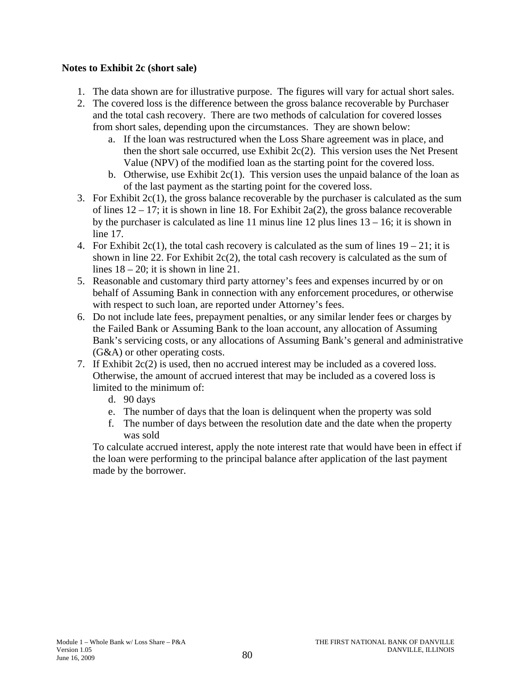## **Notes to Exhibit 2c (short sale)**

- 1. The data shown are for illustrative purpose. The figures will vary for actual short sales.
- 2. The covered loss is the difference between the gross balance recoverable by Purchaser and the total cash recovery. There are two methods of calculation for covered losses from short sales, depending upon the circumstances. They are shown below:
	- a. If the loan was restructured when the Loss Share agreement was in place, and then the short sale occurred, use Exhibit  $2c(2)$ . This version uses the Net Present Value (NPV) of the modified loan as the starting point for the covered loss.
	- b. Otherwise, use Exhibit  $2c(1)$ . This version uses the unpaid balance of the loan as of the last payment as the starting point for the covered loss.
- 3. For Exhibit  $2c(1)$ , the gross balance recoverable by the purchaser is calculated as the sum of lines  $12 - 17$ ; it is shown in line 18. For Exhibit 2a(2), the gross balance recoverable by the purchaser is calculated as line 11 minus line 12 plus lines 13 – 16; it is shown in line 17.
- 4. For Exhibit 2c(1), the total cash recovery is calculated as the sum of lines  $19 21$ ; it is shown in line 22. For Exhibit  $2c(2)$ , the total cash recovery is calculated as the sum of lines  $18 - 20$ ; it is shown in line 21.
- 5. Reasonable and customary third party attorney's fees and expenses incurred by or on behalf of Assuming Bank in connection with any enforcement procedures, or otherwise with respect to such loan, are reported under Attorney's fees.
- 6. Do not include late fees, prepayment penalties, or any similar lender fees or charges by the Failed Bank or Assuming Bank to the loan account, any allocation of Assuming Bank's servicing costs, or any allocations of Assuming Bank's general and administrative (G&A) or other operating costs.
- 7. If Exhibit  $2c(2)$  is used, then no accrued interest may be included as a covered loss. Otherwise, the amount of accrued interest that may be included as a covered loss is limited to the minimum of:
	- d. 90 days
	- e. The number of days that the loan is delinquent when the property was sold
	- f. The number of days between the resolution date and the date when the property was sold

To calculate accrued interest, apply the note interest rate that would have been in effect if the loan were performing to the principal balance after application of the last payment made by the borrower.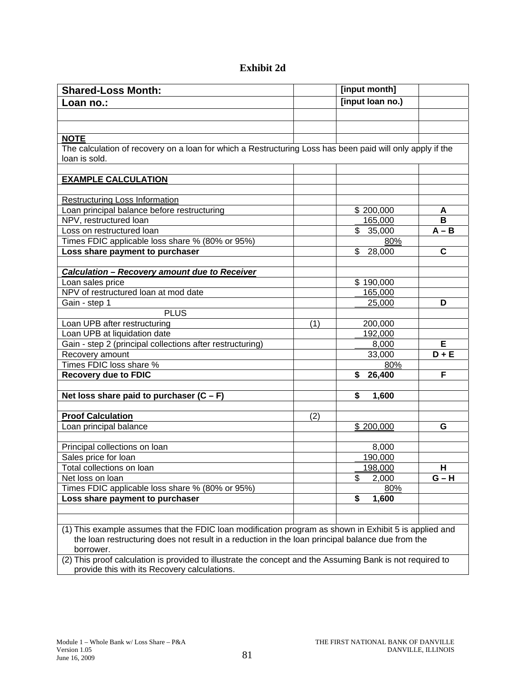## **Exhibit 2d**

| <b>Shared-Loss Month:</b>                                                                                                                                 |     |                  |         |
|-----------------------------------------------------------------------------------------------------------------------------------------------------------|-----|------------------|---------|
| Loan no.:                                                                                                                                                 |     | [input loan no.) |         |
|                                                                                                                                                           |     |                  |         |
|                                                                                                                                                           |     |                  |         |
| <b>NOTE</b>                                                                                                                                               |     |                  |         |
| The calculation of recovery on a loan for which a Restructuring Loss has been paid will only apply if the                                                 |     |                  |         |
| loan is sold.                                                                                                                                             |     |                  |         |
|                                                                                                                                                           |     |                  |         |
| <b>EXAMPLE CALCULATION</b>                                                                                                                                |     |                  |         |
|                                                                                                                                                           |     |                  |         |
| <b>Restructuring Loss Information</b>                                                                                                                     |     |                  |         |
| Loan principal balance before restructuring                                                                                                               |     | \$200,000        | A       |
| NPV, restructured loan                                                                                                                                    |     | 165,000          | B       |
| Loss on restructured loan                                                                                                                                 |     | \$35,000         | $A - B$ |
| Times FDIC applicable loss share % (80% or 95%)                                                                                                           |     | 80%              |         |
| Loss share payment to purchaser                                                                                                                           |     | \$28,000         | C       |
|                                                                                                                                                           |     |                  |         |
| Calculation - Recovery amount due to Receiver                                                                                                             |     |                  |         |
| Loan sales price                                                                                                                                          |     | \$190,000        |         |
| NPV of restructured loan at mod date                                                                                                                      |     | 165,000          |         |
| Gain - step 1                                                                                                                                             |     | 25,000           | D       |
| <b>PLUS</b>                                                                                                                                               |     |                  |         |
| Loan UPB after restructuring                                                                                                                              | (1) | 200,000          |         |
| Loan UPB at liquidation date                                                                                                                              |     | 192,000          | Е       |
| Gain - step 2 (principal collections after restructuring)<br>Recovery amount                                                                              |     | 8,000<br>33,000  | $D + E$ |
| Times FDIC loss share %                                                                                                                                   |     | 80%              |         |
| <b>Recovery due to FDIC</b>                                                                                                                               |     | \$26,400         | F       |
|                                                                                                                                                           |     |                  |         |
| Net loss share paid to purchaser $(C - F)$                                                                                                                |     | \$<br>1,600      |         |
|                                                                                                                                                           |     |                  |         |
| <b>Proof Calculation</b>                                                                                                                                  | (2) |                  |         |
| Loan principal balance                                                                                                                                    |     | \$200,000        | G       |
|                                                                                                                                                           |     |                  |         |
| Principal collections on loan                                                                                                                             |     | 8,000            |         |
| Sales price for loan                                                                                                                                      |     | 190,000          |         |
| Total collections on loan                                                                                                                                 |     | 198,000          | H       |
| Net loss on loan                                                                                                                                          |     | \$<br>2,000      | G – H   |
| Times FDIC applicable loss share % (80% or 95%)                                                                                                           |     | 80%              |         |
| Loss share payment to purchaser                                                                                                                           |     | 1,600<br>\$      |         |
|                                                                                                                                                           |     |                  |         |
|                                                                                                                                                           |     |                  |         |
| (1) This example assumes that the FDIC loan modification program as shown in Exhibit 5 is applied and                                                     |     |                  |         |
| the loan restructuring does not result in a reduction in the loan principal balance due from the                                                          |     |                  |         |
| borrower.                                                                                                                                                 |     |                  |         |
| (2) This proof calculation is provided to illustrate the concept and the Assuming Bank is not required to<br>provide this with its Recovery calculations. |     |                  |         |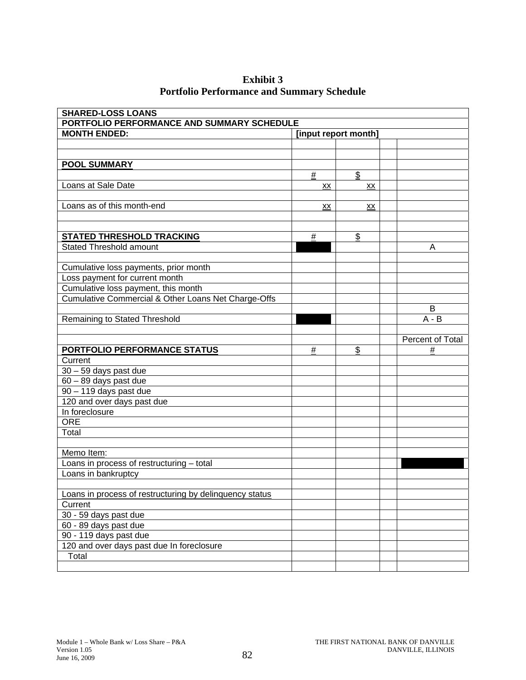| <b>SHARED-LOSS LOANS</b><br>PORTFOLIO PERFORMANCE AND SUMMARY SCHEDULE |      |    |                  |  |
|------------------------------------------------------------------------|------|----|------------------|--|
| <b>MONTH ENDED:</b><br>[input report month]                            |      |    |                  |  |
|                                                                        |      |    |                  |  |
|                                                                        |      |    |                  |  |
| <b>POOL SUMMARY</b>                                                    |      |    |                  |  |
|                                                                        | $\#$ | \$ |                  |  |
| Loans at Sale Date                                                     | XX   | XX |                  |  |
|                                                                        |      |    |                  |  |
| Loans as of this month-end                                             | XX   | XX |                  |  |
|                                                                        |      |    |                  |  |
| <b>STATED THRESHOLD TRACKING</b>                                       | $\#$ | \$ |                  |  |
| <b>Stated Threshold amount</b>                                         |      |    | A                |  |
|                                                                        |      |    |                  |  |
| Cumulative loss payments, prior month                                  |      |    |                  |  |
| Loss payment for current month                                         |      |    |                  |  |
| Cumulative loss payment, this month                                    |      |    |                  |  |
| Cumulative Commercial & Other Loans Net Charge-Offs                    |      |    |                  |  |
|                                                                        |      |    | B                |  |
| Remaining to Stated Threshold                                          |      |    | $A - B$          |  |
|                                                                        |      |    |                  |  |
|                                                                        |      |    | Percent of Total |  |
| <b>PORTFOLIO PERFORMANCE STATUS</b>                                    | $\#$ | \$ | $\#$             |  |
| Current                                                                |      |    |                  |  |
| $30 - 59$ days past due                                                |      |    |                  |  |
| $60 - 89$ days past due                                                |      |    |                  |  |
| $90 - 119$ days past due                                               |      |    |                  |  |
| 120 and over days past due                                             |      |    |                  |  |
| In foreclosure                                                         |      |    |                  |  |
| <b>ORE</b>                                                             |      |    |                  |  |
| Total                                                                  |      |    |                  |  |
|                                                                        |      |    |                  |  |
| Memo Item:                                                             |      |    |                  |  |
| Loans in process of restructuring - total                              |      |    |                  |  |
| Loans in bankruptcy                                                    |      |    |                  |  |
|                                                                        |      |    |                  |  |
| Loans in process of restructuring by delinguency status                |      |    |                  |  |
| Current                                                                |      |    |                  |  |
| 30 - 59 days past due                                                  |      |    |                  |  |
| 60 - 89 days past due                                                  |      |    |                  |  |
| 90 - 119 days past due                                                 |      |    |                  |  |
|                                                                        |      |    |                  |  |
| 120 and over days past due In foreclosure<br>Total                     |      |    |                  |  |

**Exhibit 3 Portfolio Performance and Summary Schedule**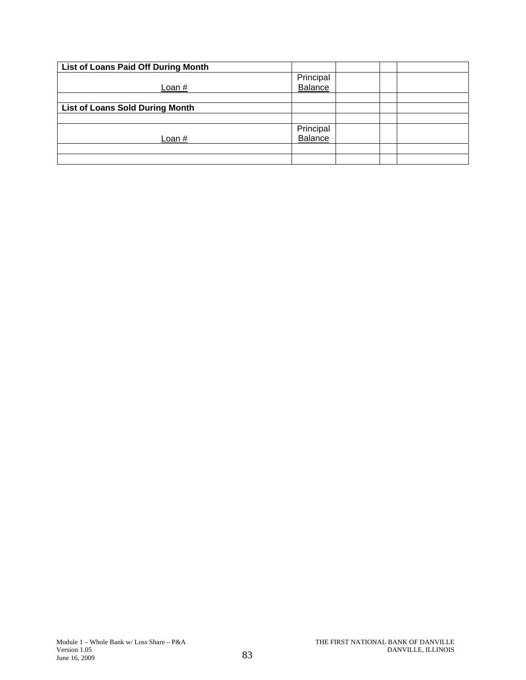| List of Loans Paid Off During Month    |                      |  |  |
|----------------------------------------|----------------------|--|--|
|                                        | Principal            |  |  |
| Loan #                                 | Balance              |  |  |
|                                        |                      |  |  |
| <b>List of Loans Sold During Month</b> |                      |  |  |
|                                        |                      |  |  |
|                                        | Principal<br>Balance |  |  |
| Loan #                                 |                      |  |  |
|                                        |                      |  |  |
|                                        |                      |  |  |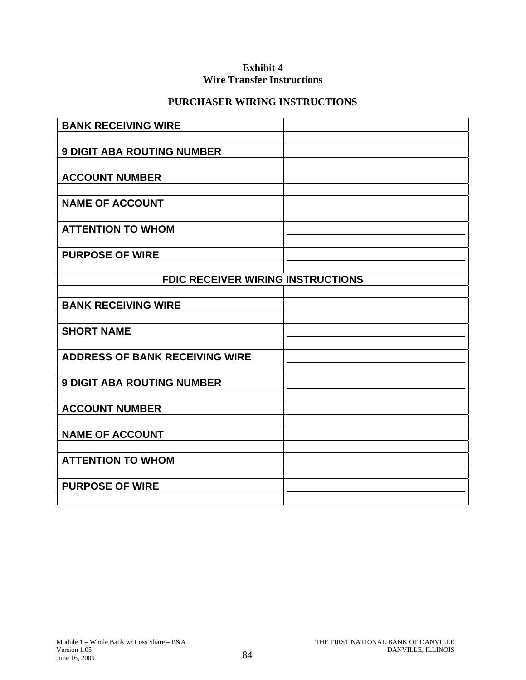## **Exhibit 4 Wire Transfer Instructions**

## **PURCHASER WIRING INSTRUCTIONS**

| <b>BANK RECEIVING WIRE</b>            |  |
|---------------------------------------|--|
|                                       |  |
| <b>9 DIGIT ABA ROUTING NUMBER</b>     |  |
|                                       |  |
| <b>ACCOUNT NUMBER</b>                 |  |
|                                       |  |
| <b>NAME OF ACCOUNT</b>                |  |
|                                       |  |
| <b>ATTENTION TO WHOM</b>              |  |
| <b>PURPOSE OF WIRE</b>                |  |
|                                       |  |
| FDIC RECEIVER WIRING INSTRUCTIONS     |  |
|                                       |  |
| <b>BANK RECEIVING WIRE</b>            |  |
|                                       |  |
| <b>SHORT NAME</b>                     |  |
|                                       |  |
| <b>ADDRESS OF BANK RECEIVING WIRE</b> |  |
|                                       |  |
| <b>9 DIGIT ABA ROUTING NUMBER</b>     |  |
|                                       |  |
| <b>ACCOUNT NUMBER</b>                 |  |
|                                       |  |
| <b>NAME OF ACCOUNT</b>                |  |
| <b>ATTENTION TO WHOM</b>              |  |
|                                       |  |
| <b>PURPOSE OF WIRE</b>                |  |
|                                       |  |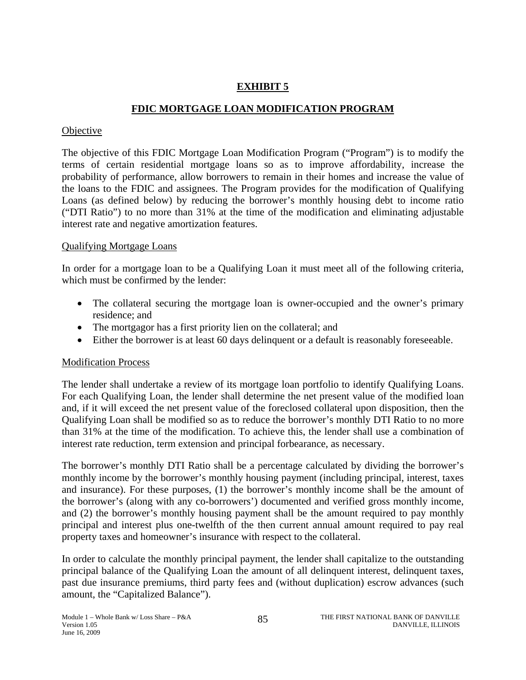## **EXHIBIT 5**

# **FDIC MORTGAGE LOAN MODIFICATION PROGRAM**

## **Objective**

The objective of this FDIC Mortgage Loan Modification Program ("Program") is to modify the terms of certain residential mortgage loans so as to improve affordability, increase the probability of performance, allow borrowers to remain in their homes and increase the value of the loans to the FDIC and assignees. The Program provides for the modification of Qualifying Loans (as defined below) by reducing the borrower's monthly housing debt to income ratio ("DTI Ratio") to no more than 31% at the time of the modification and eliminating adjustable interest rate and negative amortization features.

## Qualifying Mortgage Loans

In order for a mortgage loan to be a Qualifying Loan it must meet all of the following criteria, which must be confirmed by the lender:

- The collateral securing the mortgage loan is owner-occupied and the owner's primary residence; and
- The mortgagor has a first priority lien on the collateral; and
- Either the borrower is at least 60 days delinquent or a default is reasonably foreseeable.

## Modification Process

The lender shall undertake a review of its mortgage loan portfolio to identify Qualifying Loans. For each Qualifying Loan, the lender shall determine the net present value of the modified loan and, if it will exceed the net present value of the foreclosed collateral upon disposition, then the Qualifying Loan shall be modified so as to reduce the borrower's monthly DTI Ratio to no more than 31% at the time of the modification. To achieve this, the lender shall use a combination of interest rate reduction, term extension and principal forbearance, as necessary.

The borrower's monthly DTI Ratio shall be a percentage calculated by dividing the borrower's monthly income by the borrower's monthly housing payment (including principal, interest, taxes and insurance). For these purposes, (1) the borrower's monthly income shall be the amount of the borrower's (along with any co-borrowers') documented and verified gross monthly income, and (2) the borrower's monthly housing payment shall be the amount required to pay monthly principal and interest plus one-twelfth of the then current annual amount required to pay real property taxes and homeowner's insurance with respect to the collateral.

In order to calculate the monthly principal payment, the lender shall capitalize to the outstanding principal balance of the Qualifying Loan the amount of all delinquent interest, delinquent taxes, past due insurance premiums, third party fees and (without duplication) escrow advances (such amount, the "Capitalized Balance").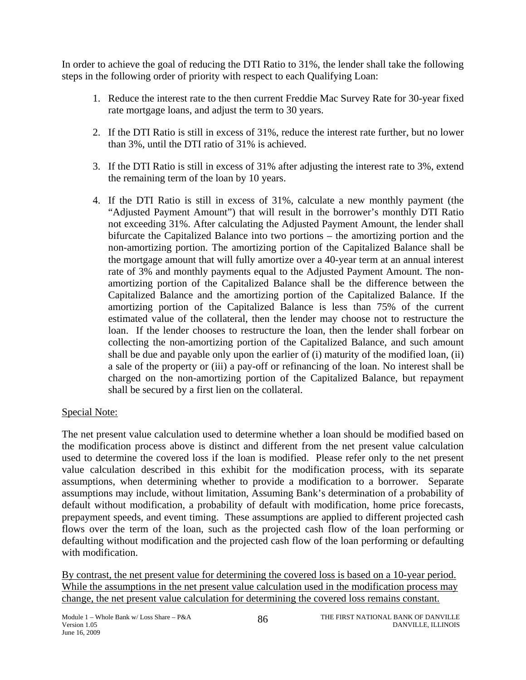In order to achieve the goal of reducing the DTI Ratio to 31%, the lender shall take the following steps in the following order of priority with respect to each Qualifying Loan:

- 1. Reduce the interest rate to the then current Freddie Mac Survey Rate for 30-year fixed rate mortgage loans, and adjust the term to 30 years.
- 2. If the DTI Ratio is still in excess of 31%, reduce the interest rate further, but no lower than 3%, until the DTI ratio of 31% is achieved.
- 3. If the DTI Ratio is still in excess of 31% after adjusting the interest rate to 3%, extend the remaining term of the loan by 10 years.
- 4. If the DTI Ratio is still in excess of 31%, calculate a new monthly payment (the "Adjusted Payment Amount") that will result in the borrower's monthly DTI Ratio not exceeding 31%. After calculating the Adjusted Payment Amount, the lender shall bifurcate the Capitalized Balance into two portions – the amortizing portion and the non-amortizing portion. The amortizing portion of the Capitalized Balance shall be the mortgage amount that will fully amortize over a 40-year term at an annual interest rate of 3% and monthly payments equal to the Adjusted Payment Amount. The nonamortizing portion of the Capitalized Balance shall be the difference between the Capitalized Balance and the amortizing portion of the Capitalized Balance. If the amortizing portion of the Capitalized Balance is less than 75% of the current estimated value of the collateral, then the lender may choose not to restructure the loan. If the lender chooses to restructure the loan, then the lender shall forbear on collecting the non-amortizing portion of the Capitalized Balance, and such amount shall be due and payable only upon the earlier of (i) maturity of the modified loan, (ii) a sale of the property or (iii) a pay-off or refinancing of the loan. No interest shall be charged on the non-amortizing portion of the Capitalized Balance, but repayment shall be secured by a first lien on the collateral.

## Special Note:

The net present value calculation used to determine whether a loan should be modified based on the modification process above is distinct and different from the net present value calculation used to determine the covered loss if the loan is modified. Please refer only to the net present value calculation described in this exhibit for the modification process, with its separate assumptions, when determining whether to provide a modification to a borrower. Separate assumptions may include, without limitation, Assuming Bank's determination of a probability of default without modification, a probability of default with modification, home price forecasts, prepayment speeds, and event timing. These assumptions are applied to different projected cash flows over the term of the loan, such as the projected cash flow of the loan performing or defaulting without modification and the projected cash flow of the loan performing or defaulting with modification.

change, the net present value calculation for determining the covered loss remains constant.<br>Module 1 – Whole Bank w/ Loss Share – P&A 86 THE FIRST NATIONAL BANK OF DANVILLE, ILLINOIS<br>DANVILLE, ILLINOIS By contrast, the net present value for determining the covered loss is based on a 10-year period. While the assumptions in the net present value calculation used in the modification process may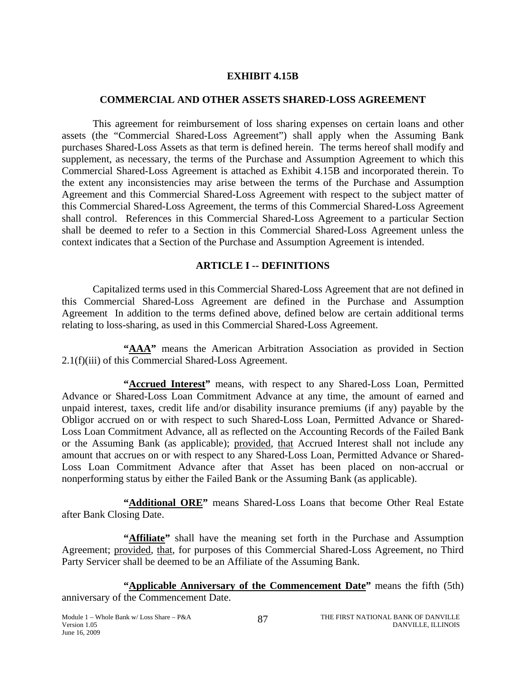### **EXHIBIT 4.15B**

### **COMMERCIAL AND OTHER ASSETS SHARED-LOSS AGREEMENT**

This agreement for reimbursement of loss sharing expenses on certain loans and other assets (the "Commercial Shared-Loss Agreement") shall apply when the Assuming Bank purchases Shared-Loss Assets as that term is defined herein. The terms hereof shall modify and supplement, as necessary, the terms of the Purchase and Assumption Agreement to which this Commercial Shared-Loss Agreement is attached as Exhibit 4.15B and incorporated therein. To the extent any inconsistencies may arise between the terms of the Purchase and Assumption Agreement and this Commercial Shared-Loss Agreement with respect to the subject matter of this Commercial Shared-Loss Agreement, the terms of this Commercial Shared-Loss Agreement shall control. References in this Commercial Shared-Loss Agreement to a particular Section shall be deemed to refer to a Section in this Commercial Shared-Loss Agreement unless the context indicates that a Section of the Purchase and Assumption Agreement is intended.

### **ARTICLE I -- DEFINITIONS**

Capitalized terms used in this Commercial Shared-Loss Agreement that are not defined in this Commercial Shared-Loss Agreement are defined in the Purchase and Assumption Agreement In addition to the terms defined above, defined below are certain additional terms relating to loss-sharing, as used in this Commercial Shared-Loss Agreement.

"AAA" means the American Arbitration Association as provided in Section 2.1(f)(iii) of this Commercial Shared-Loss Agreement.

**"Accrued Interest"** means, with respect to any Shared-Loss Loan, Permitted Advance or Shared-Loss Loan Commitment Advance at any time, the amount of earned and unpaid interest, taxes, credit life and/or disability insurance premiums (if any) payable by the Obligor accrued on or with respect to such Shared-Loss Loan, Permitted Advance or Shared-Loss Loan Commitment Advance, all as reflected on the Accounting Records of the Failed Bank or the Assuming Bank (as applicable); provided, that Accrued Interest shall not include any amount that accrues on or with respect to any Shared-Loss Loan, Permitted Advance or Shared-Loss Loan Commitment Advance after that Asset has been placed on non-accrual or nonperforming status by either the Failed Bank or the Assuming Bank (as applicable).

"**Additional ORE**" means Shared-Loss Loans that become Other Real Estate after Bank Closing Date.

"**Affiliate**" shall have the meaning set forth in the Purchase and Assumption Agreement; provided, that, for purposes of this Commercial Shared-Loss Agreement, no Third Party Servicer shall be deemed to be an Affiliate of the Assuming Bank.

**Examplicable Anniversary of the Commencement Date**" means the fifth (5th) anniversary of the Commencement Date.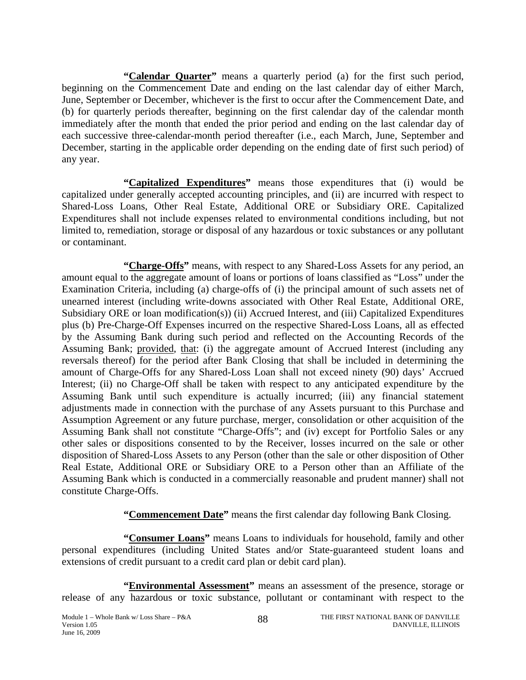"Calendar Quarter" means a quarterly period (a) for the first such period, beginning on the Commencement Date and ending on the last calendar day of either March, June, September or December, whichever is the first to occur after the Commencement Date, and (b) for quarterly periods thereafter, beginning on the first calendar day of the calendar month immediately after the month that ended the prior period and ending on the last calendar day of each successive three-calendar-month period thereafter (i.e., each March, June, September and December, starting in the applicable order depending on the ending date of first such period) of any year.

**"Capitalized Expenditures"** means those expenditures that (i) would be capitalized under generally accepted accounting principles, and (ii) are incurred with respect to Shared-Loss Loans, Other Real Estate, Additional ORE or Subsidiary ORE. Capitalized Expenditures shall not include expenses related to environmental conditions including, but not limited to, remediation, storage or disposal of any hazardous or toxic substances or any pollutant or contaminant.

**"Charge-Offs"** means, with respect to any Shared-Loss Assets for any period, an amount equal to the aggregate amount of loans or portions of loans classified as "Loss" under the Examination Criteria, including (a) charge-offs of (i) the principal amount of such assets net of unearned interest (including write-downs associated with Other Real Estate, Additional ORE, Subsidiary ORE or loan modification(s)) (ii) Accrued Interest, and (iii) Capitalized Expenditures plus (b) Pre-Charge-Off Expenses incurred on the respective Shared-Loss Loans, all as effected by the Assuming Bank during such period and reflected on the Accounting Records of the Assuming Bank; provided, that: (i) the aggregate amount of Accrued Interest (including any reversals thereof) for the period after Bank Closing that shall be included in determining the amount of Charge-Offs for any Shared-Loss Loan shall not exceed ninety (90) days' Accrued Interest; (ii) no Charge-Off shall be taken with respect to any anticipated expenditure by the Assuming Bank until such expenditure is actually incurred; (iii) any financial statement adjustments made in connection with the purchase of any Assets pursuant to this Purchase and Assumption Agreement or any future purchase, merger, consolidation or other acquisition of the Assuming Bank shall not constitute "Charge-Offs"; and (iv) except for Portfolio Sales or any other sales or dispositions consented to by the Receiver, losses incurred on the sale or other disposition of Shared-Loss Assets to any Person (other than the sale or other disposition of Other Real Estate, Additional ORE or Subsidiary ORE to a Person other than an Affiliate of the Assuming Bank which is conducted in a commercially reasonable and prudent manner) shall not constitute Charge-Offs.

**"Commencement Date"** means the first calendar day following Bank Closing.

**"Consumer Loans"** means Loans to individuals for household, family and other personal expenditures (including United States and/or State-guaranteed student loans and extensions of credit pursuant to a credit card plan or debit card plan).

**"Environmental Assessment"** means an assessment of the presence, storage or release of any hazardous or toxic substance, pollutant or contaminant with respect to the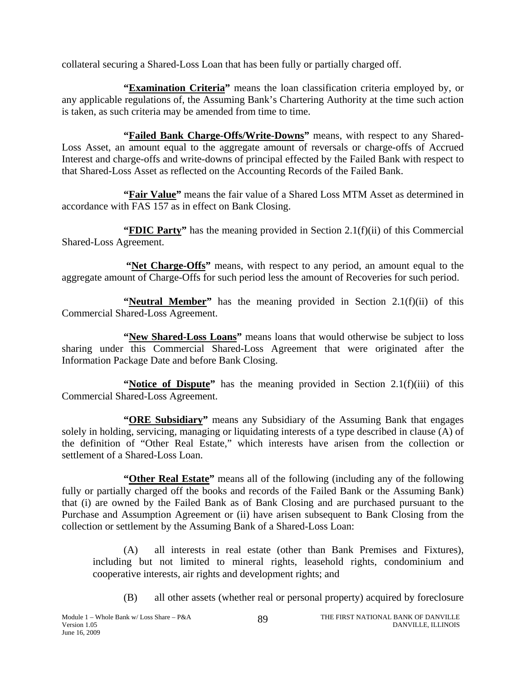collateral securing a Shared-Loss Loan that has been fully or partially charged off.

**"Examination Criteria"** means the loan classification criteria employed by, or any applicable regulations of, the Assuming Bank's Chartering Authority at the time such action is taken, as such criteria may be amended from time to time.

"Failed Bank Charge-Offs/Write-Downs" means, with respect to any Shared-Loss Asset, an amount equal to the aggregate amount of reversals or charge-offs of Accrued Interest and charge-offs and write-downs of principal effected by the Failed Bank with respect to that Shared-Loss Asset as reflected on the Accounting Records of the Failed Bank.

**"Fair Value"** means the fair value of a Shared Loss MTM Asset as determined in accordance with FAS 157 as in effect on Bank Closing.

**"FDIC Party"** has the meaning provided in Section 2.1(f)(ii) of this Commercial Shared-Loss Agreement.

**"Net Charge-Offs"** means, with respect to any period, an amount equal to the aggregate amount of Charge-Offs for such period less the amount of Recoveries for such period.

 Commercial Shared-Loss Agreement. **"Neutral Member"** has the meaning provided in Section 2.1(f)(ii) of this

**"New Shared-Loss Loans"** means loans that would otherwise be subject to loss sharing under this Commercial Shared-Loss Agreement that were originated after the Information Package Date and before Bank Closing.

"Notice of Dispute" has the meaning provided in Section 2.1(f)(iii) of this Commercial Shared-Loss Agreement.

**"ORE Subsidiary"** means any Subsidiary of the Assuming Bank that engages solely in holding, servicing, managing or liquidating interests of a type described in clause (A) of the definition of "Other Real Estate," which interests have arisen from the collection or settlement of a Shared-Loss Loan.

**"Other Real Estate"** means all of the following (including any of the following fully or partially charged off the books and records of the Failed Bank or the Assuming Bank) that (i) are owned by the Failed Bank as of Bank Closing and are purchased pursuant to the Purchase and Assumption Agreement or (ii) have arisen subsequent to Bank Closing from the collection or settlement by the Assuming Bank of a Shared-Loss Loan:

(A) all interests in real estate (other than Bank Premises and Fixtures), including but not limited to mineral rights, leasehold rights, condominium and cooperative interests, air rights and development rights; and

(B) all other assets (whether real or personal property) acquired by foreclosure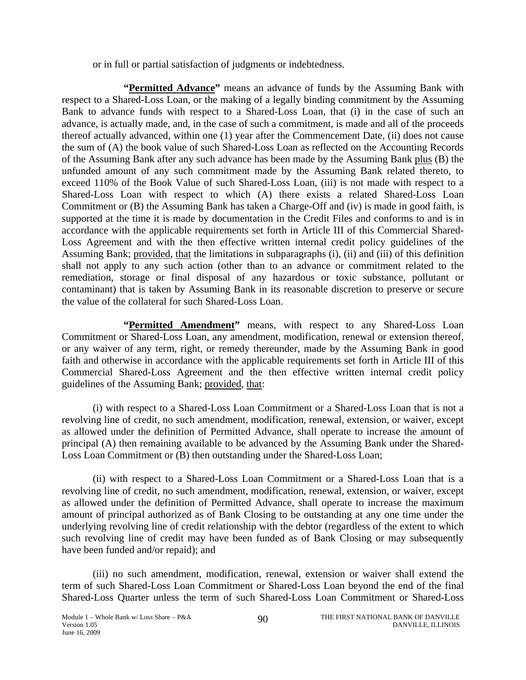or in full or partial satisfaction of judgments or indebtedness.

**"Permitted Advance"** means an advance of funds by the Assuming Bank with respect to a Shared-Loss Loan, or the making of a legally binding commitment by the Assuming Bank to advance funds with respect to a Shared-Loss Loan, that (i) in the case of such an advance, is actually made, and, in the case of such a commitment, is made and all of the proceeds thereof actually advanced, within one (1) year after the Commencement Date, (ii) does not cause the sum of (A) the book value of such Shared-Loss Loan as reflected on the Accounting Records of the Assuming Bank after any such advance has been made by the Assuming Bank plus (B) the unfunded amount of any such commitment made by the Assuming Bank related thereto, to exceed 110% of the Book Value of such Shared-Loss Loan, (iii) is not made with respect to a Shared-Loss Loan with respect to which (A) there exists a related Shared-Loss Loan Commitment or (B) the Assuming Bank has taken a Charge-Off and (iv) is made in good faith, is supported at the time it is made by documentation in the Credit Files and conforms to and is in accordance with the applicable requirements set forth in Article III of this Commercial Shared-Loss Agreement and with the then effective written internal credit policy guidelines of the Assuming Bank; provided, that the limitations in subparagraphs (i), (ii) and (iii) of this definition shall not apply to any such action (other than to an advance or commitment related to the remediation, storage or final disposal of any hazardous or toxic substance, pollutant or contaminant) that is taken by Assuming Bank in its reasonable discretion to preserve or secure the value of the collateral for such Shared-Loss Loan.

**"Permitted Amendment"** means, with respect to any Shared-Loss Loan Commitment or Shared-Loss Loan, any amendment, modification, renewal or extension thereof, or any waiver of any term, right, or remedy thereunder, made by the Assuming Bank in good faith and otherwise in accordance with the applicable requirements set forth in Article III of this Commercial Shared-Loss Agreement and the then effective written internal credit policy guidelines of the Assuming Bank; provided, that:

(i) with respect to a Shared-Loss Loan Commitment or a Shared-Loss Loan that is not a revolving line of credit, no such amendment, modification, renewal, extension, or waiver, except as allowed under the definition of Permitted Advance, shall operate to increase the amount of principal (A) then remaining available to be advanced by the Assuming Bank under the Shared-Loss Loan Commitment or (B) then outstanding under the Shared-Loss Loan;

(ii) with respect to a Shared-Loss Loan Commitment or a Shared-Loss Loan that is a revolving line of credit, no such amendment, modification, renewal, extension, or waiver, except as allowed under the definition of Permitted Advance, shall operate to increase the maximum amount of principal authorized as of Bank Closing to be outstanding at any one time under the underlying revolving line of credit relationship with the debtor (regardless of the extent to which such revolving line of credit may have been funded as of Bank Closing or may subsequently have been funded and/or repaid); and

(iii) no such amendment, modification, renewal, extension or waiver shall extend the term of such Shared-Loss Loan Commitment or Shared-Loss Loan beyond the end of the final Shared-Loss Quarter unless the term of such Shared-Loss Loan Commitment or Shared-Loss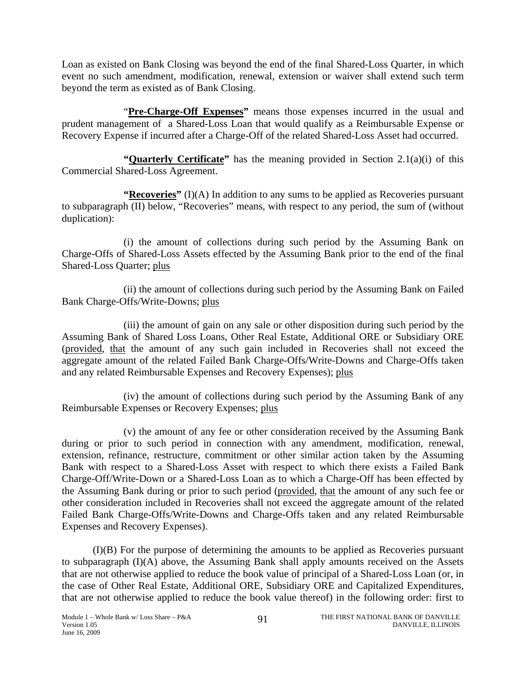Loan as existed on Bank Closing was beyond the end of the final Shared-Loss Quarter, in which event no such amendment, modification, renewal, extension or waiver shall extend such term beyond the term as existed as of Bank Closing.

"**Pre-Charge-Off Expenses**" means those expenses incurred in the usual and prudent management of a Shared-Loss Loan that would qualify as a Reimbursable Expense or Recovery Expense if incurred after a Charge-Off of the related Shared-Loss Asset had occurred.

**"Quarterly Certificate"** has the meaning provided in Section 2.1(a)(i) of this Commercial Shared-Loss Agreement.

**"Recoveries"** (I)(A) In addition to any sums to be applied as Recoveries pursuant to subparagraph (II) below, "Recoveries" means, with respect to any period, the sum of (without duplication):

**Shared-Loss Quarter; plus** (i) the amount of collections during such period by the Assuming Bank on Charge-Offs of Shared-Loss Assets effected by the Assuming Bank prior to the end of the final

(ii) the amount of collections during such period by the Assuming Bank on Failed Bank Charge-Offs/Write-Downs; plus

(iii) the amount of gain on any sale or other disposition during such period by the Assuming Bank of Shared Loss Loans, Other Real Estate, Additional ORE or Subsidiary ORE (provided, that the amount of any such gain included in Recoveries shall not exceed the aggregate amount of the related Failed Bank Charge-Offs/Write-Downs and Charge-Offs taken and any related Reimbursable Expenses and Recovery Expenses); plus

(iv) the amount of collections during such period by the Assuming Bank of any Reimbursable Expenses or Recovery Expenses; plus

(v) the amount of any fee or other consideration received by the Assuming Bank during or prior to such period in connection with any amendment, modification, renewal, extension, refinance, restructure, commitment or other similar action taken by the Assuming Bank with respect to a Shared-Loss Asset with respect to which there exists a Failed Bank Charge-Off/Write-Down or a Shared-Loss Loan as to which a Charge-Off has been effected by the Assuming Bank during or prior to such period (provided, that the amount of any such fee or other consideration included in Recoveries shall not exceed the aggregate amount of the related Failed Bank Charge-Offs/Write-Downs and Charge-Offs taken and any related Reimbursable Expenses and Recovery Expenses).

(I)(B) For the purpose of determining the amounts to be applied as Recoveries pursuant to subparagraph (I)(A) above, the Assuming Bank shall apply amounts received on the Assets that are not otherwise applied to reduce the book value of principal of a Shared-Loss Loan (or, in the case of Other Real Estate, Additional ORE, Subsidiary ORE and Capitalized Expenditures, that are not otherwise applied to reduce the book value thereof) in the following order: first to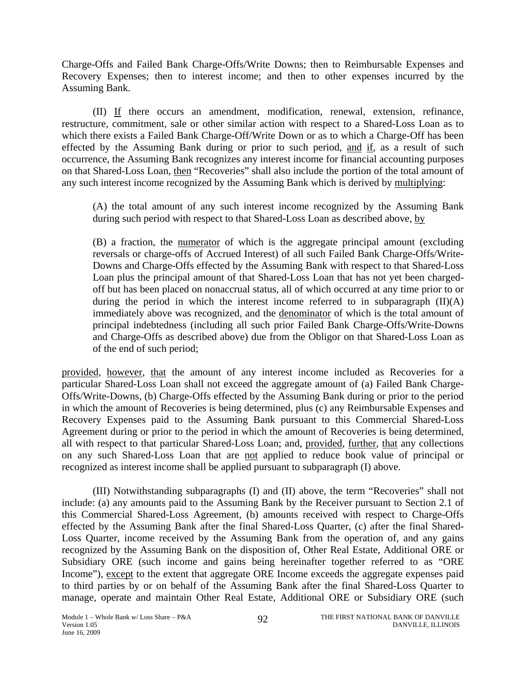Charge-Offs and Failed Bank Charge-Offs/Write Downs; then to Reimbursable Expenses and Recovery Expenses; then to interest income; and then to other expenses incurred by the Assuming Bank.

(II) If there occurs an amendment, modification, renewal, extension, refinance, restructure, commitment, sale or other similar action with respect to a Shared-Loss Loan as to which there exists a Failed Bank Charge-Off/Write Down or as to which a Charge-Off has been effected by the Assuming Bank during or prior to such period, and if, as a result of such occurrence, the Assuming Bank recognizes any interest income for financial accounting purposes on that Shared-Loss Loan, then "Recoveries" shall also include the portion of the total amount of any such interest income recognized by the Assuming Bank which is derived by multiplying:

(A) the total amount of any such interest income recognized by the Assuming Bank during such period with respect to that Shared-Loss Loan as described above, by

(B) a fraction, the numerator of which is the aggregate principal amount (excluding reversals or charge-offs of Accrued Interest) of all such Failed Bank Charge-Offs/Write-Downs and Charge-Offs effected by the Assuming Bank with respect to that Shared-Loss Loan plus the principal amount of that Shared-Loss Loan that has not yet been chargedoff but has been placed on nonaccrual status, all of which occurred at any time prior to or during the period in which the interest income referred to in subparagraph (II)(A) immediately above was recognized, and the denominator of which is the total amount of principal indebtedness (including all such prior Failed Bank Charge-Offs/Write-Downs and Charge-Offs as described above) due from the Obligor on that Shared-Loss Loan as of the end of such period;

provided, however, that the amount of any interest income included as Recoveries for a particular Shared-Loss Loan shall not exceed the aggregate amount of (a) Failed Bank Charge-Offs/Write-Downs, (b) Charge-Offs effected by the Assuming Bank during or prior to the period in which the amount of Recoveries is being determined, plus (c) any Reimbursable Expenses and Recovery Expenses paid to the Assuming Bank pursuant to this Commercial Shared-Loss Agreement during or prior to the period in which the amount of Recoveries is being determined, all with respect to that particular Shared-Loss Loan; and, provided, further, that any collections on any such Shared-Loss Loan that are not applied to reduce book value of principal or recognized as interest income shall be applied pursuant to subparagraph (I) above.

(III) Notwithstanding subparagraphs (I) and (II) above, the term "Recoveries" shall not include: (a) any amounts paid to the Assuming Bank by the Receiver pursuant to Section 2.1 of this Commercial Shared-Loss Agreement, (b) amounts received with respect to Charge-Offs effected by the Assuming Bank after the final Shared-Loss Quarter, (c) after the final Shared-Loss Quarter, income received by the Assuming Bank from the operation of, and any gains recognized by the Assuming Bank on the disposition of, Other Real Estate, Additional ORE or Subsidiary ORE (such income and gains being hereinafter together referred to as "ORE Income"), except to the extent that aggregate ORE Income exceeds the aggregate expenses paid to third parties by or on behalf of the Assuming Bank after the final Shared-Loss Quarter to manage, operate and maintain Other Real Estate, Additional ORE or Subsidiary ORE (such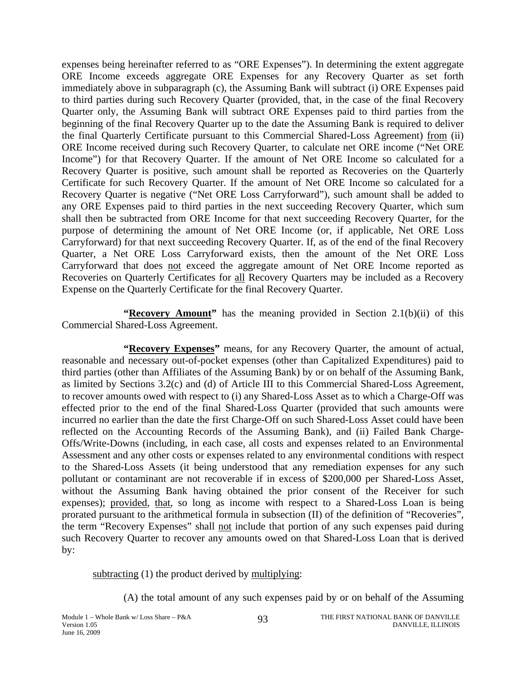expenses being hereinafter referred to as "ORE Expenses"). In determining the extent aggregate ORE Income exceeds aggregate ORE Expenses for any Recovery Quarter as set forth immediately above in subparagraph (c), the Assuming Bank will subtract (i) ORE Expenses paid to third parties during such Recovery Quarter (provided, that, in the case of the final Recovery Quarter only, the Assuming Bank will subtract ORE Expenses paid to third parties from the beginning of the final Recovery Quarter up to the date the Assuming Bank is required to deliver the final Quarterly Certificate pursuant to this Commercial Shared-Loss Agreement) from (ii) ORE Income received during such Recovery Quarter, to calculate net ORE income ("Net ORE Income") for that Recovery Quarter. If the amount of Net ORE Income so calculated for a Recovery Quarter is positive, such amount shall be reported as Recoveries on the Quarterly Certificate for such Recovery Quarter. If the amount of Net ORE Income so calculated for a Recovery Quarter is negative ("Net ORE Loss Carryforward"), such amount shall be added to any ORE Expenses paid to third parties in the next succeeding Recovery Quarter, which sum shall then be subtracted from ORE Income for that next succeeding Recovery Quarter, for the purpose of determining the amount of Net ORE Income (or, if applicable, Net ORE Loss Carryforward) for that next succeeding Recovery Quarter. If, as of the end of the final Recovery Quarter, a Net ORE Loss Carryforward exists, then the amount of the Net ORE Loss Carryforward that does not exceed the aggregate amount of Net ORE Income reported as Recoveries on Quarterly Certificates for all Recovery Quarters may be included as a Recovery Expense on the Quarterly Certificate for the final Recovery Quarter.

**"Recovery Amount"** has the meaning provided in Section 2.1(b)(ii) of this Commercial Shared-Loss Agreement.

**"Recovery Expenses"** means, for any Recovery Quarter, the amount of actual, reasonable and necessary out-of-pocket expenses (other than Capitalized Expenditures) paid to third parties (other than Affiliates of the Assuming Bank) by or on behalf of the Assuming Bank, as limited by Sections 3.2(c) and (d) of Article III to this Commercial Shared-Loss Agreement, to recover amounts owed with respect to (i) any Shared-Loss Asset as to which a Charge-Off was effected prior to the end of the final Shared-Loss Quarter (provided that such amounts were incurred no earlier than the date the first Charge-Off on such Shared-Loss Asset could have been reflected on the Accounting Records of the Assuming Bank), and (ii) Failed Bank Charge-Offs/Write-Downs (including, in each case, all costs and expenses related to an Environmental Assessment and any other costs or expenses related to any environmental conditions with respect to the Shared-Loss Assets (it being understood that any remediation expenses for any such pollutant or contaminant are not recoverable if in excess of \$200,000 per Shared-Loss Asset, without the Assuming Bank having obtained the prior consent of the Receiver for such expenses); provided, that, so long as income with respect to a Shared-Loss Loan is being prorated pursuant to the arithmetical formula in subsection (II) of the definition of "Recoveries", the term "Recovery Expenses" shall not include that portion of any such expenses paid during such Recovery Quarter to recover any amounts owed on that Shared-Loss Loan that is derived by:

subtracting (1) the product derived by multiplying:

(A) the total amount of any such expenses paid by or on behalf of the Assuming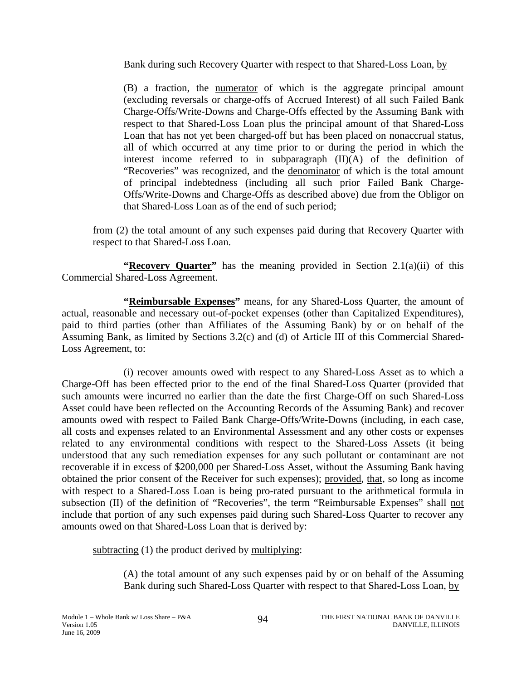Bank during such Recovery Quarter with respect to that Shared-Loss Loan, by

(B) a fraction, the numerator of which is the aggregate principal amount (excluding reversals or charge-offs of Accrued Interest) of all such Failed Bank Charge-Offs/Write-Downs and Charge-Offs effected by the Assuming Bank with respect to that Shared-Loss Loan plus the principal amount of that Shared-Loss Loan that has not yet been charged-off but has been placed on nonaccrual status, all of which occurred at any time prior to or during the period in which the interest income referred to in subparagraph (II)(A) of the definition of "Recoveries" was recognized, and the denominator of which is the total amount of principal indebtedness (including all such prior Failed Bank Charge-Offs/Write-Downs and Charge-Offs as described above) due from the Obligor on that Shared-Loss Loan as of the end of such period;

from (2) the total amount of any such expenses paid during that Recovery Quarter with respect to that Shared-Loss Loan.

**"Recovery Quarter"** has the meaning provided in Section 2.1(a)(ii) of this Commercial Shared-Loss Agreement.

**"Reimbursable Expenses"** means, for any Shared-Loss Quarter, the amount of actual, reasonable and necessary out-of-pocket expenses (other than Capitalized Expenditures), paid to third parties (other than Affiliates of the Assuming Bank) by or on behalf of the Assuming Bank, as limited by Sections 3.2(c) and (d) of Article III of this Commercial Shared-Loss Agreement, to:

(i) recover amounts owed with respect to any Shared-Loss Asset as to which a Charge-Off has been effected prior to the end of the final Shared-Loss Quarter (provided that such amounts were incurred no earlier than the date the first Charge-Off on such Shared-Loss Asset could have been reflected on the Accounting Records of the Assuming Bank) and recover amounts owed with respect to Failed Bank Charge-Offs/Write-Downs (including, in each case, all costs and expenses related to an Environmental Assessment and any other costs or expenses related to any environmental conditions with respect to the Shared-Loss Assets (it being understood that any such remediation expenses for any such pollutant or contaminant are not recoverable if in excess of \$200,000 per Shared-Loss Asset, without the Assuming Bank having obtained the prior consent of the Receiver for such expenses); provided, that, so long as income with respect to a Shared-Loss Loan is being pro-rated pursuant to the arithmetical formula in subsection (II) of the definition of "Recoveries", the term "Reimbursable Expenses" shall not include that portion of any such expenses paid during such Shared-Loss Quarter to recover any amounts owed on that Shared-Loss Loan that is derived by:

subtracting (1) the product derived by multiplying:

(A) the total amount of any such expenses paid by or on behalf of the Assuming Bank during such Shared-Loss Quarter with respect to that Shared-Loss Loan, by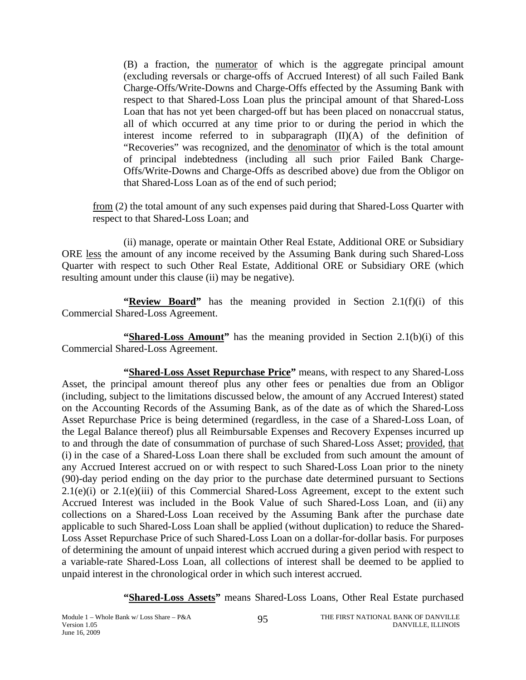(B) a fraction, the numerator of which is the aggregate principal amount (excluding reversals or charge-offs of Accrued Interest) of all such Failed Bank Charge-Offs/Write-Downs and Charge-Offs effected by the Assuming Bank with respect to that Shared-Loss Loan plus the principal amount of that Shared-Loss Loan that has not yet been charged-off but has been placed on nonaccrual status, all of which occurred at any time prior to or during the period in which the interest income referred to in subparagraph (II)(A) of the definition of "Recoveries" was recognized, and the denominator of which is the total amount of principal indebtedness (including all such prior Failed Bank Charge-Offs/Write-Downs and Charge-Offs as described above) due from the Obligor on that Shared-Loss Loan as of the end of such period;

from (2) the total amount of any such expenses paid during that Shared-Loss Quarter with respect to that Shared-Loss Loan; and

(ii) manage, operate or maintain Other Real Estate, Additional ORE or Subsidiary ORE less the amount of any income received by the Assuming Bank during such Shared-Loss Quarter with respect to such Other Real Estate, Additional ORE or Subsidiary ORE (which resulting amount under this clause (ii) may be negative).

**"Review Board"** has the meaning provided in Section 2.1(f)(i) of this Commercial Shared-Loss Agreement.

**"Shared-Loss Amount"** has the meaning provided in Section 2.1(b)(i) of this Commercial Shared-Loss Agreement.

**"Shared-Loss Asset Repurchase Price"** means, with respect to any Shared-Loss Asset, the principal amount thereof plus any other fees or penalties due from an Obligor (including, subject to the limitations discussed below, the amount of any Accrued Interest) stated on the Accounting Records of the Assuming Bank, as of the date as of which the Shared-Loss Asset Repurchase Price is being determined (regardless, in the case of a Shared-Loss Loan, of the Legal Balance thereof) plus all Reimbursable Expenses and Recovery Expenses incurred up to and through the date of consummation of purchase of such Shared-Loss Asset; provided, that (i) in the case of a Shared-Loss Loan there shall be excluded from such amount the amount of any Accrued Interest accrued on or with respect to such Shared-Loss Loan prior to the ninety (90)-day period ending on the day prior to the purchase date determined pursuant to Sections  $2.1(e)(i)$  or  $2.1(e)(iii)$  of this Commercial Shared-Loss Agreement, except to the extent such Accrued Interest was included in the Book Value of such Shared-Loss Loan, and (ii) any collections on a Shared-Loss Loan received by the Assuming Bank after the purchase date applicable to such Shared-Loss Loan shall be applied (without duplication) to reduce the Shared-Loss Asset Repurchase Price of such Shared-Loss Loan on a dollar-for-dollar basis. For purposes of determining the amount of unpaid interest which accrued during a given period with respect to a variable-rate Shared-Loss Loan, all collections of interest shall be deemed to be applied to unpaid interest in the chronological order in which such interest accrued.

**"Shared-Loss Assets"** means Shared-Loss Loans, Other Real Estate purchased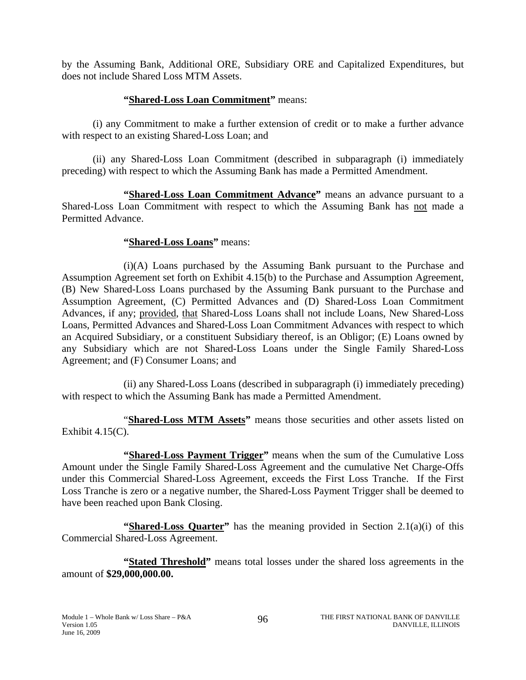by the Assuming Bank, Additional ORE, Subsidiary ORE and Capitalized Expenditures, but does not include Shared Loss MTM Assets.

## **"Shared-Loss Loan Commitment"** means:

(i) any Commitment to make a further extension of credit or to make a further advance with respect to an existing Shared-Loss Loan; and

(ii) any Shared-Loss Loan Commitment (described in subparagraph (i) immediately preceding) with respect to which the Assuming Bank has made a Permitted Amendment.

"Shared-Loss Loan Commitment Advance" means an advance pursuant to a Shared-Loss Loan Commitment with respect to which the Assuming Bank has not made a Permitted Advance.

## **"Shared-Loss Loans"** means:

(i)(A) Loans purchased by the Assuming Bank pursuant to the Purchase and Assumption Agreement set forth on Exhibit 4.15(b) to the Purchase and Assumption Agreement, (B) New Shared-Loss Loans purchased by the Assuming Bank pursuant to the Purchase and Assumption Agreement, (C) Permitted Advances and (D) Shared-Loss Loan Commitment Advances, if any; provided, that Shared-Loss Loans shall not include Loans, New Shared-Loss Loans, Permitted Advances and Shared-Loss Loan Commitment Advances with respect to which an Acquired Subsidiary, or a constituent Subsidiary thereof, is an Obligor; (E) Loans owned by any Subsidiary which are not Shared-Loss Loans under the Single Family Shared-Loss Agreement; and (F) Consumer Loans; and

(ii) any Shared-Loss Loans (described in subparagraph (i) immediately preceding) with respect to which the Assuming Bank has made a Permitted Amendment.

"**Shared-Loss MTM Assets"** means those securities and other assets listed on Exhibit  $4.15(C)$ .

**"Shared-Loss Payment Trigger"** means when the sum of the Cumulative Loss Amount under the Single Family Shared-Loss Agreement and the cumulative Net Charge-Offs under this Commercial Shared-Loss Agreement, exceeds the First Loss Tranche. If the First Loss Tranche is zero or a negative number, the Shared-Loss Payment Trigger shall be deemed to have been reached upon Bank Closing.

**"Shared-Loss Quarter"** has the meaning provided in Section 2.1(a)(i) of this Commercial Shared-Loss Agreement.

**"Stated Threshold"** means total losses under the shared loss agreements in the amount of **\$29,000,000.00.**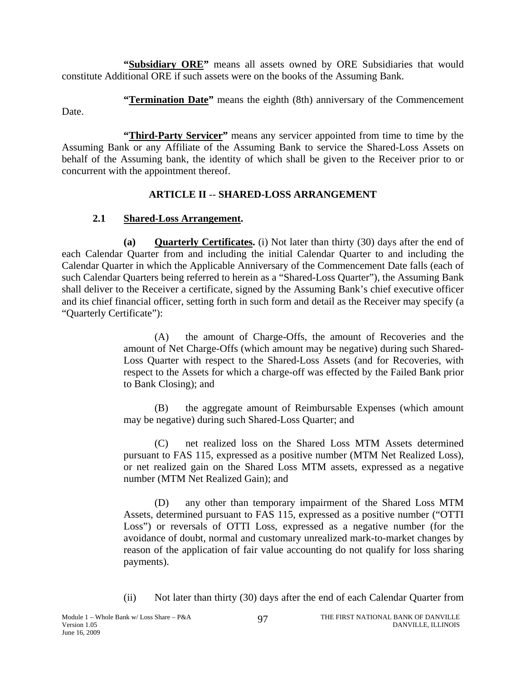"Subsidiary ORE" means all assets owned by ORE Subsidiaries that would constitute Additional ORE if such assets were on the books of the Assuming Bank.

**"Termination Date"** means the eighth (8th) anniversary of the Commencement Date.

**"Third-Party Servicer"** means any servicer appointed from time to time by the Assuming Bank or any Affiliate of the Assuming Bank to service the Shared-Loss Assets on behalf of the Assuming bank, the identity of which shall be given to the Receiver prior to or concurrent with the appointment thereof.

## **ARTICLE II** -- **SHARED-LOSS ARRANGEMENT**

## **2.1 Shared-Loss Arrangement.**

**(a) Quarterly Certificates.** (i) Not later than thirty (30) days after the end of each Calendar Quarter from and including the initial Calendar Quarter to and including the Calendar Quarter in which the Applicable Anniversary of the Commencement Date falls (each of such Calendar Quarters being referred to herein as a "Shared-Loss Quarter"), the Assuming Bank shall deliver to the Receiver a certificate, signed by the Assuming Bank's chief executive officer and its chief financial officer, setting forth in such form and detail as the Receiver may specify (a "Quarterly Certificate"):

> (A) the amount of Charge-Offs, the amount of Recoveries and the amount of Net Charge-Offs (which amount may be negative) during such Shared-Loss Quarter with respect to the Shared-Loss Assets (and for Recoveries, with respect to the Assets for which a charge-off was effected by the Failed Bank prior to Bank Closing); and

> (B) the aggregate amount of Reimbursable Expenses (which amount may be negative) during such Shared-Loss Quarter; and

> (C) net realized loss on the Shared Loss MTM Assets determined pursuant to FAS 115, expressed as a positive number (MTM Net Realized Loss), or net realized gain on the Shared Loss MTM assets, expressed as a negative number (MTM Net Realized Gain); and

> (D) any other than temporary impairment of the Shared Loss MTM Assets, determined pursuant to FAS 115, expressed as a positive number ("OTTI Loss") or reversals of OTTI Loss, expressed as a negative number (for the avoidance of doubt, normal and customary unrealized mark-to-market changes by reason of the application of fair value accounting do not qualify for loss sharing payments).

> (ii) Not later than thirty (30) days after the end of each Calendar Quarter from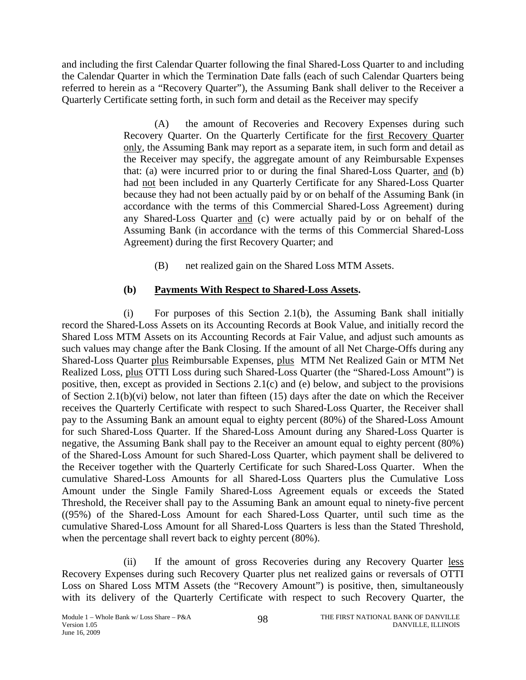and including the first Calendar Quarter following the final Shared-Loss Quarter to and including the Calendar Quarter in which the Termination Date falls (each of such Calendar Quarters being referred to herein as a "Recovery Quarter"), the Assuming Bank shall deliver to the Receiver a Quarterly Certificate setting forth, in such form and detail as the Receiver may specify

> (A) the amount of Recoveries and Recovery Expenses during such Recovery Quarter. On the Quarterly Certificate for the first Recovery Quarter only, the Assuming Bank may report as a separate item, in such form and detail as the Receiver may specify, the aggregate amount of any Reimbursable Expenses that: (a) were incurred prior to or during the final Shared-Loss Quarter, and (b) had not been included in any Quarterly Certificate for any Shared-Loss Quarter because they had not been actually paid by or on behalf of the Assuming Bank (in accordance with the terms of this Commercial Shared-Loss Agreement) during any Shared-Loss Quarter and (c) were actually paid by or on behalf of the Assuming Bank (in accordance with the terms of this Commercial Shared-Loss Agreement) during the first Recovery Quarter; and

(B) net realized gain on the Shared Loss MTM Assets.

## **(b) Payments With Respect to Shared-Loss Assets.**

 $(i)$  For purposes of this Section 2.1(b), the Assuming Bank shall initially record the Shared-Loss Assets on its Accounting Records at Book Value, and initially record the Shared Loss MTM Assets on its Accounting Records at Fair Value, and adjust such amounts as such values may change after the Bank Closing. If the amount of all Net Charge-Offs during any Shared-Loss Quarter plus Reimbursable Expenses, plus MTM Net Realized Gain or MTM Net Realized Loss, plus OTTI Loss during such Shared-Loss Quarter (the "Shared-Loss Amount") is positive, then, except as provided in Sections 2.1(c) and (e) below, and subject to the provisions of Section 2.1(b)(vi) below, not later than fifteen (15) days after the date on which the Receiver receives the Quarterly Certificate with respect to such Shared-Loss Quarter, the Receiver shall pay to the Assuming Bank an amount equal to eighty percent (80%) of the Shared-Loss Amount for such Shared-Loss Quarter. If the Shared-Loss Amount during any Shared-Loss Quarter is negative, the Assuming Bank shall pay to the Receiver an amount equal to eighty percent (80%) of the Shared-Loss Amount for such Shared-Loss Quarter, which payment shall be delivered to the Receiver together with the Quarterly Certificate for such Shared-Loss Quarter. When the cumulative Shared-Loss Amounts for all Shared-Loss Quarters plus the Cumulative Loss Amount under the Single Family Shared-Loss Agreement equals or exceeds the Stated Threshold, the Receiver shall pay to the Assuming Bank an amount equal to ninety-five percent ((95%) of the Shared-Loss Amount for each Shared-Loss Quarter, until such time as the cumulative Shared-Loss Amount for all Shared-Loss Quarters is less than the Stated Threshold, when the percentage shall revert back to eighty percent (80%).

(ii) If the amount of gross Recoveries during any Recovery Quarter less Recovery Expenses during such Recovery Quarter plus net realized gains or reversals of OTTI Loss on Shared Loss MTM Assets (the "Recovery Amount") is positive, then, simultaneously with its delivery of the Quarterly Certificate with respect to such Recovery Quarter, the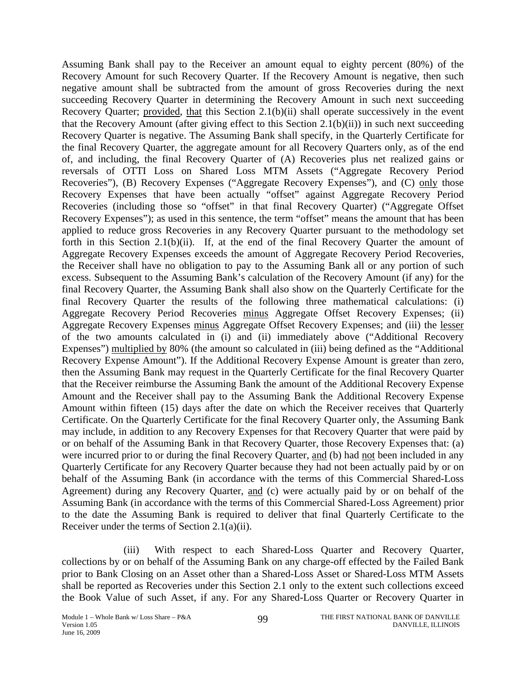Assuming Bank shall pay to the Receiver an amount equal to eighty percent (80%) of the Recovery Amount for such Recovery Quarter. If the Recovery Amount is negative, then such negative amount shall be subtracted from the amount of gross Recoveries during the next succeeding Recovery Quarter in determining the Recovery Amount in such next succeeding Recovery Quarter; provided, that this Section 2.1(b)(ii) shall operate successively in the event that the Recovery Amount (after giving effect to this Section 2.1(b)(ii)) in such next succeeding Recovery Quarter is negative. The Assuming Bank shall specify, in the Quarterly Certificate for the final Recovery Quarter, the aggregate amount for all Recovery Quarters only, as of the end of, and including, the final Recovery Quarter of (A) Recoveries plus net realized gains or reversals of OTTI Loss on Shared Loss MTM Assets ("Aggregate Recovery Period Recoveries"), (B) Recovery Expenses ("Aggregate Recovery Expenses"), and (C) only those Recovery Expenses that have been actually "offset" against Aggregate Recovery Period Recoveries (including those so "offset" in that final Recovery Quarter) ("Aggregate Offset Recovery Expenses"); as used in this sentence, the term "offset" means the amount that has been applied to reduce gross Recoveries in any Recovery Quarter pursuant to the methodology set forth in this Section 2.1(b)(ii). If, at the end of the final Recovery Quarter the amount of Aggregate Recovery Expenses exceeds the amount of Aggregate Recovery Period Recoveries, the Receiver shall have no obligation to pay to the Assuming Bank all or any portion of such excess. Subsequent to the Assuming Bank's calculation of the Recovery Amount (if any) for the final Recovery Quarter, the Assuming Bank shall also show on the Quarterly Certificate for the final Recovery Quarter the results of the following three mathematical calculations: (i) Aggregate Recovery Period Recoveries minus Aggregate Offset Recovery Expenses; (ii) Aggregate Recovery Expenses minus Aggregate Offset Recovery Expenses; and (iii) the lesser of the two amounts calculated in (i) and (ii) immediately above ("Additional Recovery Expenses") multiplied by 80% (the amount so calculated in (iii) being defined as the "Additional Recovery Expense Amount"). If the Additional Recovery Expense Amount is greater than zero, then the Assuming Bank may request in the Quarterly Certificate for the final Recovery Quarter that the Receiver reimburse the Assuming Bank the amount of the Additional Recovery Expense Amount and the Receiver shall pay to the Assuming Bank the Additional Recovery Expense Amount within fifteen (15) days after the date on which the Receiver receives that Quarterly Certificate. On the Quarterly Certificate for the final Recovery Quarter only, the Assuming Bank may include, in addition to any Recovery Expenses for that Recovery Quarter that were paid by or on behalf of the Assuming Bank in that Recovery Quarter, those Recovery Expenses that: (a) were incurred prior to or during the final Recovery Quarter, and (b) had not been included in any Quarterly Certificate for any Recovery Quarter because they had not been actually paid by or on behalf of the Assuming Bank (in accordance with the terms of this Commercial Shared-Loss Agreement) during any Recovery Quarter, and (c) were actually paid by or on behalf of the Assuming Bank (in accordance with the terms of this Commercial Shared-Loss Agreement) prior to the date the Assuming Bank is required to deliver that final Quarterly Certificate to the Receiver under the terms of Section 2.1(a)(ii).

(iii) With respect to each Shared-Loss Quarter and Recovery Quarter, collections by or on behalf of the Assuming Bank on any charge-off effected by the Failed Bank prior to Bank Closing on an Asset other than a Shared-Loss Asset or Shared-Loss MTM Assets shall be reported as Recoveries under this Section 2.1 only to the extent such collections exceed the Book Value of such Asset, if any. For any Shared-Loss Quarter or Recovery Quarter in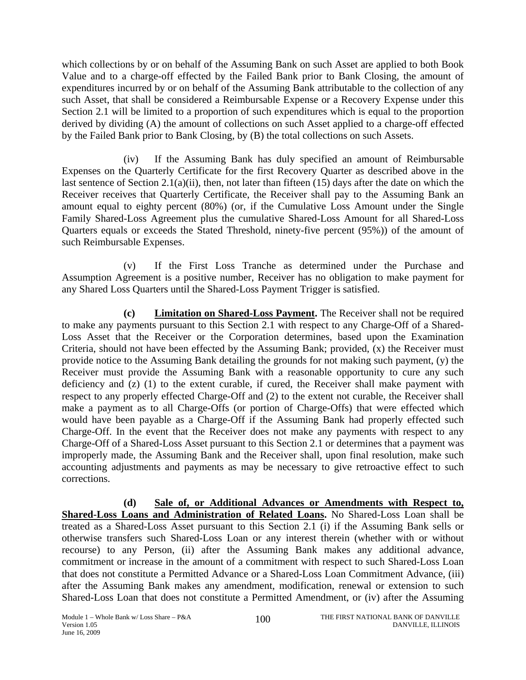which collections by or on behalf of the Assuming Bank on such Asset are applied to both Book Value and to a charge-off effected by the Failed Bank prior to Bank Closing, the amount of expenditures incurred by or on behalf of the Assuming Bank attributable to the collection of any such Asset, that shall be considered a Reimbursable Expense or a Recovery Expense under this Section 2.1 will be limited to a proportion of such expenditures which is equal to the proportion derived by dividing (A) the amount of collections on such Asset applied to a charge-off effected by the Failed Bank prior to Bank Closing, by (B) the total collections on such Assets.

(iv) If the Assuming Bank has duly specified an amount of Reimbursable Expenses on the Quarterly Certificate for the first Recovery Quarter as described above in the last sentence of Section 2.1(a)(ii), then, not later than fifteen (15) days after the date on which the Receiver receives that Quarterly Certificate, the Receiver shall pay to the Assuming Bank an amount equal to eighty percent (80%) (or, if the Cumulative Loss Amount under the Single Family Shared-Loss Agreement plus the cumulative Shared-Loss Amount for all Shared-Loss Quarters equals or exceeds the Stated Threshold, ninety-five percent (95%)) of the amount of such Reimbursable Expenses.

(v) If the First Loss Tranche as determined under the Purchase and Assumption Agreement is a positive number, Receiver has no obligation to make payment for any Shared Loss Quarters until the Shared-Loss Payment Trigger is satisfied.

**(c) Limitation on Shared-Loss Payment.** The Receiver shall not be required to make any payments pursuant to this Section 2.1 with respect to any Charge-Off of a Shared-Loss Asset that the Receiver or the Corporation determines, based upon the Examination Criteria, should not have been effected by the Assuming Bank; provided, (x) the Receiver must provide notice to the Assuming Bank detailing the grounds for not making such payment, (y) the Receiver must provide the Assuming Bank with a reasonable opportunity to cure any such deficiency and (z) (1) to the extent curable, if cured, the Receiver shall make payment with respect to any properly effected Charge-Off and (2) to the extent not curable, the Receiver shall make a payment as to all Charge-Offs (or portion of Charge-Offs) that were effected which would have been payable as a Charge-Off if the Assuming Bank had properly effected such Charge-Off. In the event that the Receiver does not make any payments with respect to any Charge-Off of a Shared-Loss Asset pursuant to this Section 2.1 or determines that a payment was improperly made, the Assuming Bank and the Receiver shall, upon final resolution, make such accounting adjustments and payments as may be necessary to give retroactive effect to such corrections.

**(d) Sale of, or Additional Advances or Amendments with Respect to, Shared-Loss Loans and Administration of Related Loans.** No Shared-Loss Loan shall be treated as a Shared-Loss Asset pursuant to this Section 2.1 (i) if the Assuming Bank sells or otherwise transfers such Shared-Loss Loan or any interest therein (whether with or without recourse) to any Person, (ii) after the Assuming Bank makes any additional advance, commitment or increase in the amount of a commitment with respect to such Shared-Loss Loan that does not constitute a Permitted Advance or a Shared-Loss Loan Commitment Advance, (iii) after the Assuming Bank makes any amendment, modification, renewal or extension to such Shared-Loss Loan that does not constitute a Permitted Amendment, or (iv) after the Assuming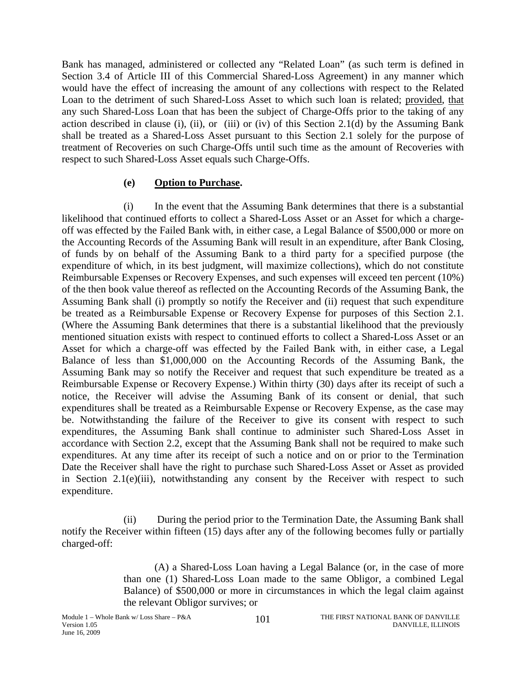Loan to the detriment of such Shared-Loss Asset to which such loan is related; provided, that Bank has managed, administered or collected any "Related Loan" (as such term is defined in Section 3.4 of Article III of this Commercial Shared-Loss Agreement) in any manner which would have the effect of increasing the amount of any collections with respect to the Related any such Shared-Loss Loan that has been the subject of Charge-Offs prior to the taking of any action described in clause (i), (ii), or (iii) or (iv) of this Section 2.1(d) by the Assuming Bank shall be treated as a Shared-Loss Asset pursuant to this Section 2.1 solely for the purpose of treatment of Recoveries on such Charge-Offs until such time as the amount of Recoveries with respect to such Shared-Loss Asset equals such Charge-Offs.

### **(e) Option to Purchase.**

(i) In the event that the Assuming Bank determines that there is a substantial likelihood that continued efforts to collect a Shared-Loss Asset or an Asset for which a chargeoff was effected by the Failed Bank with, in either case, a Legal Balance of \$500,000 or more on the Accounting Records of the Assuming Bank will result in an expenditure, after Bank Closing, of funds by on behalf of the Assuming Bank to a third party for a specified purpose (the expenditure of which, in its best judgment, will maximize collections), which do not constitute Reimbursable Expenses or Recovery Expenses, and such expenses will exceed ten percent (10%) of the then book value thereof as reflected on the Accounting Records of the Assuming Bank, the Assuming Bank shall (i) promptly so notify the Receiver and (ii) request that such expenditure be treated as a Reimbursable Expense or Recovery Expense for purposes of this Section 2.1. (Where the Assuming Bank determines that there is a substantial likelihood that the previously mentioned situation exists with respect to continued efforts to collect a Shared-Loss Asset or an Asset for which a charge-off was effected by the Failed Bank with, in either case, a Legal Balance of less than \$1,000,000 on the Accounting Records of the Assuming Bank, the Assuming Bank may so notify the Receiver and request that such expenditure be treated as a Reimbursable Expense or Recovery Expense.) Within thirty (30) days after its receipt of such a notice, the Receiver will advise the Assuming Bank of its consent or denial, that such expenditures shall be treated as a Reimbursable Expense or Recovery Expense, as the case may be. Notwithstanding the failure of the Receiver to give its consent with respect to such expenditures, the Assuming Bank shall continue to administer such Shared-Loss Asset in accordance with Section 2.2, except that the Assuming Bank shall not be required to make such expenditures. At any time after its receipt of such a notice and on or prior to the Termination Date the Receiver shall have the right to purchase such Shared-Loss Asset or Asset as provided in Section 2.1(e)(iii), notwithstanding any consent by the Receiver with respect to such expenditure.

(ii) During the period prior to the Termination Date, the Assuming Bank shall notify the Receiver within fifteen (15) days after any of the following becomes fully or partially charged-off:

> (A) a Shared-Loss Loan having a Legal Balance (or, in the case of more than one (1) Shared-Loss Loan made to the same Obligor, a combined Legal Balance) of \$500,000 or more in circumstances in which the legal claim against the relevant Obligor survives; or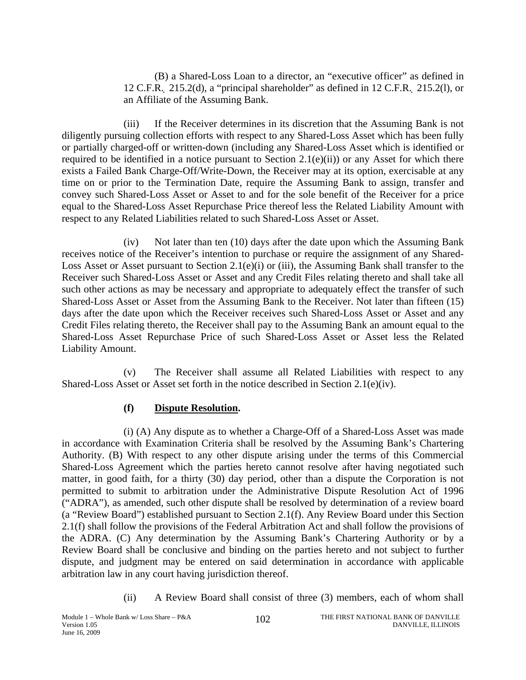(B) a Shared-Loss Loan to a director, an "executive officer" as defined in 12 C.F.R. 215.2(d), a "principal shareholder" as defined in 12 C.F.R. 215.2(l), or an Affiliate of the Assuming Bank.

(iii) If the Receiver determines in its discretion that the Assuming Bank is not diligently pursuing collection efforts with respect to any Shared-Loss Asset which has been fully or partially charged-off or written-down (including any Shared-Loss Asset which is identified or required to be identified in a notice pursuant to Section  $2.1(e)(ii)$  or any Asset for which there exists a Failed Bank Charge-Off/Write-Down, the Receiver may at its option, exercisable at any time on or prior to the Termination Date, require the Assuming Bank to assign, transfer and convey such Shared-Loss Asset or Asset to and for the sole benefit of the Receiver for a price equal to the Shared-Loss Asset Repurchase Price thereof less the Related Liability Amount with respect to any Related Liabilities related to such Shared-Loss Asset or Asset.

(iv) Not later than ten (10) days after the date upon which the Assuming Bank receives notice of the Receiver's intention to purchase or require the assignment of any Shared-Loss Asset or Asset pursuant to Section 2.1(e)(i) or (iii), the Assuming Bank shall transfer to the Receiver such Shared-Loss Asset or Asset and any Credit Files relating thereto and shall take all such other actions as may be necessary and appropriate to adequately effect the transfer of such Shared-Loss Asset or Asset from the Assuming Bank to the Receiver. Not later than fifteen (15) days after the date upon which the Receiver receives such Shared-Loss Asset or Asset and any Credit Files relating thereto, the Receiver shall pay to the Assuming Bank an amount equal to the Shared-Loss Asset Repurchase Price of such Shared-Loss Asset or Asset less the Related Liability Amount.

(v) The Receiver shall assume all Related Liabilities with respect to any Shared-Loss Asset or Asset set forth in the notice described in Section 2.1(e)(iv).

## **(f) Dispute Resolution.**

(i) (A) Any dispute as to whether a Charge-Off of a Shared-Loss Asset was made in accordance with Examination Criteria shall be resolved by the Assuming Bank's Chartering Authority. (B) With respect to any other dispute arising under the terms of this Commercial Shared-Loss Agreement which the parties hereto cannot resolve after having negotiated such matter, in good faith, for a thirty (30) day period, other than a dispute the Corporation is not permitted to submit to arbitration under the Administrative Dispute Resolution Act of 1996 ("ADRA"), as amended, such other dispute shall be resolved by determination of a review board (a "Review Board") established pursuant to Section 2.1(f). Any Review Board under this Section 2.1(f) shall follow the provisions of the Federal Arbitration Act and shall follow the provisions of the ADRA. (C) Any determination by the Assuming Bank's Chartering Authority or by a Review Board shall be conclusive and binding on the parties hereto and not subject to further dispute, and judgment may be entered on said determination in accordance with applicable arbitration law in any court having jurisdiction thereof.

(ii) A Review Board shall consist of three (3) members, each of whom shall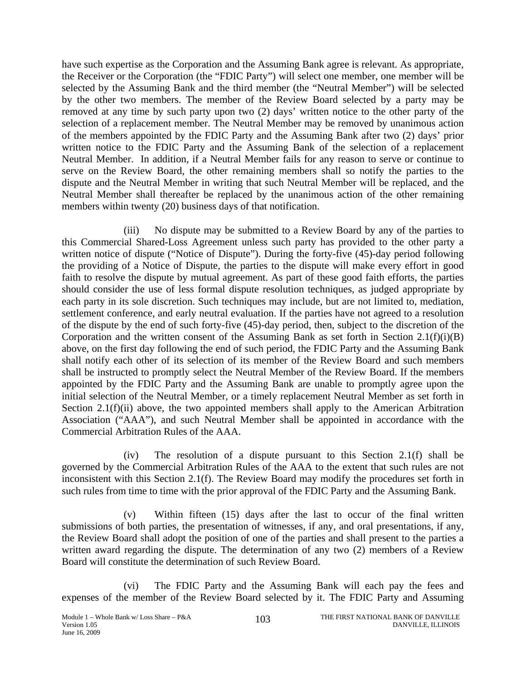have such expertise as the Corporation and the Assuming Bank agree is relevant. As appropriate, the Receiver or the Corporation (the "FDIC Party") will select one member, one member will be selected by the Assuming Bank and the third member (the "Neutral Member") will be selected by the other two members. The member of the Review Board selected by a party may be removed at any time by such party upon two (2) days' written notice to the other party of the selection of a replacement member. The Neutral Member may be removed by unanimous action of the members appointed by the FDIC Party and the Assuming Bank after two (2) days' prior written notice to the FDIC Party and the Assuming Bank of the selection of a replacement Neutral Member. In addition, if a Neutral Member fails for any reason to serve or continue to serve on the Review Board, the other remaining members shall so notify the parties to the dispute and the Neutral Member in writing that such Neutral Member will be replaced, and the Neutral Member shall thereafter be replaced by the unanimous action of the other remaining members within twenty (20) business days of that notification.

(iii) No dispute may be submitted to a Review Board by any of the parties to this Commercial Shared-Loss Agreement unless such party has provided to the other party a written notice of dispute ("Notice of Dispute"). During the forty-five (45)-day period following the providing of a Notice of Dispute, the parties to the dispute will make every effort in good faith to resolve the dispute by mutual agreement. As part of these good faith efforts, the parties should consider the use of less formal dispute resolution techniques, as judged appropriate by each party in its sole discretion. Such techniques may include, but are not limited to, mediation, settlement conference, and early neutral evaluation. If the parties have not agreed to a resolution of the dispute by the end of such forty-five (45)-day period, then, subject to the discretion of the Corporation and the written consent of the Assuming Bank as set forth in Section  $2.1(f)(i)(B)$ above, on the first day following the end of such period, the FDIC Party and the Assuming Bank shall notify each other of its selection of its member of the Review Board and such members shall be instructed to promptly select the Neutral Member of the Review Board. If the members appointed by the FDIC Party and the Assuming Bank are unable to promptly agree upon the initial selection of the Neutral Member, or a timely replacement Neutral Member as set forth in Section 2.1(f)(ii) above, the two appointed members shall apply to the American Arbitration Association ("AAA"), and such Neutral Member shall be appointed in accordance with the Commercial Arbitration Rules of the AAA.

(iv) The resolution of a dispute pursuant to this Section 2.1(f) shall be governed by the Commercial Arbitration Rules of the AAA to the extent that such rules are not inconsistent with this Section 2.1(f). The Review Board may modify the procedures set forth in such rules from time to time with the prior approval of the FDIC Party and the Assuming Bank.

(v) Within fifteen (15) days after the last to occur of the final written submissions of both parties, the presentation of witnesses, if any, and oral presentations, if any, the Review Board shall adopt the position of one of the parties and shall present to the parties a written award regarding the dispute. The determination of any two (2) members of a Review Board will constitute the determination of such Review Board.

(vi) The FDIC Party and the Assuming Bank will each pay the fees and expenses of the member of the Review Board selected by it. The FDIC Party and Assuming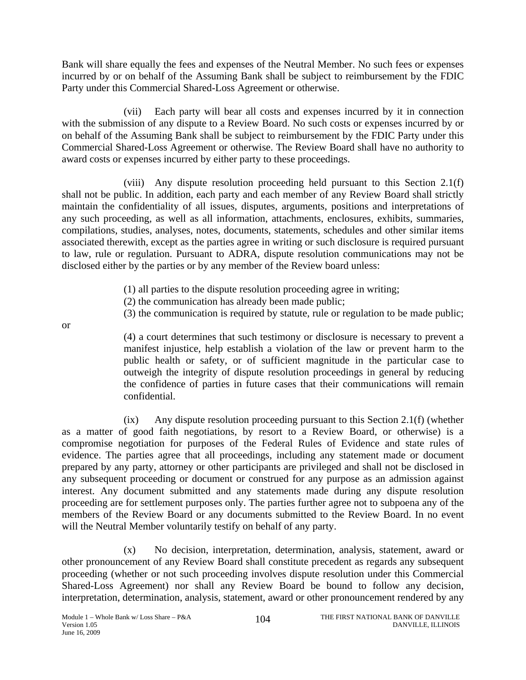Bank will share equally the fees and expenses of the Neutral Member. No such fees or expenses incurred by or on behalf of the Assuming Bank shall be subject to reimbursement by the FDIC Party under this Commercial Shared-Loss Agreement or otherwise.

(vii) Each party will bear all costs and expenses incurred by it in connection with the submission of any dispute to a Review Board. No such costs or expenses incurred by or on behalf of the Assuming Bank shall be subject to reimbursement by the FDIC Party under this Commercial Shared-Loss Agreement or otherwise. The Review Board shall have no authority to award costs or expenses incurred by either party to these proceedings.

(viii) Any dispute resolution proceeding held pursuant to this Section 2.1(f) shall not be public. In addition, each party and each member of any Review Board shall strictly maintain the confidentiality of all issues, disputes, arguments, positions and interpretations of any such proceeding, as well as all information, attachments, enclosures, exhibits, summaries, compilations, studies, analyses, notes, documents, statements, schedules and other similar items associated therewith, except as the parties agree in writing or such disclosure is required pursuant to law, rule or regulation. Pursuant to ADRA, dispute resolution communications may not be disclosed either by the parties or by any member of the Review board unless:

- (1) all parties to the dispute resolution proceeding agree in writing;
- (2) the communication has already been made public;
- (3) the communication is required by statute, rule or regulation to be made public;

or

(4) a court determines that such testimony or disclosure is necessary to prevent a manifest injustice, help establish a violation of the law or prevent harm to the public health or safety, or of sufficient magnitude in the particular case to outweigh the integrity of dispute resolution proceedings in general by reducing the confidence of parties in future cases that their communications will remain confidential.

(ix) Any dispute resolution proceeding pursuant to this Section 2.1(f) (whether as a matter of good faith negotiations, by resort to a Review Board, or otherwise) is a compromise negotiation for purposes of the Federal Rules of Evidence and state rules of evidence. The parties agree that all proceedings, including any statement made or document prepared by any party, attorney or other participants are privileged and shall not be disclosed in any subsequent proceeding or document or construed for any purpose as an admission against interest. Any document submitted and any statements made during any dispute resolution proceeding are for settlement purposes only. The parties further agree not to subpoena any of the members of the Review Board or any documents submitted to the Review Board. In no event will the Neutral Member voluntarily testify on behalf of any party.

(x) No decision, interpretation, determination, analysis, statement, award or other pronouncement of any Review Board shall constitute precedent as regards any subsequent proceeding (whether or not such proceeding involves dispute resolution under this Commercial Shared-Loss Agreement) nor shall any Review Board be bound to follow any decision, interpretation, determination, analysis, statement, award or other pronouncement rendered by any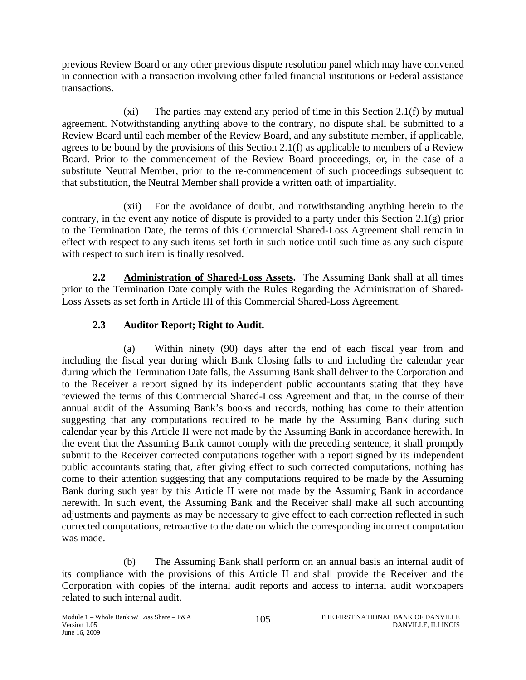previous Review Board or any other previous dispute resolution panel which may have convened in connection with a transaction involving other failed financial institutions or Federal assistance transactions.

(xi) The parties may extend any period of time in this Section 2.1(f) by mutual agreement. Notwithstanding anything above to the contrary, no dispute shall be submitted to a Review Board until each member of the Review Board, and any substitute member, if applicable, agrees to be bound by the provisions of this Section 2.1(f) as applicable to members of a Review Board. Prior to the commencement of the Review Board proceedings, or, in the case of a substitute Neutral Member, prior to the re-commencement of such proceedings subsequent to that substitution, the Neutral Member shall provide a written oath of impartiality.

(xii) For the avoidance of doubt, and notwithstanding anything herein to the contrary, in the event any notice of dispute is provided to a party under this Section 2.1(g) prior to the Termination Date, the terms of this Commercial Shared-Loss Agreement shall remain in effect with respect to any such items set forth in such notice until such time as any such dispute with respect to such item is finally resolved.

**2.2 Administration of Shared-Loss Assets.** The Assuming Bank shall at all times prior to the Termination Date comply with the Rules Regarding the Administration of Shared-Loss Assets as set forth in Article III of this Commercial Shared-Loss Agreement.

# **2.3 Auditor Report; Right to Audit.**

(a) Within ninety (90) days after the end of each fiscal year from and including the fiscal year during which Bank Closing falls to and including the calendar year during which the Termination Date falls, the Assuming Bank shall deliver to the Corporation and to the Receiver a report signed by its independent public accountants stating that they have reviewed the terms of this Commercial Shared-Loss Agreement and that, in the course of their annual audit of the Assuming Bank's books and records, nothing has come to their attention suggesting that any computations required to be made by the Assuming Bank during such calendar year by this Article II were not made by the Assuming Bank in accordance herewith. In the event that the Assuming Bank cannot comply with the preceding sentence, it shall promptly submit to the Receiver corrected computations together with a report signed by its independent public accountants stating that, after giving effect to such corrected computations, nothing has come to their attention suggesting that any computations required to be made by the Assuming Bank during such year by this Article II were not made by the Assuming Bank in accordance herewith. In such event, the Assuming Bank and the Receiver shall make all such accounting adjustments and payments as may be necessary to give effect to each correction reflected in such corrected computations, retroactive to the date on which the corresponding incorrect computation was made.

(b) The Assuming Bank shall perform on an annual basis an internal audit of its compliance with the provisions of this Article II and shall provide the Receiver and the Corporation with copies of the internal audit reports and access to internal audit workpapers related to such internal audit.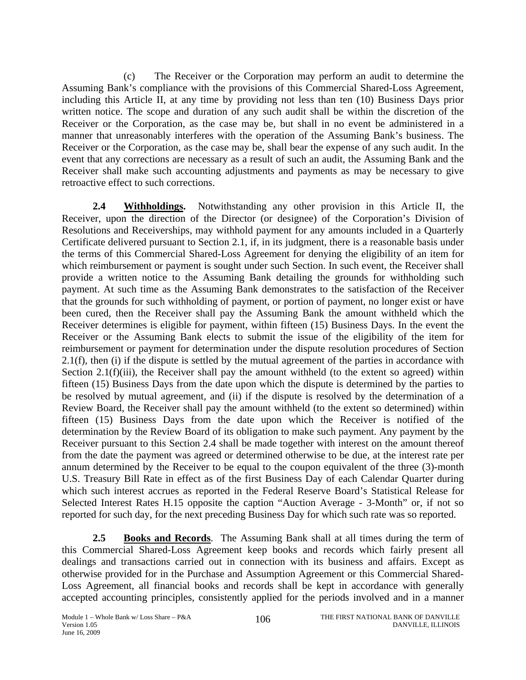(c) The Receiver or the Corporation may perform an audit to determine the Assuming Bank's compliance with the provisions of this Commercial Shared-Loss Agreement, including this Article II, at any time by providing not less than ten (10) Business Days prior written notice. The scope and duration of any such audit shall be within the discretion of the Receiver or the Corporation, as the case may be, but shall in no event be administered in a manner that unreasonably interferes with the operation of the Assuming Bank's business. The Receiver or the Corporation, as the case may be, shall bear the expense of any such audit. In the event that any corrections are necessary as a result of such an audit, the Assuming Bank and the Receiver shall make such accounting adjustments and payments as may be necessary to give retroactive effect to such corrections.

**2.4 Withholdings.** Notwithstanding any other provision in this Article II, the Receiver, upon the direction of the Director (or designee) of the Corporation's Division of Resolutions and Receiverships, may withhold payment for any amounts included in a Quarterly Certificate delivered pursuant to Section 2.1, if, in its judgment, there is a reasonable basis under the terms of this Commercial Shared-Loss Agreement for denying the eligibility of an item for which reimbursement or payment is sought under such Section. In such event, the Receiver shall provide a written notice to the Assuming Bank detailing the grounds for withholding such payment. At such time as the Assuming Bank demonstrates to the satisfaction of the Receiver that the grounds for such withholding of payment, or portion of payment, no longer exist or have been cured, then the Receiver shall pay the Assuming Bank the amount withheld which the Receiver determines is eligible for payment, within fifteen (15) Business Days. In the event the Receiver or the Assuming Bank elects to submit the issue of the eligibility of the item for reimbursement or payment for determination under the dispute resolution procedures of Section 2.1(f), then (i) if the dispute is settled by the mutual agreement of the parties in accordance with Section 2.1(f)(iii), the Receiver shall pay the amount withheld (to the extent so agreed) within fifteen (15) Business Days from the date upon which the dispute is determined by the parties to be resolved by mutual agreement, and (ii) if the dispute is resolved by the determination of a Review Board, the Receiver shall pay the amount withheld (to the extent so determined) within fifteen (15) Business Days from the date upon which the Receiver is notified of the determination by the Review Board of its obligation to make such payment. Any payment by the Receiver pursuant to this Section 2.4 shall be made together with interest on the amount thereof from the date the payment was agreed or determined otherwise to be due, at the interest rate per annum determined by the Receiver to be equal to the coupon equivalent of the three (3)-month U.S. Treasury Bill Rate in effect as of the first Business Day of each Calendar Quarter during which such interest accrues as reported in the Federal Reserve Board's Statistical Release for Selected Interest Rates H.15 opposite the caption "Auction Average - 3-Month" or, if not so reported for such day, for the next preceding Business Day for which such rate was so reported.

2.5 Books and Records. The Assuming Bank shall at all times during the term of this Commercial Shared-Loss Agreement keep books and records which fairly present all dealings and transactions carried out in connection with its business and affairs. Except as otherwise provided for in the Purchase and Assumption Agreement or this Commercial Shared-Loss Agreement, all financial books and records shall be kept in accordance with generally accepted accounting principles, consistently applied for the periods involved and in a manner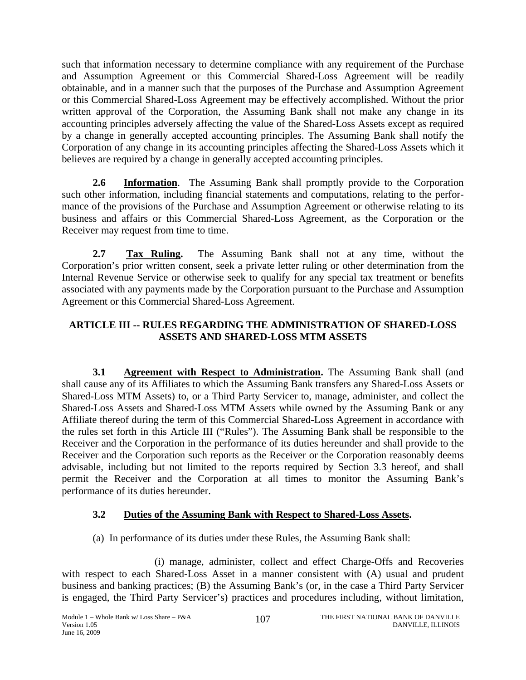such that information necessary to determine compliance with any requirement of the Purchase and Assumption Agreement or this Commercial Shared-Loss Agreement will be readily obtainable, and in a manner such that the purposes of the Purchase and Assumption Agreement or this Commercial Shared-Loss Agreement may be effectively accomplished. Without the prior written approval of the Corporation, the Assuming Bank shall not make any change in its accounting principles adversely affecting the value of the Shared-Loss Assets except as required by a change in generally accepted accounting principles. The Assuming Bank shall notify the Corporation of any change in its accounting principles affecting the Shared-Loss Assets which it believes are required by a change in generally accepted accounting principles.

**2.6 Information**. The Assuming Bank shall promptly provide to the Corporation such other information, including financial statements and computations, relating to the performance of the provisions of the Purchase and Assumption Agreement or otherwise relating to its business and affairs or this Commercial Shared-Loss Agreement, as the Corporation or the Receiver may request from time to time.

**2.7 Tax Ruling.** The Assuming Bank shall not at any time, without the Corporation's prior written consent, seek a private letter ruling or other determination from the Internal Revenue Service or otherwise seek to qualify for any special tax treatment or benefits associated with any payments made by the Corporation pursuant to the Purchase and Assumption Agreement or this Commercial Shared-Loss Agreement.

### **ARTICLE III -- RULES REGARDING THE ADMINISTRATION OF SHARED-LOSS ASSETS AND SHARED-LOSS MTM ASSETS**

**3.1 Agreement with Respect to Administration.** The Assuming Bank shall (and shall cause any of its Affiliates to which the Assuming Bank transfers any Shared-Loss Assets or Shared-Loss MTM Assets) to, or a Third Party Servicer to, manage, administer, and collect the Shared-Loss Assets and Shared-Loss MTM Assets while owned by the Assuming Bank or any Affiliate thereof during the term of this Commercial Shared-Loss Agreement in accordance with the rules set forth in this Article III ("Rules"). The Assuming Bank shall be responsible to the Receiver and the Corporation in the performance of its duties hereunder and shall provide to the Receiver and the Corporation such reports as the Receiver or the Corporation reasonably deems advisable, including but not limited to the reports required by Section 3.3 hereof, and shall permit the Receiver and the Corporation at all times to monitor the Assuming Bank's performance of its duties hereunder.

# **3.2 Duties of the Assuming Bank with Respect to Shared-Loss Assets.**

(a) In performance of its duties under these Rules, the Assuming Bank shall:

(i) manage, administer, collect and effect Charge-Offs and Recoveries with respect to each Shared-Loss Asset in a manner consistent with (A) usual and prudent business and banking practices; (B) the Assuming Bank's (or, in the case a Third Party Servicer is engaged, the Third Party Servicer's) practices and procedures including, without limitation,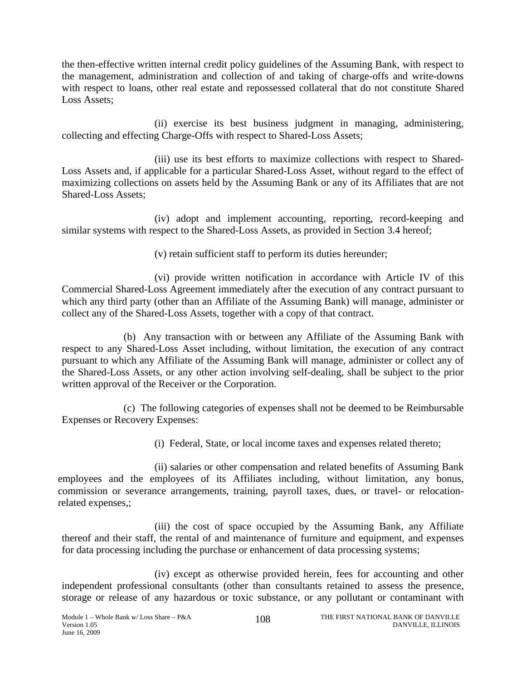the then-effective written internal credit policy guidelines of the Assuming Bank, with respect to the management, administration and collection of and taking of charge-offs and write-downs with respect to loans, other real estate and repossessed collateral that do not constitute Shared Loss Assets;

(ii) exercise its best business judgment in managing, administering, collecting and effecting Charge-Offs with respect to Shared-Loss Assets;

(iii) use its best efforts to maximize collections with respect to Shared-Loss Assets and, if applicable for a particular Shared-Loss Asset, without regard to the effect of maximizing collections on assets held by the Assuming Bank or any of its Affiliates that are not Shared-Loss Assets;

(iv) adopt and implement accounting, reporting, record-keeping and similar systems with respect to the Shared-Loss Assets, as provided in Section 3.4 hereof;

(v) retain sufficient staff to perform its duties hereunder;

(vi) provide written notification in accordance with Article IV of this Commercial Shared-Loss Agreement immediately after the execution of any contract pursuant to which any third party (other than an Affiliate of the Assuming Bank) will manage, administer or collect any of the Shared-Loss Assets, together with a copy of that contract.

(b) Any transaction with or between any Affiliate of the Assuming Bank with respect to any Shared-Loss Asset including, without limitation, the execution of any contract pursuant to which any Affiliate of the Assuming Bank will manage, administer or collect any of the Shared-Loss Assets, or any other action involving self-dealing, shall be subject to the prior written approval of the Receiver or the Corporation.

(c) The following categories of expenses shall not be deemed to be Reimbursable Expenses or Recovery Expenses:

(i) Federal, State, or local income taxes and expenses related thereto;

(ii) salaries or other compensation and related benefits of Assuming Bank employees and the employees of its Affiliates including, without limitation, any bonus, commission or severance arrangements, training, payroll taxes, dues, or travel- or relocationrelated expenses,;

(iii) the cost of space occupied by the Assuming Bank, any Affiliate thereof and their staff, the rental of and maintenance of furniture and equipment, and expenses for data processing including the purchase or enhancement of data processing systems;

(iv) except as otherwise provided herein, fees for accounting and other independent professional consultants (other than consultants retained to assess the presence, storage or release of any hazardous or toxic substance, or any pollutant or contaminant with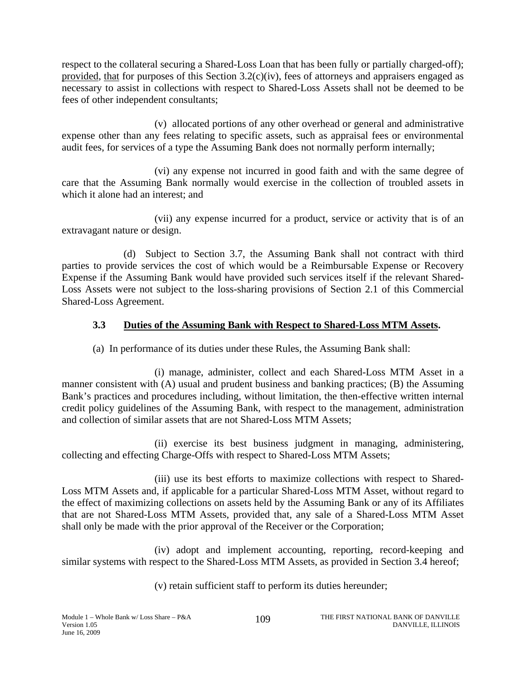respect to the collateral securing a Shared-Loss Loan that has been fully or partially charged-off); provided, that for purposes of this Section  $3.2(c)(iv)$ , fees of attorneys and appraisers engaged as necessary to assist in collections with respect to Shared-Loss Assets shall not be deemed to be fees of other independent consultants;

(v) allocated portions of any other overhead or general and administrative expense other than any fees relating to specific assets, such as appraisal fees or environmental audit fees, for services of a type the Assuming Bank does not normally perform internally;

(vi) any expense not incurred in good faith and with the same degree of care that the Assuming Bank normally would exercise in the collection of troubled assets in which it alone had an interest; and

(vii) any expense incurred for a product, service or activity that is of an extravagant nature or design.

(d) Subject to Section 3.7, the Assuming Bank shall not contract with third parties to provide services the cost of which would be a Reimbursable Expense or Recovery Expense if the Assuming Bank would have provided such services itself if the relevant Shared-Loss Assets were not subject to the loss-sharing provisions of Section 2.1 of this Commercial Shared-Loss Agreement.

# **3.3 Duties of the Assuming Bank with Respect to Shared-Loss MTM Assets.**

(a) In performance of its duties under these Rules, the Assuming Bank shall:

(i) manage, administer, collect and each Shared-Loss MTM Asset in a manner consistent with (A) usual and prudent business and banking practices; (B) the Assuming Bank's practices and procedures including, without limitation, the then-effective written internal credit policy guidelines of the Assuming Bank, with respect to the management, administration and collection of similar assets that are not Shared-Loss MTM Assets;

(ii) exercise its best business judgment in managing, administering, collecting and effecting Charge-Offs with respect to Shared-Loss MTM Assets;

(iii) use its best efforts to maximize collections with respect to Shared-Loss MTM Assets and, if applicable for a particular Shared-Loss MTM Asset, without regard to the effect of maximizing collections on assets held by the Assuming Bank or any of its Affiliates that are not Shared-Loss MTM Assets, provided that, any sale of a Shared-Loss MTM Asset shall only be made with the prior approval of the Receiver or the Corporation;

(iv) adopt and implement accounting, reporting, record-keeping and similar systems with respect to the Shared-Loss MTM Assets, as provided in Section 3.4 hereof;

(v) retain sufficient staff to perform its duties hereunder;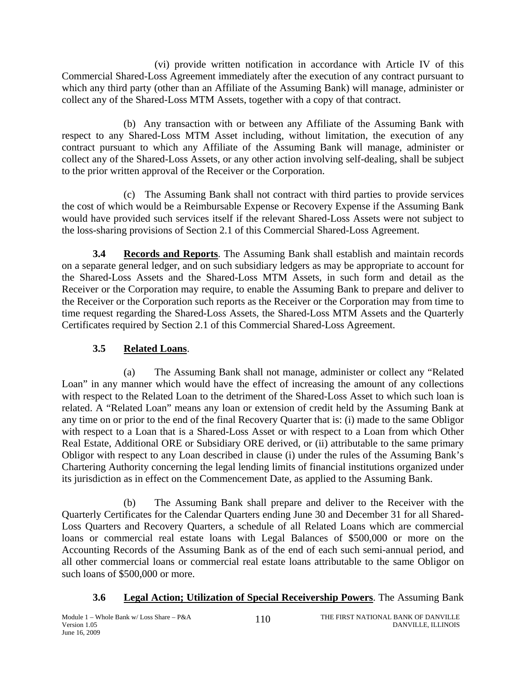(vi) provide written notification in accordance with Article IV of this Commercial Shared-Loss Agreement immediately after the execution of any contract pursuant to which any third party (other than an Affiliate of the Assuming Bank) will manage, administer or collect any of the Shared-Loss MTM Assets, together with a copy of that contract.

(b) Any transaction with or between any Affiliate of the Assuming Bank with respect to any Shared-Loss MTM Asset including, without limitation, the execution of any contract pursuant to which any Affiliate of the Assuming Bank will manage, administer or collect any of the Shared-Loss Assets, or any other action involving self-dealing, shall be subject to the prior written approval of the Receiver or the Corporation.

(c) The Assuming Bank shall not contract with third parties to provide services the cost of which would be a Reimbursable Expense or Recovery Expense if the Assuming Bank would have provided such services itself if the relevant Shared-Loss Assets were not subject to the loss-sharing provisions of Section 2.1 of this Commercial Shared-Loss Agreement.

**3.4 Records and Reports**. The Assuming Bank shall establish and maintain records on a separate general ledger, and on such subsidiary ledgers as may be appropriate to account for the Shared-Loss Assets and the Shared-Loss MTM Assets, in such form and detail as the Receiver or the Corporation may require, to enable the Assuming Bank to prepare and deliver to the Receiver or the Corporation such reports as the Receiver or the Corporation may from time to time request regarding the Shared-Loss Assets, the Shared-Loss MTM Assets and the Quarterly Certificates required by Section 2.1 of this Commercial Shared-Loss Agreement.

# **3.5 Related Loans**.

(a) The Assuming Bank shall not manage, administer or collect any "Related Loan" in any manner which would have the effect of increasing the amount of any collections with respect to the Related Loan to the detriment of the Shared-Loss Asset to which such loan is related. A "Related Loan" means any loan or extension of credit held by the Assuming Bank at any time on or prior to the end of the final Recovery Quarter that is: (i) made to the same Obligor with respect to a Loan that is a Shared-Loss Asset or with respect to a Loan from which Other Real Estate, Additional ORE or Subsidiary ORE derived, or (ii) attributable to the same primary Obligor with respect to any Loan described in clause (i) under the rules of the Assuming Bank's Chartering Authority concerning the legal lending limits of financial institutions organized under its jurisdiction as in effect on the Commencement Date, as applied to the Assuming Bank.

(b) The Assuming Bank shall prepare and deliver to the Receiver with the Quarterly Certificates for the Calendar Quarters ending June 30 and December 31 for all Shared-Loss Quarters and Recovery Quarters, a schedule of all Related Loans which are commercial loans or commercial real estate loans with Legal Balances of \$500,000 or more on the Accounting Records of the Assuming Bank as of the end of each such semi-annual period, and all other commercial loans or commercial real estate loans attributable to the same Obligor on such loans of \$500,000 or more.

#### **3.6 Legal Action; Utilization of Special Receivership Powers**. The Assuming Bank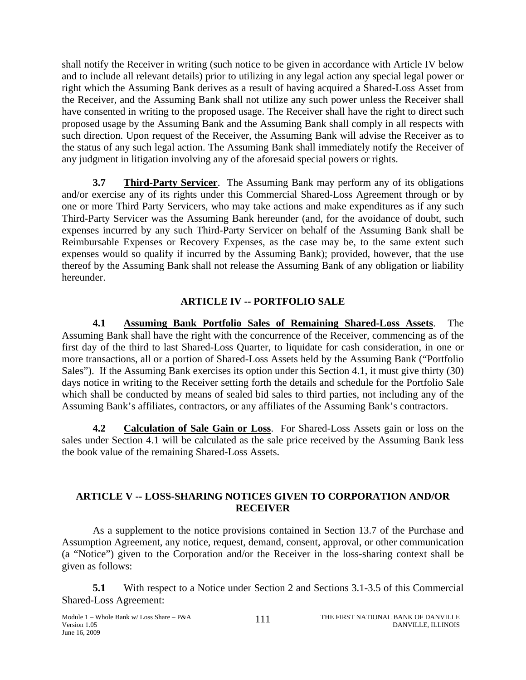shall notify the Receiver in writing (such notice to be given in accordance with Article IV below and to include all relevant details) prior to utilizing in any legal action any special legal power or right which the Assuming Bank derives as a result of having acquired a Shared-Loss Asset from the Receiver, and the Assuming Bank shall not utilize any such power unless the Receiver shall have consented in writing to the proposed usage. The Receiver shall have the right to direct such proposed usage by the Assuming Bank and the Assuming Bank shall comply in all respects with such direction. Upon request of the Receiver, the Assuming Bank will advise the Receiver as to the status of any such legal action. The Assuming Bank shall immediately notify the Receiver of any judgment in litigation involving any of the aforesaid special powers or rights.

**3.7** Third-Party Servicer. The Assuming Bank may perform any of its obligations and/or exercise any of its rights under this Commercial Shared-Loss Agreement through or by one or more Third Party Servicers, who may take actions and make expenditures as if any such Third-Party Servicer was the Assuming Bank hereunder (and, for the avoidance of doubt, such expenses incurred by any such Third-Party Servicer on behalf of the Assuming Bank shall be Reimbursable Expenses or Recovery Expenses, as the case may be, to the same extent such expenses would so qualify if incurred by the Assuming Bank); provided, however, that the use thereof by the Assuming Bank shall not release the Assuming Bank of any obligation or liability hereunder.

#### **ARTICLE IV -- PORTFOLIO SALE**

**4.1 Assuming Bank Portfolio Sales of Remaining Shared-Loss Assets**. The Assuming Bank shall have the right with the concurrence of the Receiver, commencing as of the first day of the third to last Shared-Loss Quarter, to liquidate for cash consideration, in one or more transactions, all or a portion of Shared-Loss Assets held by the Assuming Bank ("Portfolio Sales"). If the Assuming Bank exercises its option under this Section 4.1, it must give thirty (30) days notice in writing to the Receiver setting forth the details and schedule for the Portfolio Sale which shall be conducted by means of sealed bid sales to third parties, not including any of the Assuming Bank's affiliates, contractors, or any affiliates of the Assuming Bank's contractors.

**4.2 Calculation of Sale Gain or Loss**. For Shared-Loss Assets gain or loss on the sales under Section 4.1 will be calculated as the sale price received by the Assuming Bank less the book value of the remaining Shared-Loss Assets.

#### **ARTICLE V -- LOSS-SHARING NOTICES GIVEN TO CORPORATION AND/OR RECEIVER**

As a supplement to the notice provisions contained in Section 13.7 of the Purchase and Assumption Agreement, any notice, request, demand, consent, approval, or other communication (a "Notice") given to the Corporation and/or the Receiver in the loss-sharing context shall be given as follows:

**5.1** With respect to a Notice under Section 2 and Sections 3.1-3.5 of this Commercial Shared-Loss Agreement: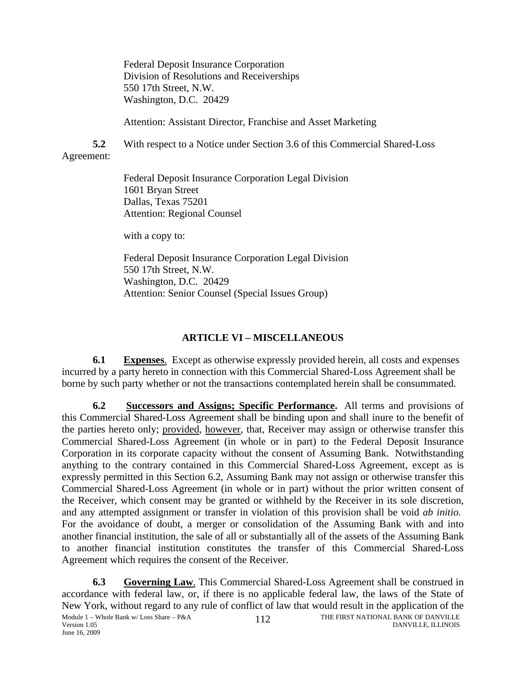Federal Deposit Insurance Corporation Division of Resolutions and Receiverships 550 17th Street, N.W. Washington, D.C. 20429

Attention: Assistant Director, Franchise and Asset Marketing

**5.2** With respect to a Notice under Section 3.6 of this Commercial Shared-Loss Agreement:

> Federal Deposit Insurance Corporation Legal Division 1601 Bryan Street Dallas, Texas 75201 Attention: Regional Counsel

with a copy to:

Federal Deposit Insurance Corporation Legal Division 550 17th Street, N.W. Washington, D.C. 20429 Attention: Senior Counsel (Special Issues Group)

#### **ARTICLE VI – MISCELLANEOUS**

**6.1 Expenses**. Except as otherwise expressly provided herein, all costs and expenses incurred by a party hereto in connection with this Commercial Shared-Loss Agreement shall be borne by such party whether or not the transactions contemplated herein shall be consummated.

**6.2** Successors and Assigns; Specific Performance. All terms and provisions of this Commercial Shared-Loss Agreement shall be binding upon and shall inure to the benefit of the parties hereto only; provided, however, that, Receiver may assign or otherwise transfer this Commercial Shared-Loss Agreement (in whole or in part) to the Federal Deposit Insurance Corporation in its corporate capacity without the consent of Assuming Bank. Notwithstanding anything to the contrary contained in this Commercial Shared-Loss Agreement, except as is expressly permitted in this Section 6.2, Assuming Bank may not assign or otherwise transfer this Commercial Shared-Loss Agreement (in whole or in part) without the prior written consent of the Receiver, which consent may be granted or withheld by the Receiver in its sole discretion, and any attempted assignment or transfer in violation of this provision shall be void *ab initio.*  For the avoidance of doubt, a merger or consolidation of the Assuming Bank with and into another financial institution, the sale of all or substantially all of the assets of the Assuming Bank to another financial institution constitutes the transfer of this Commercial Shared-Loss Agreement which requires the consent of the Receiver.

**6.3 Governing Law**. This Commercial Shared-Loss Agreement shall be construed in accordance with federal law, or, if there is no applicable federal law, the laws of the State of New York, without regard to any rule of conflict of law that would result in the application of the Module 1 – Whole Bank w/ Loss Share – P&A THE FIRST NATIONAL BANK OF DANVILLE Version 1.05 DANVILLE, ILLINOIS June 16, 2009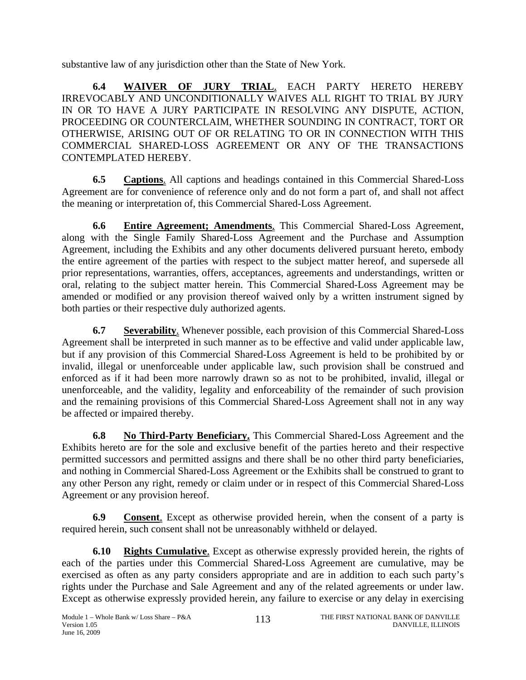substantive law of any jurisdiction other than the State of New York.

**6.4 WAIVER OF JURY TRIAL**. EACH PARTY HERETO HEREBY IRREVOCABLY AND UNCONDITIONALLY WAIVES ALL RIGHT TO TRIAL BY JURY IN OR TO HAVE A JURY PARTICIPATE IN RESOLVING ANY DISPUTE, ACTION, PROCEEDING OR COUNTERCLAIM, WHETHER SOUNDING IN CONTRACT, TORT OR OTHERWISE, ARISING OUT OF OR RELATING TO OR IN CONNECTION WITH THIS COMMERCIAL SHARED-LOSS AGREEMENT OR ANY OF THE TRANSACTIONS CONTEMPLATED HEREBY.

**6.5 Captions**. All captions and headings contained in this Commercial Shared-Loss Agreement are for convenience of reference only and do not form a part of, and shall not affect the meaning or interpretation of, this Commercial Shared-Loss Agreement.

**6.6 Entire Agreement; Amendments**. This Commercial Shared-Loss Agreement, along with the Single Family Shared-Loss Agreement and the Purchase and Assumption Agreement, including the Exhibits and any other documents delivered pursuant hereto, embody the entire agreement of the parties with respect to the subject matter hereof, and supersede all prior representations, warranties, offers, acceptances, agreements and understandings, written or oral, relating to the subject matter herein. This Commercial Shared-Loss Agreement may be amended or modified or any provision thereof waived only by a written instrument signed by both parties or their respective duly authorized agents.

**6.7 Severability**. Whenever possible, each provision of this Commercial Shared-Loss Agreement shall be interpreted in such manner as to be effective and valid under applicable law, but if any provision of this Commercial Shared-Loss Agreement is held to be prohibited by or invalid, illegal or unenforceable under applicable law, such provision shall be construed and enforced as if it had been more narrowly drawn so as not to be prohibited, invalid, illegal or unenforceable, and the validity, legality and enforceability of the remainder of such provision and the remaining provisions of this Commercial Shared-Loss Agreement shall not in any way be affected or impaired thereby.

**6.8 No Third-Party Beneficiary.** This Commercial Shared-Loss Agreement and the Exhibits hereto are for the sole and exclusive benefit of the parties hereto and their respective permitted successors and permitted assigns and there shall be no other third party beneficiaries, and nothing in Commercial Shared-Loss Agreement or the Exhibits shall be construed to grant to any other Person any right, remedy or claim under or in respect of this Commercial Shared-Loss Agreement or any provision hereof.

**6.9 Consent**. Except as otherwise provided herein, when the consent of a party is required herein, such consent shall not be unreasonably withheld or delayed.

**6.10 Rights Cumulative.** Except as otherwise expressly provided herein, the rights of each of the parties under this Commercial Shared-Loss Agreement are cumulative, may be exercised as often as any party considers appropriate and are in addition to each such party's rights under the Purchase and Sale Agreement and any of the related agreements or under law. Except as otherwise expressly provided herein, any failure to exercise or any delay in exercising